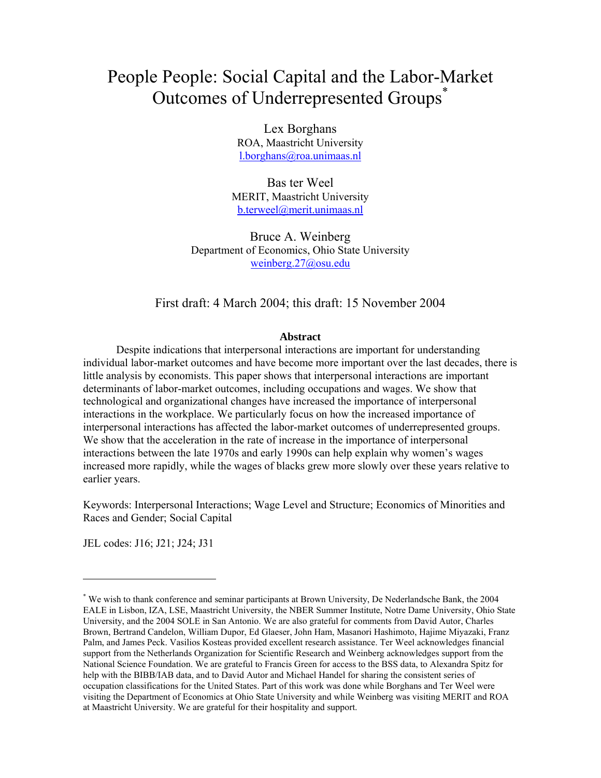# People People: Social Capital and the Labor-Market Outcomes of Underrepresented Groups<sup>\*</sup>

Lex Borghans ROA, Maastricht University l.borghans@roa.unimaas.nl

Bas ter Weel MERIT, Maastricht University b.terweel@merit.unimaas.nl

Bruce A. Weinberg Department of Economics, Ohio State University weinberg.27@osu.edu

# First draft: 4 March 2004; this draft: 15 November 2004

# **Abstract**

Despite indications that interpersonal interactions are important for understanding individual labor-market outcomes and have become more important over the last decades, there is little analysis by economists. This paper shows that interpersonal interactions are important determinants of labor-market outcomes, including occupations and wages. We show that technological and organizational changes have increased the importance of interpersonal interactions in the workplace. We particularly focus on how the increased importance of interpersonal interactions has affected the labor-market outcomes of underrepresented groups. We show that the acceleration in the rate of increase in the importance of interpersonal interactions between the late 1970s and early 1990s can help explain why women's wages increased more rapidly, while the wages of blacks grew more slowly over these years relative to earlier years.

Keywords: Interpersonal Interactions; Wage Level and Structure; Economics of Minorities and Races and Gender; Social Capital

JEL codes: J16; J21; J24; J31

 $\overline{a}$ 

<sup>\*</sup> We wish to thank conference and seminar participants at Brown University, De Nederlandsche Bank, the 2004 EALE in Lisbon, IZA, LSE, Maastricht University, the NBER Summer Institute, Notre Dame University, Ohio State University, and the 2004 SOLE in San Antonio. We are also grateful for comments from David Autor, Charles Brown, Bertrand Candelon, William Dupor, Ed Glaeser, John Ham, Masanori Hashimoto, Hajime Miyazaki, Franz Palm, and James Peck. Vasilios Kosteas provided excellent research assistance. Ter Weel acknowledges financial support from the Netherlands Organization for Scientific Research and Weinberg acknowledges support from the National Science Foundation. We are grateful to Francis Green for access to the BSS data, to Alexandra Spitz for help with the BIBB/IAB data, and to David Autor and Michael Handel for sharing the consistent series of occupation classifications for the United States. Part of this work was done while Borghans and Ter Weel were visiting the Department of Economics at Ohio State University and while Weinberg was visiting MERIT and ROA at Maastricht University. We are grateful for their hospitality and support.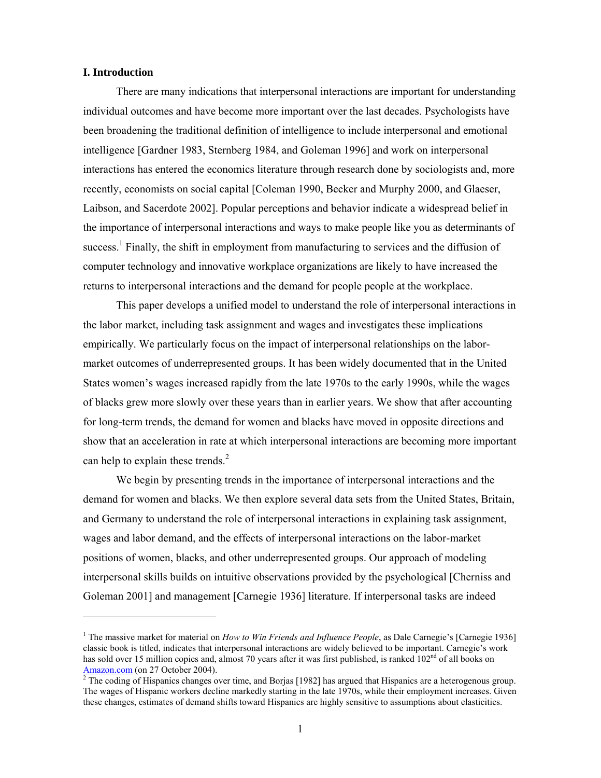# **I. Introduction**

 $\overline{a}$ 

There are many indications that interpersonal interactions are important for understanding individual outcomes and have become more important over the last decades. Psychologists have been broadening the traditional definition of intelligence to include interpersonal and emotional intelligence [Gardner 1983, Sternberg 1984, and Goleman 1996] and work on interpersonal interactions has entered the economics literature through research done by sociologists and, more recently, economists on social capital [Coleman 1990, Becker and Murphy 2000, and Glaeser, Laibson, and Sacerdote 2002]. Popular perceptions and behavior indicate a widespread belief in the importance of interpersonal interactions and ways to make people like you as determinants of success.<sup>1</sup> Finally, the shift in employment from manufacturing to services and the diffusion of computer technology and innovative workplace organizations are likely to have increased the returns to interpersonal interactions and the demand for people people at the workplace.

This paper develops a unified model to understand the role of interpersonal interactions in the labor market, including task assignment and wages and investigates these implications empirically. We particularly focus on the impact of interpersonal relationships on the labormarket outcomes of underrepresented groups. It has been widely documented that in the United States women's wages increased rapidly from the late 1970s to the early 1990s, while the wages of blacks grew more slowly over these years than in earlier years. We show that after accounting for long-term trends, the demand for women and blacks have moved in opposite directions and show that an acceleration in rate at which interpersonal interactions are becoming more important can help to explain these trends. $<sup>2</sup>$ </sup>

We begin by presenting trends in the importance of interpersonal interactions and the demand for women and blacks. We then explore several data sets from the United States, Britain, and Germany to understand the role of interpersonal interactions in explaining task assignment, wages and labor demand, and the effects of interpersonal interactions on the labor-market positions of women, blacks, and other underrepresented groups. Our approach of modeling interpersonal skills builds on intuitive observations provided by the psychological [Cherniss and Goleman 2001] and management [Carnegie 1936] literature. If interpersonal tasks are indeed

<sup>&</sup>lt;sup>1</sup> The massive market for material on *How to Win Friends and Influence People*, as Dale Carnegie's [Carnegie 1936] classic book is titled, indicates that interpersonal interactions are widely believed to be important. Carnegie's work has sold over 15 million copies and, almost 70 years after it was first published, is ranked 102<sup>nd</sup> of all books on Amazon.com (on 27 October 2004).<br><sup>2</sup> The coding of Hispanics changes over time, and Borjas [1982] has argued that Hispanics are a heterogenous group.

The wages of Hispanic workers decline markedly starting in the late 1970s, while their employment increases. Given these changes, estimates of demand shifts toward Hispanics are highly sensitive to assumptions about elasticities.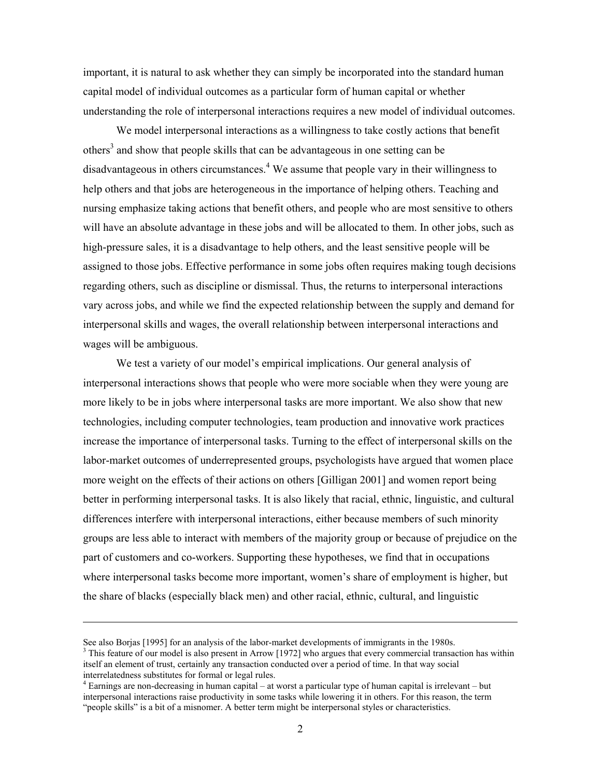important, it is natural to ask whether they can simply be incorporated into the standard human capital model of individual outcomes as a particular form of human capital or whether understanding the role of interpersonal interactions requires a new model of individual outcomes.

We model interpersonal interactions as a willingness to take costly actions that benefit others<sup>3</sup> and show that people skills that can be advantageous in one setting can be disadvantageous in others circumstances. $4$  We assume that people vary in their willingness to help others and that jobs are heterogeneous in the importance of helping others. Teaching and nursing emphasize taking actions that benefit others, and people who are most sensitive to others will have an absolute advantage in these jobs and will be allocated to them. In other jobs, such as high-pressure sales, it is a disadvantage to help others, and the least sensitive people will be assigned to those jobs. Effective performance in some jobs often requires making tough decisions regarding others, such as discipline or dismissal. Thus, the returns to interpersonal interactions vary across jobs, and while we find the expected relationship between the supply and demand for interpersonal skills and wages, the overall relationship between interpersonal interactions and wages will be ambiguous.

We test a variety of our model's empirical implications. Our general analysis of interpersonal interactions shows that people who were more sociable when they were young are more likely to be in jobs where interpersonal tasks are more important. We also show that new technologies, including computer technologies, team production and innovative work practices increase the importance of interpersonal tasks. Turning to the effect of interpersonal skills on the labor-market outcomes of underrepresented groups, psychologists have argued that women place more weight on the effects of their actions on others [Gilligan 2001] and women report being better in performing interpersonal tasks. It is also likely that racial, ethnic, linguistic, and cultural differences interfere with interpersonal interactions, either because members of such minority groups are less able to interact with members of the majority group or because of prejudice on the part of customers and co-workers. Supporting these hypotheses, we find that in occupations where interpersonal tasks become more important, women's share of employment is higher, but the share of blacks (especially black men) and other racial, ethnic, cultural, and linguistic

-

See also Borjas [1995] for an analysis of the labor-market developments of immigrants in the 1980s.

<sup>&</sup>lt;sup>3</sup> This feature of our model is also present in Arrow [1972] who argues that every commercial transaction has within itself an element of trust, certainly any transaction conducted over a period of time. In that way social interrelatedness substitutes for formal or legal rules.

<sup>4</sup> Earnings are non-decreasing in human capital – at worst a particular type of human capital is irrelevant – but interpersonal interactions raise productivity in some tasks while lowering it in others. For this reason, the term "people skills" is a bit of a misnomer. A better term might be interpersonal styles or characteristics.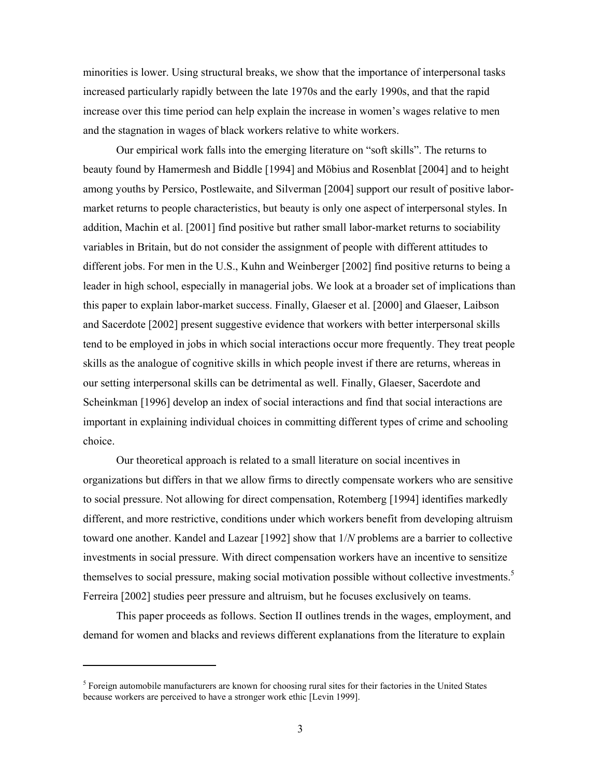minorities is lower. Using structural breaks, we show that the importance of interpersonal tasks increased particularly rapidly between the late 1970s and the early 1990s, and that the rapid increase over this time period can help explain the increase in women's wages relative to men and the stagnation in wages of black workers relative to white workers.

Our empirical work falls into the emerging literature on "soft skills". The returns to beauty found by Hamermesh and Biddle [1994] and Möbius and Rosenblat [2004] and to height among youths by Persico, Postlewaite, and Silverman [2004] support our result of positive labormarket returns to people characteristics, but beauty is only one aspect of interpersonal styles. In addition, Machin et al. [2001] find positive but rather small labor-market returns to sociability variables in Britain, but do not consider the assignment of people with different attitudes to different jobs. For men in the U.S., Kuhn and Weinberger [2002] find positive returns to being a leader in high school, especially in managerial jobs. We look at a broader set of implications than this paper to explain labor-market success. Finally, Glaeser et al. [2000] and Glaeser, Laibson and Sacerdote [2002] present suggestive evidence that workers with better interpersonal skills tend to be employed in jobs in which social interactions occur more frequently. They treat people skills as the analogue of cognitive skills in which people invest if there are returns, whereas in our setting interpersonal skills can be detrimental as well. Finally, Glaeser, Sacerdote and Scheinkman [1996] develop an index of social interactions and find that social interactions are important in explaining individual choices in committing different types of crime and schooling choice.

Our theoretical approach is related to a small literature on social incentives in organizations but differs in that we allow firms to directly compensate workers who are sensitive to social pressure. Not allowing for direct compensation, Rotemberg [1994] identifies markedly different, and more restrictive, conditions under which workers benefit from developing altruism toward one another. Kandel and Lazear [1992] show that 1/*N* problems are a barrier to collective investments in social pressure. With direct compensation workers have an incentive to sensitize themselves to social pressure, making social motivation possible without collective investments.<sup>5</sup> Ferreira [2002] studies peer pressure and altruism, but he focuses exclusively on teams.

This paper proceeds as follows. Section II outlines trends in the wages, employment, and demand for women and blacks and reviews different explanations from the literature to explain

 $\overline{a}$ 

<sup>&</sup>lt;sup>5</sup> Foreign automobile manufacturers are known for choosing rural sites for their factories in the United States because workers are perceived to have a stronger work ethic [Levin 1999].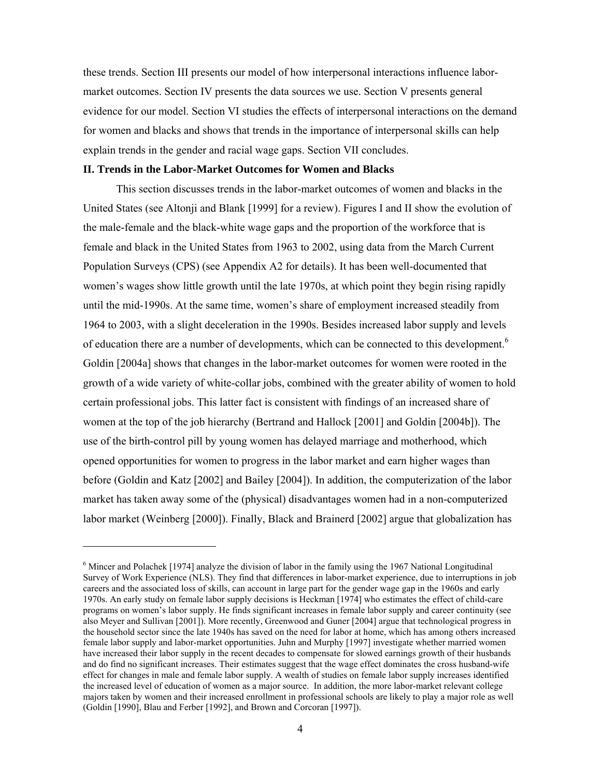these trends. Section III presents our model of how interpersonal interactions influence labormarket outcomes. Section IV presents the data sources we use. Section V presents general evidence for our model. Section VI studies the effects of interpersonal interactions on the demand for women and blacks and shows that trends in the importance of interpersonal skills can help explain trends in the gender and racial wage gaps. Section VII concludes.

#### **II. Trends in the Labor-Market Outcomes for Women and Blacks**

 $\overline{a}$ 

This section discusses trends in the labor-market outcomes of women and blacks in the United States (see Altonji and Blank [1999] for a review). Figures I and II show the evolution of the male-female and the black-white wage gaps and the proportion of the workforce that is female and black in the United States from 1963 to 2002, using data from the March Current Population Surveys (CPS) (see Appendix A2 for details). It has been well-documented that women's wages show little growth until the late 1970s, at which point they begin rising rapidly until the mid-1990s. At the same time, women's share of employment increased steadily from 1964 to 2003, with a slight deceleration in the 1990s. Besides increased labor supply and levels of education there are a number of developments, which can be connected to this development.<sup>6</sup> Goldin [2004a] shows that changes in the labor-market outcomes for women were rooted in the growth of a wide variety of white-collar jobs, combined with the greater ability of women to hold certain professional jobs. This latter fact is consistent with findings of an increased share of women at the top of the job hierarchy (Bertrand and Hallock [2001] and Goldin [2004b]). The use of the birth-control pill by young women has delayed marriage and motherhood, which opened opportunities for women to progress in the labor market and earn higher wages than before (Goldin and Katz [2002] and Bailey [2004]). In addition, the computerization of the labor market has taken away some of the (physical) disadvantages women had in a non-computerized labor market (Weinberg [2000]). Finally, Black and Brainerd [2002] argue that globalization has

<sup>&</sup>lt;sup>6</sup> Mincer and Polachek [1974] analyze the division of labor in the family using the 1967 National Longitudinal Survey of Work Experience (NLS). They find that differences in labor-market experience, due to interruptions in job careers and the associated loss of skills, can account in large part for the gender wage gap in the 1960s and early 1970s. An early study on female labor supply decisions is Heckman [1974] who estimates the effect of child-care programs on women's labor supply. He finds significant increases in female labor supply and career continuity (see also Meyer and Sullivan [2001]). More recently, Greenwood and Guner [2004] argue that technological progress in the household sector since the late 1940s has saved on the need for labor at home, which has among others increased female labor supply and labor-market opportunities. Juhn and Murphy [1997] investigate whether married women have increased their labor supply in the recent decades to compensate for slowed earnings growth of their husbands and do find no significant increases. Their estimates suggest that the wage effect dominates the cross husband-wife effect for changes in male and female labor supply. A wealth of studies on female labor supply increases identified the increased level of education of women as a major source. In addition, the more labor-market relevant college majors taken by women and their increased enrollment in professional schools are likely to play a major role as well (Goldin [1990], Blau and Ferber [1992], and Brown and Corcoran [1997]).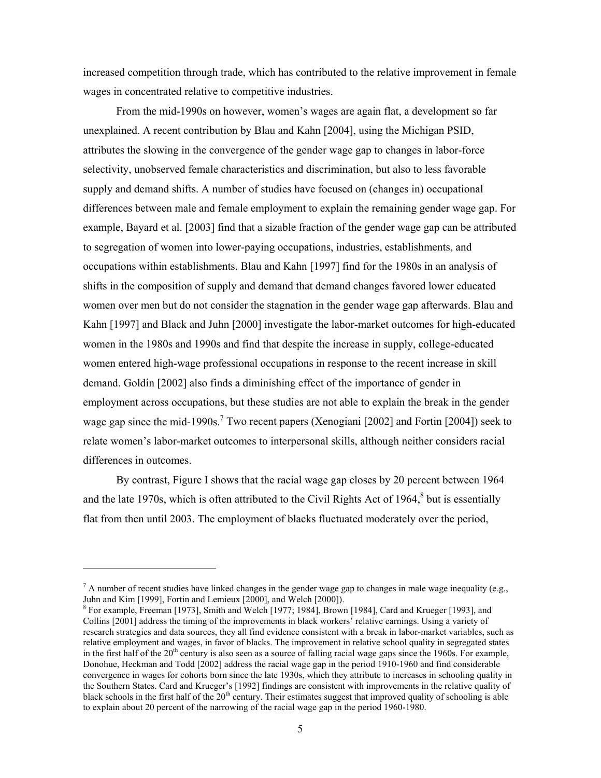increased competition through trade, which has contributed to the relative improvement in female wages in concentrated relative to competitive industries.

From the mid-1990s on however, women's wages are again flat, a development so far unexplained. A recent contribution by Blau and Kahn [2004], using the Michigan PSID, attributes the slowing in the convergence of the gender wage gap to changes in labor-force selectivity, unobserved female characteristics and discrimination, but also to less favorable supply and demand shifts. A number of studies have focused on (changes in) occupational differences between male and female employment to explain the remaining gender wage gap. For example, Bayard et al. [2003] find that a sizable fraction of the gender wage gap can be attributed to segregation of women into lower-paying occupations, industries, establishments, and occupations within establishments. Blau and Kahn [1997] find for the 1980s in an analysis of shifts in the composition of supply and demand that demand changes favored lower educated women over men but do not consider the stagnation in the gender wage gap afterwards. Blau and Kahn [1997] and Black and Juhn [2000] investigate the labor-market outcomes for high-educated women in the 1980s and 1990s and find that despite the increase in supply, college-educated women entered high-wage professional occupations in response to the recent increase in skill demand. Goldin [2002] also finds a diminishing effect of the importance of gender in employment across occupations, but these studies are not able to explain the break in the gender wage gap since the mid-1990s.<sup>7</sup> Two recent papers (Xenogiani [2002] and Fortin [2004]) seek to relate women's labor-market outcomes to interpersonal skills, although neither considers racial differences in outcomes.

By contrast, Figure I shows that the racial wage gap closes by 20 percent between 1964 and the late 1970s, which is often attributed to the Civil Rights Act of 1964, $8$  but is essentially flat from then until 2003. The employment of blacks fluctuated moderately over the period,

 $\overline{a}$ 

 $^7$  A number of recent studies have linked changes in the gender wage gap to changes in male wage inequality (e.g., Juhn and Kim [1999], Fortin and Lemieux [2000], and Welch [2000]).

For example, Freeman [1973], Smith and Welch [1977; 1984], Brown [1984], Card and Krueger [1993], and Collins [2001] address the timing of the improvements in black workers' relative earnings. Using a variety of research strategies and data sources, they all find evidence consistent with a break in labor-market variables, such as relative employment and wages, in favor of blacks. The improvement in relative school quality in segregated states in the first half of the  $20<sup>th</sup>$  century is also seen as a source of falling racial wage gaps since the 1960s. For example, Donohue, Heckman and Todd [2002] address the racial wage gap in the period 1910-1960 and find considerable convergence in wages for cohorts born since the late 1930s, which they attribute to increases in schooling quality in the Southern States. Card and Krueger's [1992] findings are consistent with improvements in the relative quality of black schools in the first half of the  $20<sup>th</sup>$  century. Their estimates suggest that improved quality of schooling is able to explain about 20 percent of the narrowing of the racial wage gap in the period 1960-1980.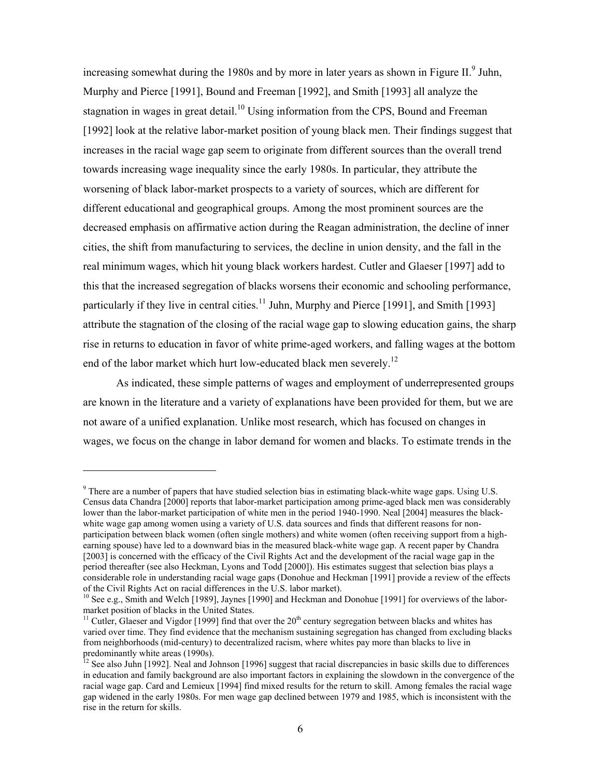increasing somewhat during the 1980s and by more in later years as shown in Figure II. $^9$  Juhn, Murphy and Pierce [1991], Bound and Freeman [1992], and Smith [1993] all analyze the stagnation in wages in great detail.<sup>10</sup> Using information from the CPS, Bound and Freeman [1992] look at the relative labor-market position of young black men. Their findings suggest that increases in the racial wage gap seem to originate from different sources than the overall trend towards increasing wage inequality since the early 1980s. In particular, they attribute the worsening of black labor-market prospects to a variety of sources, which are different for different educational and geographical groups. Among the most prominent sources are the decreased emphasis on affirmative action during the Reagan administration, the decline of inner cities, the shift from manufacturing to services, the decline in union density, and the fall in the real minimum wages, which hit young black workers hardest. Cutler and Glaeser [1997] add to this that the increased segregation of blacks worsens their economic and schooling performance, particularly if they live in central cities.<sup>11</sup> Juhn, Murphy and Pierce [1991], and Smith [1993] attribute the stagnation of the closing of the racial wage gap to slowing education gains, the sharp rise in returns to education in favor of white prime-aged workers, and falling wages at the bottom end of the labor market which hurt low-educated black men severely.<sup>12</sup>

As indicated, these simple patterns of wages and employment of underrepresented groups are known in the literature and a variety of explanations have been provided for them, but we are not aware of a unified explanation. Unlike most research, which has focused on changes in wages, we focus on the change in labor demand for women and blacks. To estimate trends in the

 $\overline{a}$ 

 $9$  There are a number of papers that have studied selection bias in estimating black-white wage gaps. Using U.S. Census data Chandra [2000] reports that labor-market participation among prime-aged black men was considerably lower than the labor-market participation of white men in the period 1940-1990. Neal [2004] measures the blackwhite wage gap among women using a variety of U.S. data sources and finds that different reasons for nonparticipation between black women (often single mothers) and white women (often receiving support from a highearning spouse) have led to a downward bias in the measured black-white wage gap. A recent paper by Chandra [2003] is concerned with the efficacy of the Civil Rights Act and the development of the racial wage gap in the period thereafter (see also Heckman, Lyons and Todd [2000]). His estimates suggest that selection bias plays a considerable role in understanding racial wage gaps (Donohue and Heckman [1991] provide a review of the effects of the Civil Rights Act on racial differences in the U.S. labor market).

<sup>&</sup>lt;sup>10</sup> See e.g., Smith and Welch [1989], Jaynes [1990] and Heckman and Donohue [1991] for overviews of the labormarket position of blacks in the United States.

<sup>&</sup>lt;sup>11</sup> Cutler, Glaeser and Vigdor [1999] find that over the  $20<sup>th</sup>$  century segregation between blacks and whites has varied over time. They find evidence that the mechanism sustaining segregation has changed from excluding blacks from neighborhoods (mid-century) to decentralized racism, where whites pay more than blacks to live in predominantly white areas (1990s).

 $12$  See also Juhn [1992]. Neal and Johnson [1996] suggest that racial discrepancies in basic skills due to differences in education and family background are also important factors in explaining the slowdown in the convergence of the racial wage gap. Card and Lemieux [1994] find mixed results for the return to skill. Among females the racial wage gap widened in the early 1980s. For men wage gap declined between 1979 and 1985, which is inconsistent with the rise in the return for skills.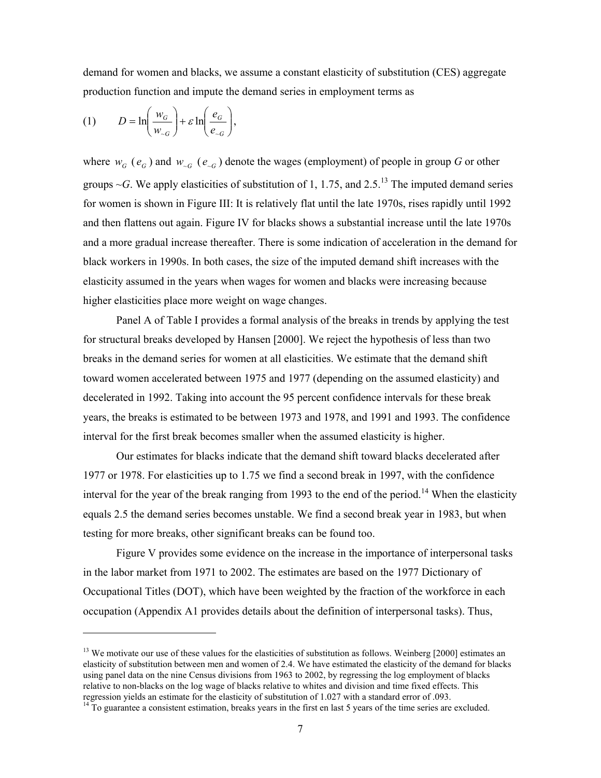demand for women and blacks, we assume a constant elasticity of substitution (CES) aggregate production function and impute the demand series in employment terms as

$$
(1) \tD = \ln\left(\frac{w_G}{w_{\sim G}}\right) + \varepsilon \ln\left(\frac{e_G}{e_{\sim G}}\right),
$$

 $\overline{a}$ 

where  $w_G$  ( $e_G$ ) and  $w_{G}$  ( $e_{G}$ ) denote the wages (employment) of people in group G or other groups  $\sim$ *G*. We apply elasticities of substitution of 1, 1.75, and 2.5.<sup>13</sup> The imputed demand series for women is shown in Figure III: It is relatively flat until the late 1970s, rises rapidly until 1992 and then flattens out again. Figure IV for blacks shows a substantial increase until the late 1970s and a more gradual increase thereafter. There is some indication of acceleration in the demand for black workers in 1990s. In both cases, the size of the imputed demand shift increases with the elasticity assumed in the years when wages for women and blacks were increasing because higher elasticities place more weight on wage changes.

Panel A of Table I provides a formal analysis of the breaks in trends by applying the test for structural breaks developed by Hansen [2000]. We reject the hypothesis of less than two breaks in the demand series for women at all elasticities. We estimate that the demand shift toward women accelerated between 1975 and 1977 (depending on the assumed elasticity) and decelerated in 1992. Taking into account the 95 percent confidence intervals for these break years, the breaks is estimated to be between 1973 and 1978, and 1991 and 1993. The confidence interval for the first break becomes smaller when the assumed elasticity is higher.

Our estimates for blacks indicate that the demand shift toward blacks decelerated after 1977 or 1978. For elasticities up to 1.75 we find a second break in 1997, with the confidence interval for the year of the break ranging from 1993 to the end of the period.<sup>14</sup> When the elasticity equals 2.5 the demand series becomes unstable. We find a second break year in 1983, but when testing for more breaks, other significant breaks can be found too.

Figure V provides some evidence on the increase in the importance of interpersonal tasks in the labor market from 1971 to 2002. The estimates are based on the 1977 Dictionary of Occupational Titles (DOT), which have been weighted by the fraction of the workforce in each occupation (Appendix A1 provides details about the definition of interpersonal tasks). Thus,

<sup>&</sup>lt;sup>13</sup> We motivate our use of these values for the elasticities of substitution as follows. Weinberg [2000] estimates an elasticity of substitution between men and women of 2.4. We have estimated the elasticity of the demand for blacks using panel data on the nine Census divisions from 1963 to 2002, by regressing the log employment of blacks relative to non-blacks on the log wage of blacks relative to whites and division and time fixed effects. This regression yields an estimate for the elasticity of substitution of 1.027 with a standard error of .093.

<sup>&</sup>lt;sup>14</sup> To guarantee a consistent estimation, breaks years in the first en last 5 years of the time series are excluded.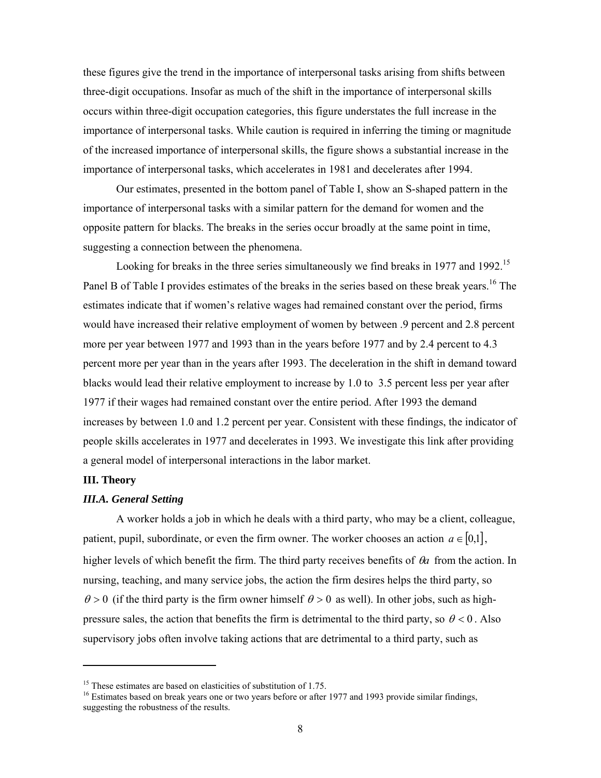these figures give the trend in the importance of interpersonal tasks arising from shifts between three-digit occupations. Insofar as much of the shift in the importance of interpersonal skills occurs within three-digit occupation categories, this figure understates the full increase in the importance of interpersonal tasks. While caution is required in inferring the timing or magnitude of the increased importance of interpersonal skills, the figure shows a substantial increase in the importance of interpersonal tasks, which accelerates in 1981 and decelerates after 1994.

Our estimates, presented in the bottom panel of Table I, show an S-shaped pattern in the importance of interpersonal tasks with a similar pattern for the demand for women and the opposite pattern for blacks. The breaks in the series occur broadly at the same point in time, suggesting a connection between the phenomena.

Looking for breaks in the three series simultaneously we find breaks in 1977 and 1992.<sup>15</sup> Panel B of Table I provides estimates of the breaks in the series based on these break years.<sup>16</sup> The estimates indicate that if women's relative wages had remained constant over the period, firms would have increased their relative employment of women by between .9 percent and 2.8 percent more per year between 1977 and 1993 than in the years before 1977 and by 2.4 percent to 4.3 percent more per year than in the years after 1993. The deceleration in the shift in demand toward blacks would lead their relative employment to increase by 1.0 to 3.5 percent less per year after 1977 if their wages had remained constant over the entire period. After 1993 the demand increases by between 1.0 and 1.2 percent per year. Consistent with these findings, the indicator of people skills accelerates in 1977 and decelerates in 1993. We investigate this link after providing a general model of interpersonal interactions in the labor market.

# **III. Theory**

 $\overline{a}$ 

# *III.A. General Setting*

A worker holds a job in which he deals with a third party, who may be a client, colleague, patient, pupil, subordinate, or even the firm owner. The worker chooses an action  $a \in [0,1]$ , higher levels of which benefit the firm. The third party receives benefits of θ*a* from the action. In nursing, teaching, and many service jobs, the action the firm desires helps the third party, so  $\theta > 0$  (if the third party is the firm owner himself  $\theta > 0$  as well). In other jobs, such as highpressure sales, the action that benefits the firm is detrimental to the third party, so  $\theta$  < 0. Also supervisory jobs often involve taking actions that are detrimental to a third party, such as

<sup>&</sup>lt;sup>15</sup> These estimates are based on elasticities of substitution of 1.75.

<sup>&</sup>lt;sup>16</sup> Estimates based on break years one or two years before or after 1977 and 1993 provide similar findings, suggesting the robustness of the results.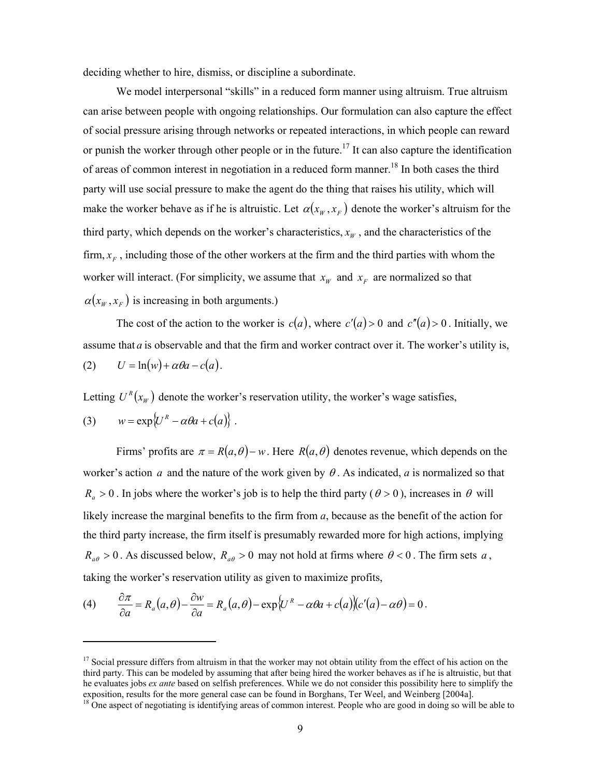deciding whether to hire, dismiss, or discipline a subordinate.

We model interpersonal "skills" in a reduced form manner using altruism. True altruism can arise between people with ongoing relationships. Our formulation can also capture the effect of social pressure arising through networks or repeated interactions, in which people can reward or punish the worker through other people or in the future.<sup>17</sup> It can also capture the identification of areas of common interest in negotiation in a reduced form manner.<sup>18</sup> In both cases the third party will use social pressure to make the agent do the thing that raises his utility, which will make the worker behave as if he is altruistic. Let  $\alpha(x_W, x_F)$  denote the worker's altruism for the third party, which depends on the worker's characteristics,  $x_w$ , and the characteristics of the firm,  $x_F$ , including those of the other workers at the firm and the third parties with whom the worker will interact. (For simplicity, we assume that  $x_w$  and  $x_F$  are normalized so that  $\alpha(x_w, x_F)$  is increasing in both arguments.)

The cost of the action to the worker is  $c(a)$ , where  $c'(a) > 0$  and  $c''(a) > 0$ . Initially, we assume that *a* is observable and that the firm and worker contract over it. The worker's utility is,  $U = \ln(w) + \alpha \theta a - c(a)$ .

Letting  $U^R(x_w)$  denote the worker's reservation utility, the worker's wage satisfies,

(3) 
$$
w = \exp\{U^R - \alpha\theta a + c(a)\}.
$$

 $\overline{a}$ 

Firms' profits are  $\pi = R(a, \theta) - w$ . Here  $R(a, \theta)$  denotes revenue, which depends on the worker's action *a* and the nature of the work given by  $\theta$ . As indicated, *a* is normalized so that  $R_a > 0$ . In jobs where the worker's job is to help the third party ( $\theta > 0$ ), increases in  $\theta$  will likely increase the marginal benefits to the firm from *a*, because as the benefit of the action for the third party increase, the firm itself is presumably rewarded more for high actions, implying  $R_{a\theta} > 0$ . As discussed below,  $R_{a\theta} > 0$  may not hold at firms where  $\theta < 0$ . The firm sets *a*, taking the worker's reservation utility as given to maximize profits,

(4) 
$$
\frac{\partial \pi}{\partial a} = R_a(a,\theta) - \frac{\partial w}{\partial a} = R_a(a,\theta) - \exp{\left(U^R - \alpha \theta a + c(a)\right)(c'(a) - \alpha \theta)} = 0.
$$

<sup>&</sup>lt;sup>17</sup> Social pressure differs from altruism in that the worker may not obtain utility from the effect of his action on the third party. This can be modeled by assuming that after being hired the worker behaves as if he is altruistic, but that he evaluates jobs *ex ante* based on selfish preferences. While we do not consider this possibility here to simplify the exposition, results for the more general case can be found in Borghans, Ter Weel, and Weinberg [2004a].

<sup>&</sup>lt;sup>18</sup> One aspect of negotiating is identifying areas of common interest. People who are good in doing so will be able to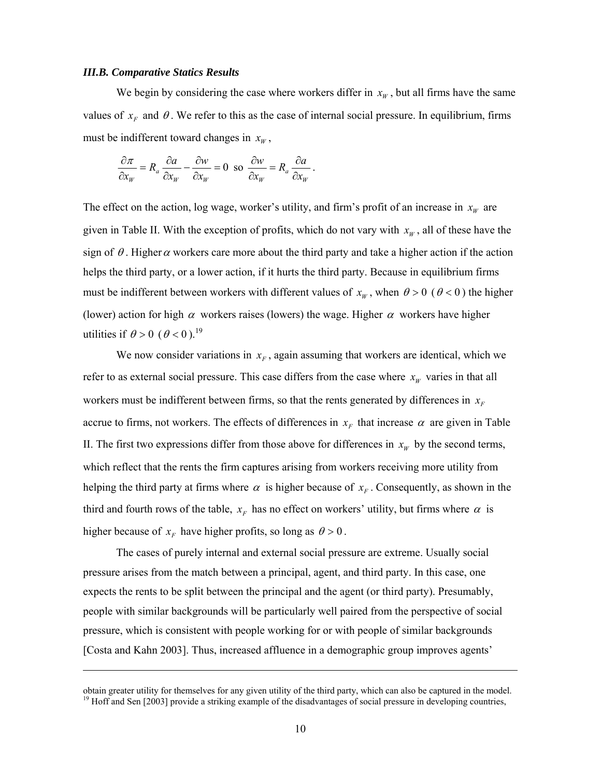#### *III.B. Comparative Statics Results*

-

We begin by considering the case where workers differ in  $x_w$ , but all firms have the same values of  $x_F$  and  $\theta$ . We refer to this as the case of internal social pressure. In equilibrium, firms must be indifferent toward changes in  $x_w$ ,

$$
\frac{\partial \pi}{\partial x_w} = R_a \frac{\partial a}{\partial x_w} - \frac{\partial w}{\partial x_w} = 0 \text{ so } \frac{\partial w}{\partial x_w} = R_a \frac{\partial a}{\partial x_w}.
$$

The effect on the action, log wage, worker's utility, and firm's profit of an increase in  $x_w$  are given in Table II. With the exception of profits, which do not vary with  $x<sub>w</sub>$ , all of these have the sign of  $\theta$ . Higher  $\alpha$  workers care more about the third party and take a higher action if the action helps the third party, or a lower action, if it hurts the third party. Because in equilibrium firms must be indifferent between workers with different values of  $x_w$ , when  $\theta > 0$  ( $\theta < 0$ ) the higher (lower) action for high  $\alpha$  workers raises (lowers) the wage. Higher  $\alpha$  workers have higher utilities if  $\theta > 0$  ( $\theta < 0$ ).<sup>19</sup>

We now consider variations in  $x_F$ , again assuming that workers are identical, which we refer to as external social pressure. This case differs from the case where  $x_w$  varies in that all workers must be indifferent between firms, so that the rents generated by differences in  $x_F$ accrue to firms, not workers. The effects of differences in  $x_F$  that increase  $\alpha$  are given in Table II. The first two expressions differ from those above for differences in  $x_w$  by the second terms, which reflect that the rents the firm captures arising from workers receiving more utility from helping the third party at firms where  $\alpha$  is higher because of  $x_F$ . Consequently, as shown in the third and fourth rows of the table,  $x_F$  has no effect on workers' utility, but firms where  $\alpha$  is higher because of  $x_F$  have higher profits, so long as  $\theta > 0$ .

The cases of purely internal and external social pressure are extreme. Usually social pressure arises from the match between a principal, agent, and third party. In this case, one expects the rents to be split between the principal and the agent (or third party). Presumably, people with similar backgrounds will be particularly well paired from the perspective of social pressure, which is consistent with people working for or with people of similar backgrounds [Costa and Kahn 2003]. Thus, increased affluence in a demographic group improves agents'

obtain greater utility for themselves for any given utility of the third party, which can also be captured in the model. <sup>19</sup> Hoff and Sen  $[2003]$  provide a striking example of the disadvantages of social pressure in developing countries,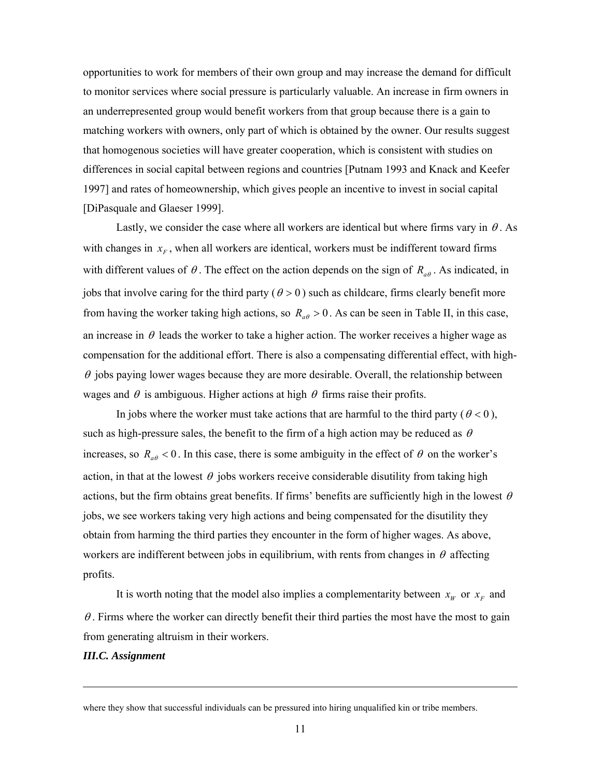opportunities to work for members of their own group and may increase the demand for difficult to monitor services where social pressure is particularly valuable. An increase in firm owners in an underrepresented group would benefit workers from that group because there is a gain to matching workers with owners, only part of which is obtained by the owner. Our results suggest that homogenous societies will have greater cooperation, which is consistent with studies on differences in social capital between regions and countries [Putnam 1993 and Knack and Keefer 1997] and rates of homeownership, which gives people an incentive to invest in social capital [DiPasquale and Glaeser 1999].

Lastly, we consider the case where all workers are identical but where firms vary in  $\theta$ . As with changes in  $x_F$ , when all workers are identical, workers must be indifferent toward firms with different values of  $\theta$ . The effect on the action depends on the sign of  $R_{a\theta}$ . As indicated, in jobs that involve caring for the third party ( $\theta > 0$ ) such as childcare, firms clearly benefit more from having the worker taking high actions, so  $R_{a\theta} > 0$ . As can be seen in Table II, in this case, an increase in  $\theta$  leads the worker to take a higher action. The worker receives a higher wage as compensation for the additional effort. There is also a compensating differential effect, with high- $\theta$  jobs paying lower wages because they are more desirable. Overall, the relationship between wages and  $\theta$  is ambiguous. Higher actions at high  $\theta$  firms raise their profits.

In jobs where the worker must take actions that are harmful to the third party ( $\theta$  < 0), such as high-pressure sales, the benefit to the firm of a high action may be reduced as  $\theta$ increases, so  $R_{a\theta} < 0$ . In this case, there is some ambiguity in the effect of  $\theta$  on the worker's action, in that at the lowest  $\theta$  jobs workers receive considerable disutility from taking high actions, but the firm obtains great benefits. If firms' benefits are sufficiently high in the lowest  $\theta$ jobs, we see workers taking very high actions and being compensated for the disutility they obtain from harming the third parties they encounter in the form of higher wages. As above, workers are indifferent between jobs in equilibrium, with rents from changes in  $\theta$  affecting profits.

It is worth noting that the model also implies a complementarity between  $x_w$  or  $x_F$  and  $\theta$ . Firms where the worker can directly benefit their third parties the most have the most to gain from generating altruism in their workers.

# *III.C. Assignment*

-

where they show that successful individuals can be pressured into hiring unqualified kin or tribe members.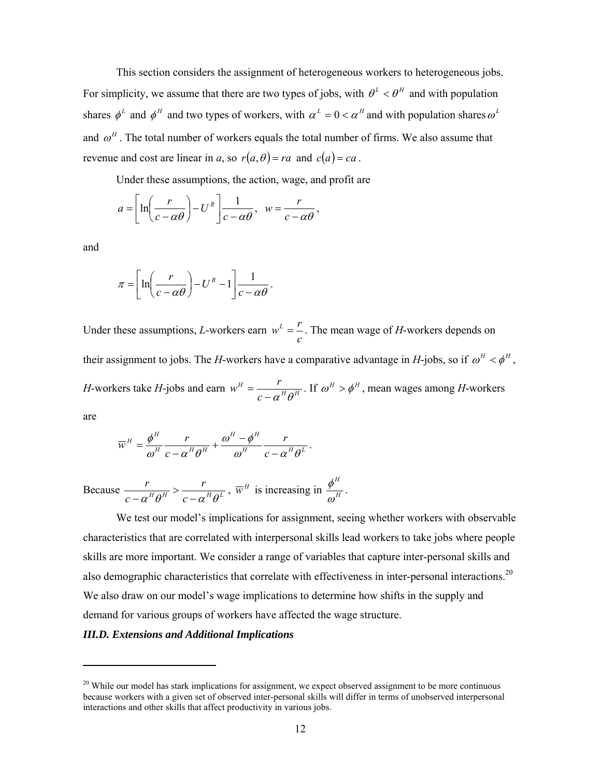This section considers the assignment of heterogeneous workers to heterogeneous jobs. For simplicity, we assume that there are two types of jobs, with  $\theta^L < \theta^H$  and with population shares  $\phi^L$  and  $\phi^H$  and two types of workers, with  $\alpha^L = 0 < \alpha^H$  and with population shares  $\omega^L$ and  $\omega^H$ . The total number of workers equals the total number of firms. We also assume that revenue and cost are linear in *a*, so  $r(a, \theta) = ra$  and  $c(a) = ca$ .

Under these assumptions, the action, wage, and profit are

$$
a = \left[ \ln \left( \frac{r}{c - \alpha \theta} \right) - U^R \right] \frac{1}{c - \alpha \theta}, \quad w = \frac{r}{c - \alpha \theta},
$$

and

 $\overline{a}$ 

$$
\pi = \left[ \ln \left( \frac{r}{c - \alpha \theta} \right) - U^R - 1 \right] \frac{1}{c - \alpha \theta}.
$$

Under these assumptions, *L*-workers earn *c*  $w<sup>L</sup> = \frac{r}{r}$ . The mean wage of *H*-workers depends on their assignment to jobs. The *H*-workers have a comparative advantage in *H*-jobs, so if  $\omega^H < \phi^H$ , *H*-workers take *H*-jobs and earn  $w^H = \frac{I}{2 \pi R^H \Omega^H}$ *c*  $w^H = \frac{r}{c - \alpha^H \theta^H}$ . If  $\omega^H > \phi^H$ , mean wages among *H*-workers are

$$
\overline{w}^H = \frac{\phi^H}{\omega^H} \frac{r}{c - \alpha^H \theta^H} + \frac{\omega^H - \phi^H}{\omega^H} \frac{r}{c - \alpha^H \theta^L}.
$$

Because  $\frac{r}{c - \alpha^H \theta^H} > \frac{r}{c - \alpha^H \theta^L}$ *c r*  $\frac{r}{1-\alpha^H \theta^H} > \frac{r}{c-\alpha^H \theta^L}$ ,  $\overline{w}^H$  is increasing in  $\frac{\phi^H}{\omega^H}$  $\frac{\phi^H}{\omega^H}$  .

We test our model's implications for assignment, seeing whether workers with observable characteristics that are correlated with interpersonal skills lead workers to take jobs where people skills are more important. We consider a range of variables that capture inter-personal skills and also demographic characteristics that correlate with effectiveness in inter-personal interactions.<sup>20</sup> We also draw on our model's wage implications to determine how shifts in the supply and demand for various groups of workers have affected the wage structure.

# *III.D. Extensions and Additional Implications*

<sup>&</sup>lt;sup>20</sup> While our model has stark implications for assignment, we expect observed assignment to be more continuous because workers with a given set of observed inter-personal skills will differ in terms of unobserved interpersonal interactions and other skills that affect productivity in various jobs.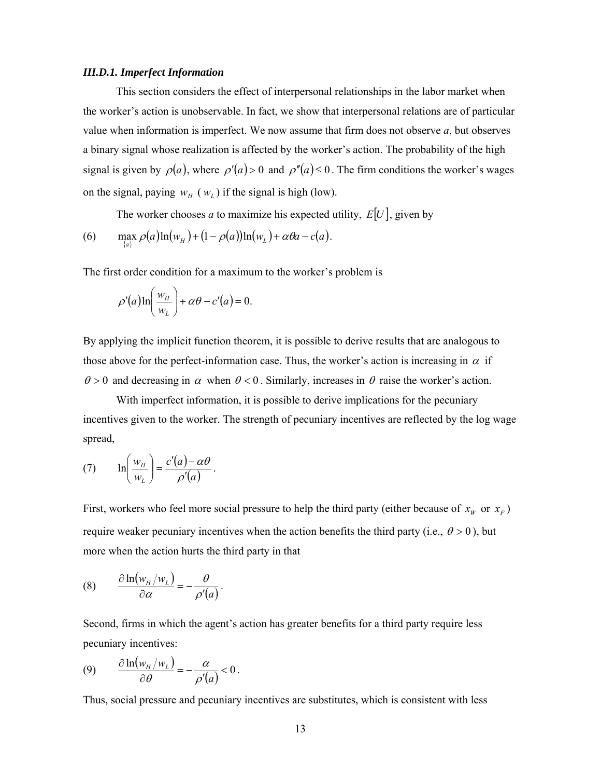#### *III.D.1. Imperfect Information*

This section considers the effect of interpersonal relationships in the labor market when the worker's action is unobservable. In fact, we show that interpersonal relations are of particular value when information is imperfect. We now assume that firm does not observe *a*, but observes a binary signal whose realization is affected by the worker's action. The probability of the high signal is given by  $\rho(a)$ , where  $\rho'(a) > 0$  and  $\rho''(a) \le 0$ . The firm conditions the worker's wages on the signal, paying  $w_H(w_L)$  if the signal is high (low).

The worker chooses *a* to maximize his expected utility,  $E[U]$ , given by

(6) 
$$
\max_{\{a\}} \rho(a) \ln(w_H) + (1 - \rho(a)) \ln(w_L) + \alpha \theta a - c(a).
$$

The first order condition for a maximum to the worker's problem is

$$
\rho'(a)\ln\left(\frac{w_H}{w_L}\right) + \alpha\theta - c'(a) = 0.
$$

By applying the implicit function theorem, it is possible to derive results that are analogous to those above for the perfect-information case. Thus, the worker's action is increasing in  $\alpha$  if  $\theta > 0$  and decreasing in  $\alpha$  when  $\theta < 0$ . Similarly, increases in  $\theta$  raise the worker's action.

With imperfect information, it is possible to derive implications for the pecuniary incentives given to the worker. The strength of pecuniary incentives are reflected by the log wage spread,

(7) 
$$
\ln\left(\frac{w_H}{w_L}\right) = \frac{c'(a) - \alpha\theta}{\rho'(a)}.
$$

First, workers who feel more social pressure to help the third party (either because of  $x_w$  or  $x_F$ ) require weaker pecuniary incentives when the action benefits the third party (i.e.,  $\theta > 0$ ), but more when the action hurts the third party in that

(8) 
$$
\frac{\partial \ln(w_H/w_L)}{\partial \alpha} = -\frac{\theta}{\rho'(a)}.
$$

Second, firms in which the agent's action has greater benefits for a third party require less pecuniary incentives:

$$
(9) \qquad \frac{\partial \ln(w_H/w_L)}{\partial \theta} = -\frac{\alpha}{\rho'(a)} < 0.
$$

Thus, social pressure and pecuniary incentives are substitutes, which is consistent with less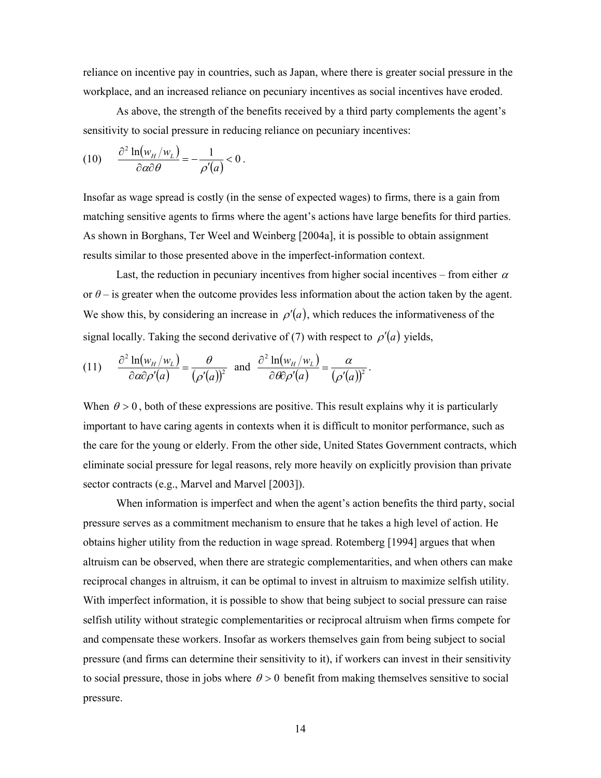reliance on incentive pay in countries, such as Japan, where there is greater social pressure in the workplace, and an increased reliance on pecuniary incentives as social incentives have eroded.

As above, the strength of the benefits received by a third party complements the agent's sensitivity to social pressure in reducing reliance on pecuniary incentives:

$$
(10) \qquad \frac{\partial^2 \ln(w_H/w_L)}{\partial \alpha \partial \theta} = -\frac{1}{\rho'(a)} < 0.
$$

Insofar as wage spread is costly (in the sense of expected wages) to firms, there is a gain from matching sensitive agents to firms where the agent's actions have large benefits for third parties. As shown in Borghans, Ter Weel and Weinberg [2004a], it is possible to obtain assignment results similar to those presented above in the imperfect-information context.

Last, the reduction in pecuniary incentives from higher social incentives – from either  $\alpha$ or  $\theta$  – is greater when the outcome provides less information about the action taken by the agent. We show this, by considering an increase in  $\rho'(a)$ , which reduces the informativeness of the signal locally. Taking the second derivative of (7) with respect to  $\rho'(a)$  yields,

(11) 
$$
\frac{\partial^2 \ln(w_H/w_L)}{\partial \alpha \partial \rho'(a)} = \frac{\theta}{(\rho'(a))^2} \text{ and } \frac{\partial^2 \ln(w_H/w_L)}{\partial \theta \partial \rho'(a)} = \frac{\alpha}{(\rho'(a))^2}.
$$

When  $\theta > 0$ , both of these expressions are positive. This result explains why it is particularly important to have caring agents in contexts when it is difficult to monitor performance, such as the care for the young or elderly. From the other side, United States Government contracts, which eliminate social pressure for legal reasons, rely more heavily on explicitly provision than private sector contracts (e.g., Marvel and Marvel [2003]).

When information is imperfect and when the agent's action benefits the third party, social pressure serves as a commitment mechanism to ensure that he takes a high level of action. He obtains higher utility from the reduction in wage spread. Rotemberg [1994] argues that when altruism can be observed, when there are strategic complementarities, and when others can make reciprocal changes in altruism, it can be optimal to invest in altruism to maximize selfish utility. With imperfect information, it is possible to show that being subject to social pressure can raise selfish utility without strategic complementarities or reciprocal altruism when firms compete for and compensate these workers. Insofar as workers themselves gain from being subject to social pressure (and firms can determine their sensitivity to it), if workers can invest in their sensitivity to social pressure, those in jobs where  $\theta > 0$  benefit from making themselves sensitive to social pressure.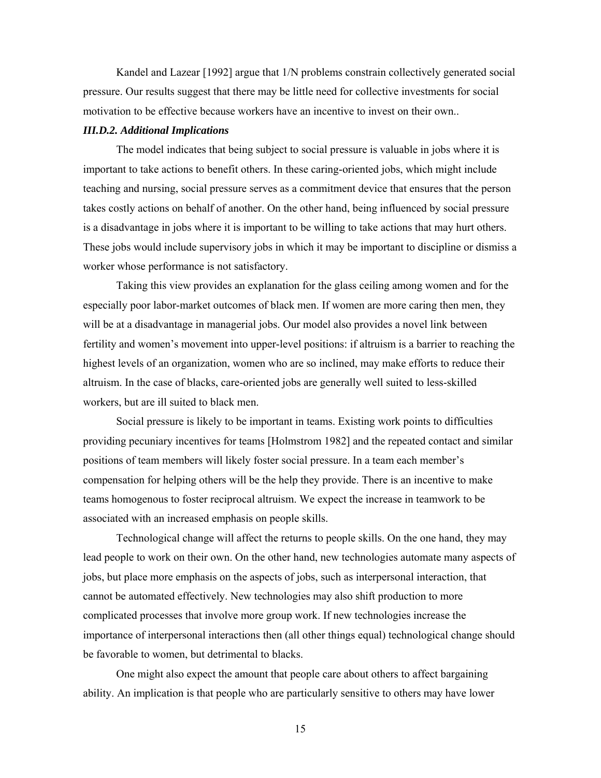Kandel and Lazear [1992] argue that 1/N problems constrain collectively generated social pressure. Our results suggest that there may be little need for collective investments for social motivation to be effective because workers have an incentive to invest on their own..

#### *III.D.2. Additional Implications*

The model indicates that being subject to social pressure is valuable in jobs where it is important to take actions to benefit others. In these caring-oriented jobs, which might include teaching and nursing, social pressure serves as a commitment device that ensures that the person takes costly actions on behalf of another. On the other hand, being influenced by social pressure is a disadvantage in jobs where it is important to be willing to take actions that may hurt others. These jobs would include supervisory jobs in which it may be important to discipline or dismiss a worker whose performance is not satisfactory.

Taking this view provides an explanation for the glass ceiling among women and for the especially poor labor-market outcomes of black men. If women are more caring then men, they will be at a disadvantage in managerial jobs. Our model also provides a novel link between fertility and women's movement into upper-level positions: if altruism is a barrier to reaching the highest levels of an organization, women who are so inclined, may make efforts to reduce their altruism. In the case of blacks, care-oriented jobs are generally well suited to less-skilled workers, but are ill suited to black men.

Social pressure is likely to be important in teams. Existing work points to difficulties providing pecuniary incentives for teams [Holmstrom 1982] and the repeated contact and similar positions of team members will likely foster social pressure. In a team each member's compensation for helping others will be the help they provide. There is an incentive to make teams homogenous to foster reciprocal altruism. We expect the increase in teamwork to be associated with an increased emphasis on people skills.

Technological change will affect the returns to people skills. On the one hand, they may lead people to work on their own. On the other hand, new technologies automate many aspects of jobs, but place more emphasis on the aspects of jobs, such as interpersonal interaction, that cannot be automated effectively. New technologies may also shift production to more complicated processes that involve more group work. If new technologies increase the importance of interpersonal interactions then (all other things equal) technological change should be favorable to women, but detrimental to blacks.

One might also expect the amount that people care about others to affect bargaining ability. An implication is that people who are particularly sensitive to others may have lower

15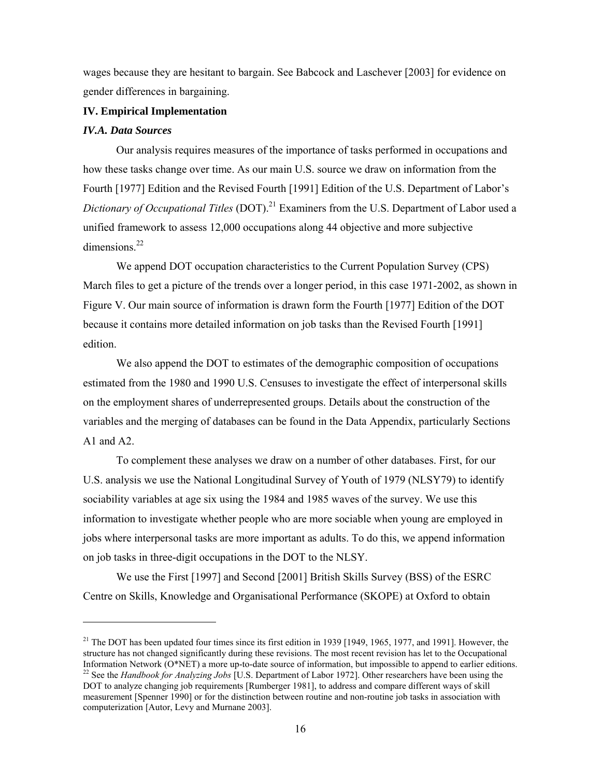wages because they are hesitant to bargain. See Babcock and Laschever [2003] for evidence on gender differences in bargaining.

# **IV. Empirical Implementation**

# *IV.A. Data Sources*

 $\overline{a}$ 

Our analysis requires measures of the importance of tasks performed in occupations and how these tasks change over time. As our main U.S. source we draw on information from the Fourth [1977] Edition and the Revised Fourth [1991] Edition of the U.S. Department of Labor's *Dictionary of Occupational Titles* (DOT).<sup>21</sup> Examiners from the U.S. Department of Labor used a unified framework to assess 12,000 occupations along 44 objective and more subjective dimensions $^{22}$ 

We append DOT occupation characteristics to the Current Population Survey (CPS) March files to get a picture of the trends over a longer period, in this case 1971-2002, as shown in Figure V. Our main source of information is drawn form the Fourth [1977] Edition of the DOT because it contains more detailed information on job tasks than the Revised Fourth [1991] edition.

We also append the DOT to estimates of the demographic composition of occupations estimated from the 1980 and 1990 U.S. Censuses to investigate the effect of interpersonal skills on the employment shares of underrepresented groups. Details about the construction of the variables and the merging of databases can be found in the Data Appendix, particularly Sections A1 and A2.

To complement these analyses we draw on a number of other databases. First, for our U.S. analysis we use the National Longitudinal Survey of Youth of 1979 (NLSY79) to identify sociability variables at age six using the 1984 and 1985 waves of the survey. We use this information to investigate whether people who are more sociable when young are employed in jobs where interpersonal tasks are more important as adults. To do this, we append information on job tasks in three-digit occupations in the DOT to the NLSY.

We use the First [1997] and Second [2001] British Skills Survey (BSS) of the ESRC Centre on Skills, Knowledge and Organisational Performance (SKOPE) at Oxford to obtain

<sup>&</sup>lt;sup>21</sup> The DOT has been updated four times since its first edition in 1939 [1949, 1965, 1977, and 1991]. However, the structure has not changed significantly during these revisions. The most recent revision has let to the Occupational<br>Information Network (O\*NET) a more up-to-date source of information, but impossible to append to earlier <sup>22</sup> See the *Handbook for Analyzing Jobs* [U.S. Department of Labor 1972]. Other researchers have been using the DOT to analyze changing job requirements [Rumberger 1981], to address and compare different ways of skill measurement [Spenner 1990] or for the distinction between routine and non-routine job tasks in association with computerization [Autor, Levy and Murnane 2003].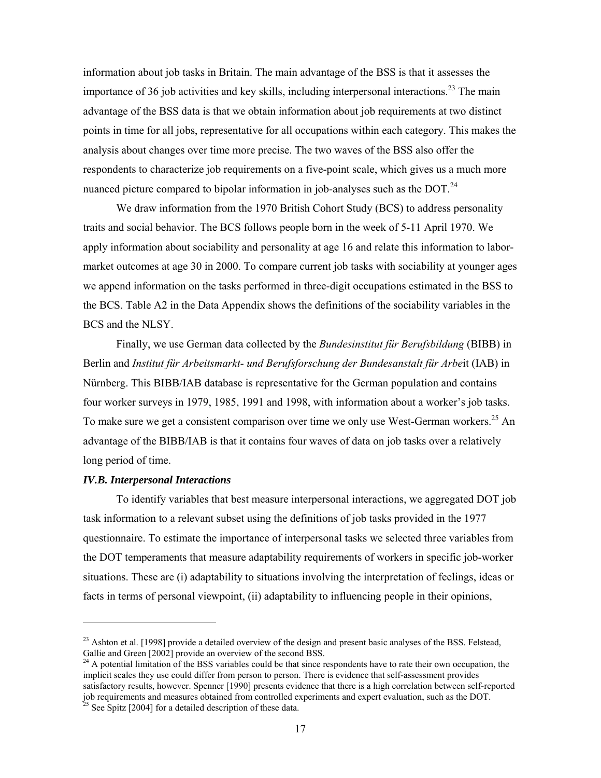information about job tasks in Britain. The main advantage of the BSS is that it assesses the importance of 36 job activities and key skills, including interpersonal interactions.<sup>23</sup> The main advantage of the BSS data is that we obtain information about job requirements at two distinct points in time for all jobs, representative for all occupations within each category. This makes the analysis about changes over time more precise. The two waves of the BSS also offer the respondents to characterize job requirements on a five-point scale, which gives us a much more nuanced picture compared to bipolar information in job-analyses such as the DOT. $^{24}$ 

We draw information from the 1970 British Cohort Study (BCS) to address personality traits and social behavior. The BCS follows people born in the week of 5-11 April 1970. We apply information about sociability and personality at age 16 and relate this information to labormarket outcomes at age 30 in 2000. To compare current job tasks with sociability at younger ages we append information on the tasks performed in three-digit occupations estimated in the BSS to the BCS. Table A2 in the Data Appendix shows the definitions of the sociability variables in the BCS and the NLSY.

Finally, we use German data collected by the *Bundesinstitut für Berufsbildung* (BIBB) in Berlin and *Institut für Arbeitsmarkt- und Berufsforschung der Bundesanstalt für Arbe*it (IAB) in Nürnberg. This BIBB/IAB database is representative for the German population and contains four worker surveys in 1979, 1985, 1991 and 1998, with information about a worker's job tasks. To make sure we get a consistent comparison over time we only use West-German workers.<sup>25</sup> An advantage of the BIBB/IAB is that it contains four waves of data on job tasks over a relatively long period of time.

# *IV.B. Interpersonal Interactions*

 $\overline{a}$ 

 To identify variables that best measure interpersonal interactions, we aggregated DOT job task information to a relevant subset using the definitions of job tasks provided in the 1977 questionnaire. To estimate the importance of interpersonal tasks we selected three variables from the DOT temperaments that measure adaptability requirements of workers in specific job-worker situations. These are (i) adaptability to situations involving the interpretation of feelings, ideas or facts in terms of personal viewpoint, (ii) adaptability to influencing people in their opinions,

 $^{23}$  Ashton et al. [1998] provide a detailed overview of the design and present basic analyses of the BSS. Felstead, Gallie and Green [2002] provide an overview of the second BSS.

<sup>&</sup>lt;sup>24</sup> A potential limitation of the BSS variables could be that since respondents have to rate their own occupation, the implicit scales they use could differ from person to person. There is evidence that self-assessment provides satisfactory results, however. Spenner [1990] presents evidence that there is a high correlation between self-reported job requirements and measures obtained from controlled experiments and expert evaluation, such as the DOT.  $25$  See Spitz [2004] for a detailed description of these data.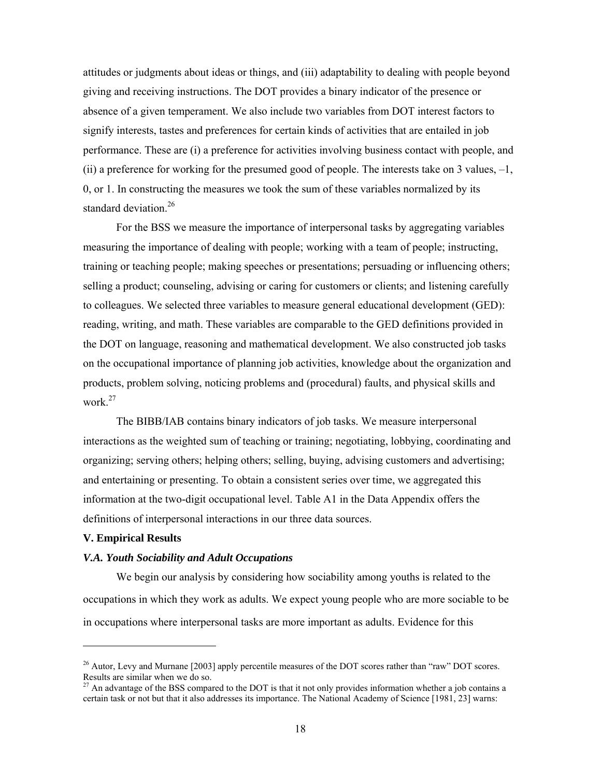attitudes or judgments about ideas or things, and (iii) adaptability to dealing with people beyond giving and receiving instructions. The DOT provides a binary indicator of the presence or absence of a given temperament. We also include two variables from DOT interest factors to signify interests, tastes and preferences for certain kinds of activities that are entailed in job performance. These are (i) a preference for activities involving business contact with people, and (ii) a preference for working for the presumed good of people. The interests take on 3 values,  $-1$ , 0, or 1. In constructing the measures we took the sum of these variables normalized by its standard deviation.<sup>26</sup>

For the BSS we measure the importance of interpersonal tasks by aggregating variables measuring the importance of dealing with people; working with a team of people; instructing, training or teaching people; making speeches or presentations; persuading or influencing others; selling a product; counseling, advising or caring for customers or clients; and listening carefully to colleagues. We selected three variables to measure general educational development (GED): reading, writing, and math. These variables are comparable to the GED definitions provided in the DOT on language, reasoning and mathematical development. We also constructed job tasks on the occupational importance of planning job activities, knowledge about the organization and products, problem solving, noticing problems and (procedural) faults, and physical skills and work $27$ 

The BIBB/IAB contains binary indicators of job tasks. We measure interpersonal interactions as the weighted sum of teaching or training; negotiating, lobbying, coordinating and organizing; serving others; helping others; selling, buying, advising customers and advertising; and entertaining or presenting. To obtain a consistent series over time, we aggregated this information at the two-digit occupational level. Table A1 in the Data Appendix offers the definitions of interpersonal interactions in our three data sources.

#### **V. Empirical Results**

# *V.A. Youth Sociability and Adult Occupations*

We begin our analysis by considering how sociability among youths is related to the occupations in which they work as adults. We expect young people who are more sociable to be in occupations where interpersonal tasks are more important as adults. Evidence for this

<sup>&</sup>lt;sup>26</sup> Autor, Levy and Murnane [2003] apply percentile measures of the DOT scores rather than "raw" DOT scores. Results are similar when we do so.

 $27$  An advantage of the BSS compared to the DOT is that it not only provides information whether a job contains a certain task or not but that it also addresses its importance. The National Academy of Science [1981, 23] warns: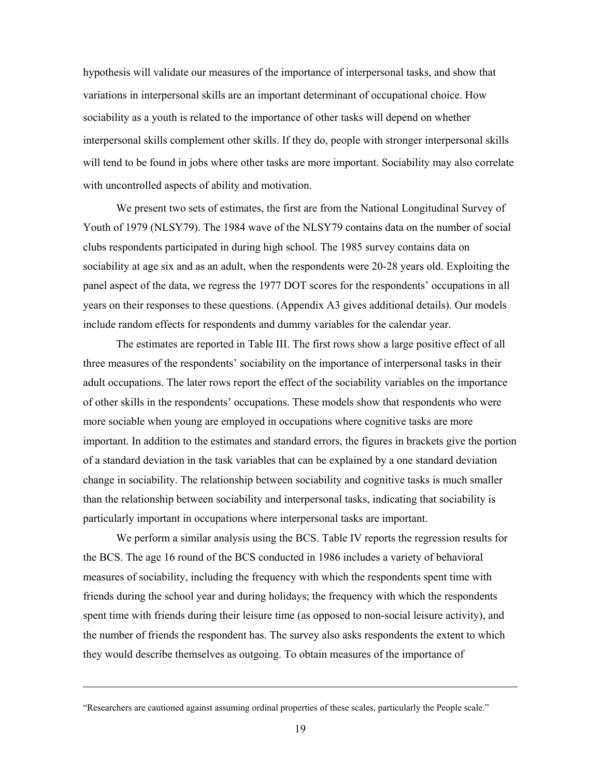hypothesis will validate our measures of the importance of interpersonal tasks, and show that variations in interpersonal skills are an important determinant of occupational choice. How sociability as a youth is related to the importance of other tasks will depend on whether interpersonal skills complement other skills. If they do, people with stronger interpersonal skills will tend to be found in jobs where other tasks are more important. Sociability may also correlate with uncontrolled aspects of ability and motivation.

We present two sets of estimates, the first are from the National Longitudinal Survey of Youth of 1979 (NLSY79). The 1984 wave of the NLSY79 contains data on the number of social clubs respondents participated in during high school. The 1985 survey contains data on sociability at age six and as an adult, when the respondents were 20-28 years old. Exploiting the panel aspect of the data, we regress the 1977 DOT scores for the respondents' occupations in all years on their responses to these questions. (Appendix A3 gives additional details). Our models include random effects for respondents and dummy variables for the calendar year.

The estimates are reported in Table III. The first rows show a large positive effect of all three measures of the respondents' sociability on the importance of interpersonal tasks in their adult occupations. The later rows report the effect of the sociability variables on the importance of other skills in the respondents' occupations. These models show that respondents who were more sociable when young are employed in occupations where cognitive tasks are more important. In addition to the estimates and standard errors, the figures in brackets give the portion of a standard deviation in the task variables that can be explained by a one standard deviation change in sociability. The relationship between sociability and cognitive tasks is much smaller than the relationship between sociability and interpersonal tasks, indicating that sociability is particularly important in occupations where interpersonal tasks are important.

We perform a similar analysis using the BCS. Table IV reports the regression results for the BCS. The age 16 round of the BCS conducted in 1986 includes a variety of behavioral measures of sociability, including the frequency with which the respondents spent time with friends during the school year and during holidays; the frequency with which the respondents spent time with friends during their leisure time (as opposed to non-social leisure activity), and the number of friends the respondent has. The survey also asks respondents the extent to which they would describe themselves as outgoing. To obtain measures of the importance of

-

<sup>&</sup>quot;Researchers are cautioned against assuming ordinal properties of these scales, particularly the People scale."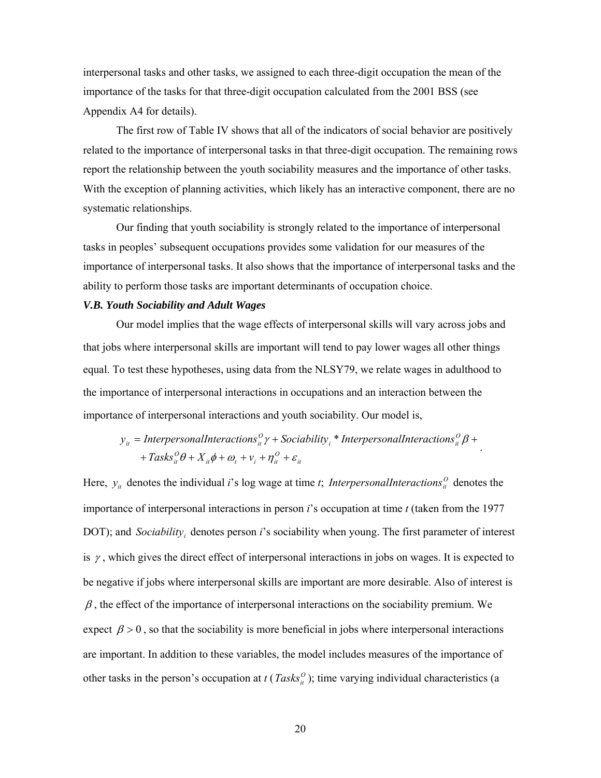interpersonal tasks and other tasks, we assigned to each three-digit occupation the mean of the importance of the tasks for that three-digit occupation calculated from the 2001 BSS (see Appendix A4 for details).

The first row of Table IV shows that all of the indicators of social behavior are positively related to the importance of interpersonal tasks in that three-digit occupation. The remaining rows report the relationship between the youth sociability measures and the importance of other tasks. With the exception of planning activities, which likely has an interactive component, there are no systematic relationships.

Our finding that youth sociability is strongly related to the importance of interpersonal tasks in peoples' subsequent occupations provides some validation for our measures of the importance of interpersonal tasks. It also shows that the importance of interpersonal tasks and the ability to perform those tasks are important determinants of occupation choice.

#### *V.B. Youth Sociability and Adult Wages*

Our model implies that the wage effects of interpersonal skills will vary across jobs and that jobs where interpersonal skills are important will tend to pay lower wages all other things equal. To test these hypotheses, using data from the NLSY79, we relate wages in adulthood to the importance of interpersonal interactions in occupations and an interaction between the importance of interpersonal interactions and youth sociability. Our model is,

$$
y_{it} = Interpersonal Interacations_{it}^O \gamma + Socialality_i * Interpersonal Interacations_{it}^O \beta ++ Tasks_{it}^O \theta + X_{it} \phi + \omega_t + v_i + \eta_{it}^O + \varepsilon_{it}
$$

Here,  $y_{it}$  denotes the individual *i*'s log wage at time *t*; *InterpersonalInteractions*<sup> $\Omega$ </sup> denotes the importance of interpersonal interactions in person *i*'s occupation at time *t* (taken from the 1977 DOT); and *Sociability*, denotes person *i*'s sociability when young. The first parameter of interest is  $\gamma$ , which gives the direct effect of interpersonal interactions in jobs on wages. It is expected to be negative if jobs where interpersonal skills are important are more desirable. Also of interest is  $\beta$ , the effect of the importance of interpersonal interactions on the sociability premium. We expect  $\beta > 0$ , so that the sociability is more beneficial in jobs where interpersonal interactions are important. In addition to these variables, the model includes measures of the importance of other tasks in the person's occupation at  $t$  ( $Tasks<sub>i</sub><sup>o</sup>$ ); time varying individual characteristics (a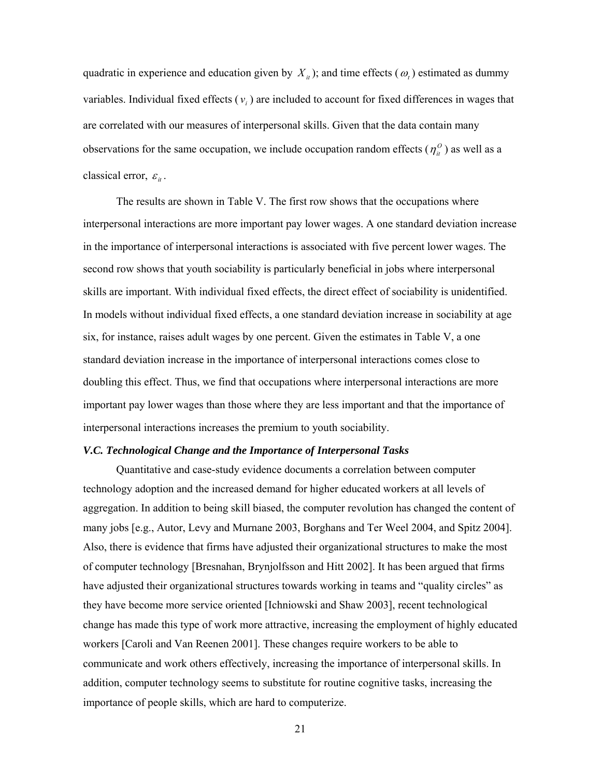quadratic in experience and education given by  $X_{it}$ ); and time effects ( $\omega_t$ ) estimated as dummy variables. Individual fixed effects  $(v_i)$  are included to account for fixed differences in wages that are correlated with our measures of interpersonal skills. Given that the data contain many observations for the same occupation, we include occupation random effects ( $\eta_i^0$ ) as well as a classical error,  $\varepsilon_{it}$ .

The results are shown in Table V. The first row shows that the occupations where interpersonal interactions are more important pay lower wages. A one standard deviation increase in the importance of interpersonal interactions is associated with five percent lower wages. The second row shows that youth sociability is particularly beneficial in jobs where interpersonal skills are important. With individual fixed effects, the direct effect of sociability is unidentified. In models without individual fixed effects, a one standard deviation increase in sociability at age six, for instance, raises adult wages by one percent. Given the estimates in Table V, a one standard deviation increase in the importance of interpersonal interactions comes close to doubling this effect. Thus, we find that occupations where interpersonal interactions are more important pay lower wages than those where they are less important and that the importance of interpersonal interactions increases the premium to youth sociability.

# *V.C. Technological Change and the Importance of Interpersonal Tasks*

Quantitative and case-study evidence documents a correlation between computer technology adoption and the increased demand for higher educated workers at all levels of aggregation. In addition to being skill biased, the computer revolution has changed the content of many jobs [e.g., Autor, Levy and Murnane 2003, Borghans and Ter Weel 2004, and Spitz 2004]. Also, there is evidence that firms have adjusted their organizational structures to make the most of computer technology [Bresnahan, Brynjolfsson and Hitt 2002]. It has been argued that firms have adjusted their organizational structures towards working in teams and "quality circles" as they have become more service oriented [Ichniowski and Shaw 2003], recent technological change has made this type of work more attractive, increasing the employment of highly educated workers [Caroli and Van Reenen 2001]. These changes require workers to be able to communicate and work others effectively, increasing the importance of interpersonal skills. In addition, computer technology seems to substitute for routine cognitive tasks, increasing the importance of people skills, which are hard to computerize.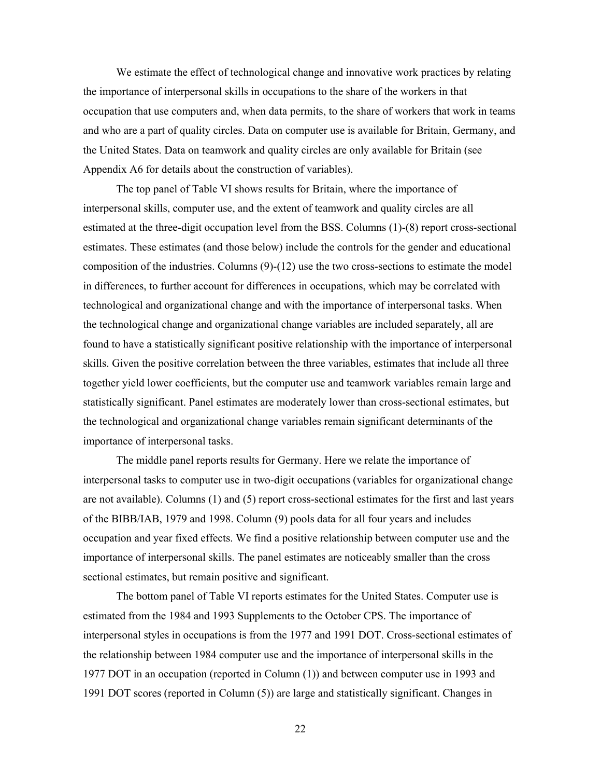We estimate the effect of technological change and innovative work practices by relating the importance of interpersonal skills in occupations to the share of the workers in that occupation that use computers and, when data permits, to the share of workers that work in teams and who are a part of quality circles. Data on computer use is available for Britain, Germany, and the United States. Data on teamwork and quality circles are only available for Britain (see Appendix A6 for details about the construction of variables).

The top panel of Table VI shows results for Britain, where the importance of interpersonal skills, computer use, and the extent of teamwork and quality circles are all estimated at the three-digit occupation level from the BSS. Columns (1)-(8) report cross-sectional estimates. These estimates (and those below) include the controls for the gender and educational composition of the industries. Columns (9)-(12) use the two cross-sections to estimate the model in differences, to further account for differences in occupations, which may be correlated with technological and organizational change and with the importance of interpersonal tasks. When the technological change and organizational change variables are included separately, all are found to have a statistically significant positive relationship with the importance of interpersonal skills. Given the positive correlation between the three variables, estimates that include all three together yield lower coefficients, but the computer use and teamwork variables remain large and statistically significant. Panel estimates are moderately lower than cross-sectional estimates, but the technological and organizational change variables remain significant determinants of the importance of interpersonal tasks.

The middle panel reports results for Germany. Here we relate the importance of interpersonal tasks to computer use in two-digit occupations (variables for organizational change are not available). Columns (1) and (5) report cross-sectional estimates for the first and last years of the BIBB/IAB, 1979 and 1998. Column (9) pools data for all four years and includes occupation and year fixed effects. We find a positive relationship between computer use and the importance of interpersonal skills. The panel estimates are noticeably smaller than the cross sectional estimates, but remain positive and significant.

The bottom panel of Table VI reports estimates for the United States. Computer use is estimated from the 1984 and 1993 Supplements to the October CPS. The importance of interpersonal styles in occupations is from the 1977 and 1991 DOT. Cross-sectional estimates of the relationship between 1984 computer use and the importance of interpersonal skills in the 1977 DOT in an occupation (reported in Column (1)) and between computer use in 1993 and 1991 DOT scores (reported in Column (5)) are large and statistically significant. Changes in

22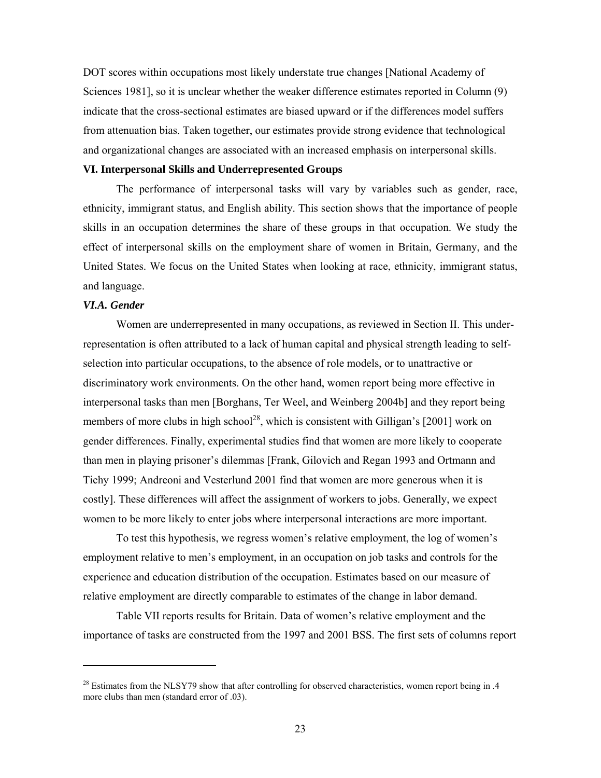DOT scores within occupations most likely understate true changes [National Academy of Sciences 1981], so it is unclear whether the weaker difference estimates reported in Column (9) indicate that the cross-sectional estimates are biased upward or if the differences model suffers from attenuation bias. Taken together, our estimates provide strong evidence that technological and organizational changes are associated with an increased emphasis on interpersonal skills.

# **VI. Interpersonal Skills and Underrepresented Groups**

The performance of interpersonal tasks will vary by variables such as gender, race, ethnicity, immigrant status, and English ability. This section shows that the importance of people skills in an occupation determines the share of these groups in that occupation. We study the effect of interpersonal skills on the employment share of women in Britain, Germany, and the United States. We focus on the United States when looking at race, ethnicity, immigrant status, and language.

# *VI.A. Gender*

 $\overline{a}$ 

Women are underrepresented in many occupations, as reviewed in Section II. This underrepresentation is often attributed to a lack of human capital and physical strength leading to selfselection into particular occupations, to the absence of role models, or to unattractive or discriminatory work environments. On the other hand, women report being more effective in interpersonal tasks than men [Borghans, Ter Weel, and Weinberg 2004b] and they report being members of more clubs in high school<sup>28</sup>, which is consistent with Gilligan's [2001] work on gender differences. Finally, experimental studies find that women are more likely to cooperate than men in playing prisoner's dilemmas [Frank, Gilovich and Regan 1993 and Ortmann and Tichy 1999; Andreoni and Vesterlund 2001 find that women are more generous when it is costly]. These differences will affect the assignment of workers to jobs. Generally, we expect women to be more likely to enter jobs where interpersonal interactions are more important.

To test this hypothesis, we regress women's relative employment, the log of women's employment relative to men's employment, in an occupation on job tasks and controls for the experience and education distribution of the occupation. Estimates based on our measure of relative employment are directly comparable to estimates of the change in labor demand.

Table VII reports results for Britain. Data of women's relative employment and the importance of tasks are constructed from the 1997 and 2001 BSS. The first sets of columns report

<sup>&</sup>lt;sup>28</sup> Estimates from the NLSY79 show that after controlling for observed characteristics, women report being in .4 more clubs than men (standard error of .03).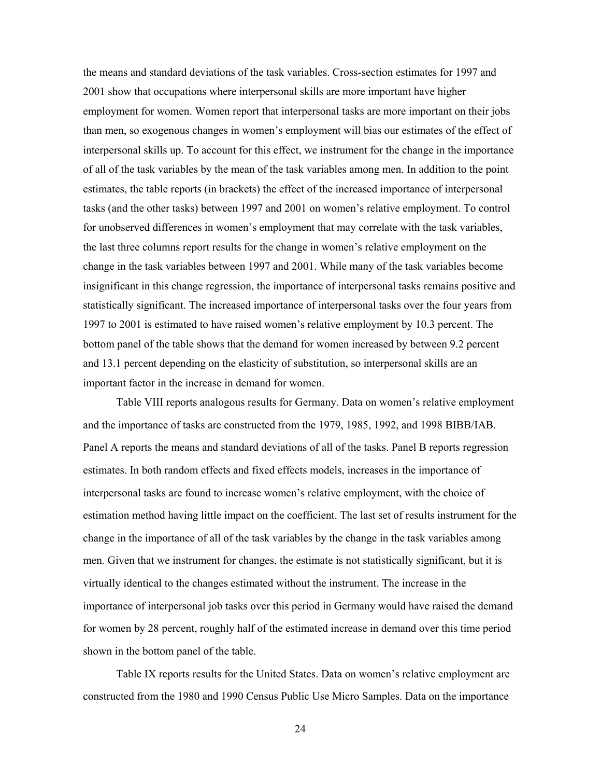the means and standard deviations of the task variables. Cross-section estimates for 1997 and 2001 show that occupations where interpersonal skills are more important have higher employment for women. Women report that interpersonal tasks are more important on their jobs than men, so exogenous changes in women's employment will bias our estimates of the effect of interpersonal skills up. To account for this effect, we instrument for the change in the importance of all of the task variables by the mean of the task variables among men. In addition to the point estimates, the table reports (in brackets) the effect of the increased importance of interpersonal tasks (and the other tasks) between 1997 and 2001 on women's relative employment. To control for unobserved differences in women's employment that may correlate with the task variables, the last three columns report results for the change in women's relative employment on the change in the task variables between 1997 and 2001. While many of the task variables become insignificant in this change regression, the importance of interpersonal tasks remains positive and statistically significant. The increased importance of interpersonal tasks over the four years from 1997 to 2001 is estimated to have raised women's relative employment by 10.3 percent. The bottom panel of the table shows that the demand for women increased by between 9.2 percent and 13.1 percent depending on the elasticity of substitution, so interpersonal skills are an important factor in the increase in demand for women.

Table VIII reports analogous results for Germany. Data on women's relative employment and the importance of tasks are constructed from the 1979, 1985, 1992, and 1998 BIBB/IAB. Panel A reports the means and standard deviations of all of the tasks. Panel B reports regression estimates. In both random effects and fixed effects models, increases in the importance of interpersonal tasks are found to increase women's relative employment, with the choice of estimation method having little impact on the coefficient. The last set of results instrument for the change in the importance of all of the task variables by the change in the task variables among men. Given that we instrument for changes, the estimate is not statistically significant, but it is virtually identical to the changes estimated without the instrument. The increase in the importance of interpersonal job tasks over this period in Germany would have raised the demand for women by 28 percent, roughly half of the estimated increase in demand over this time period shown in the bottom panel of the table.

Table IX reports results for the United States. Data on women's relative employment are constructed from the 1980 and 1990 Census Public Use Micro Samples. Data on the importance

24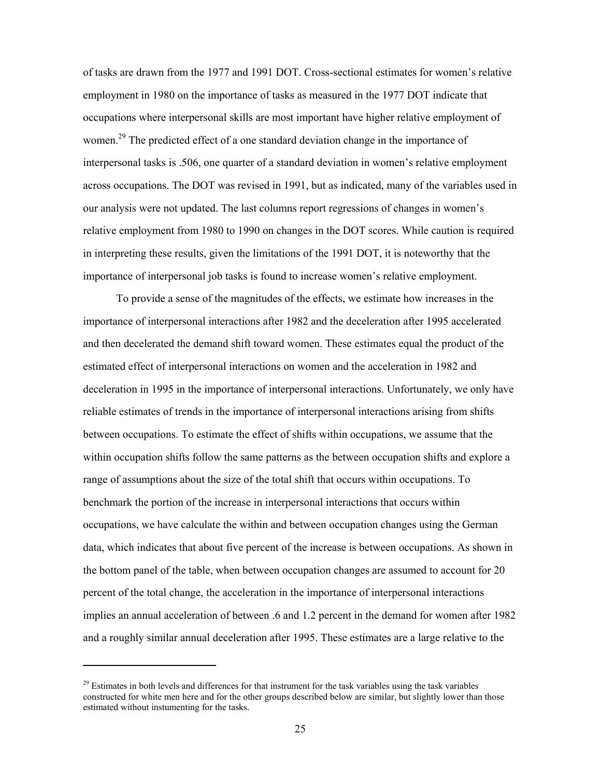of tasks are drawn from the 1977 and 1991 DOT. Cross-sectional estimates for women's relative employment in 1980 on the importance of tasks as measured in the 1977 DOT indicate that occupations where interpersonal skills are most important have higher relative employment of women.<sup>29</sup> The predicted effect of a one standard deviation change in the importance of interpersonal tasks is .506, one quarter of a standard deviation in women's relative employment across occupations. The DOT was revised in 1991, but as indicated, many of the variables used in our analysis were not updated. The last columns report regressions of changes in women's relative employment from 1980 to 1990 on changes in the DOT scores. While caution is required in interpreting these results, given the limitations of the 1991 DOT, it is noteworthy that the importance of interpersonal job tasks is found to increase women's relative employment.

To provide a sense of the magnitudes of the effects, we estimate how increases in the importance of interpersonal interactions after 1982 and the deceleration after 1995 accelerated and then decelerated the demand shift toward women. These estimates equal the product of the estimated effect of interpersonal interactions on women and the acceleration in 1982 and deceleration in 1995 in the importance of interpersonal interactions. Unfortunately, we only have reliable estimates of trends in the importance of interpersonal interactions arising from shifts between occupations. To estimate the effect of shifts within occupations, we assume that the within occupation shifts follow the same patterns as the between occupation shifts and explore a range of assumptions about the size of the total shift that occurs within occupations. To benchmark the portion of the increase in interpersonal interactions that occurs within occupations, we have calculate the within and between occupation changes using the German data, which indicates that about five percent of the increase is between occupations. As shown in the bottom panel of the table, when between occupation changes are assumed to account for 20 percent of the total change, the acceleration in the importance of interpersonal interactions implies an annual acceleration of between .6 and 1.2 percent in the demand for women after 1982 and a roughly similar annual deceleration after 1995. These estimates are a large relative to the

 $\overline{a}$ 

 $29$  Estimates in both levels and differences for that instrument for the task variables using the task variables constructed for white men here and for the other groups described below are similar, but slightly lower than those estimated without instumenting for the tasks.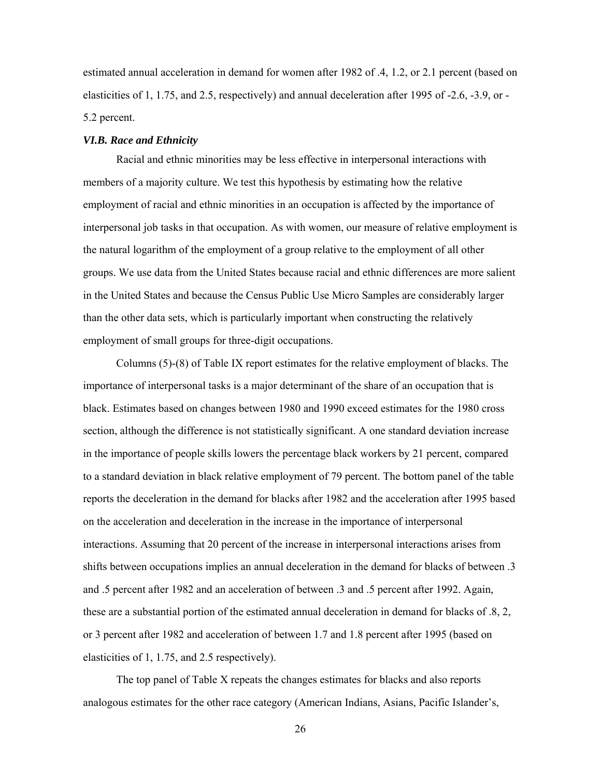estimated annual acceleration in demand for women after 1982 of .4, 1.2, or 2.1 percent (based on elasticities of 1, 1.75, and 2.5, respectively) and annual deceleration after 1995 of -2.6, -3.9, or - 5.2 percent.

# *VI.B. Race and Ethnicity*

Racial and ethnic minorities may be less effective in interpersonal interactions with members of a majority culture. We test this hypothesis by estimating how the relative employment of racial and ethnic minorities in an occupation is affected by the importance of interpersonal job tasks in that occupation. As with women, our measure of relative employment is the natural logarithm of the employment of a group relative to the employment of all other groups. We use data from the United States because racial and ethnic differences are more salient in the United States and because the Census Public Use Micro Samples are considerably larger than the other data sets, which is particularly important when constructing the relatively employment of small groups for three-digit occupations.

Columns (5)-(8) of Table IX report estimates for the relative employment of blacks. The importance of interpersonal tasks is a major determinant of the share of an occupation that is black. Estimates based on changes between 1980 and 1990 exceed estimates for the 1980 cross section, although the difference is not statistically significant. A one standard deviation increase in the importance of people skills lowers the percentage black workers by 21 percent, compared to a standard deviation in black relative employment of 79 percent. The bottom panel of the table reports the deceleration in the demand for blacks after 1982 and the acceleration after 1995 based on the acceleration and deceleration in the increase in the importance of interpersonal interactions. Assuming that 20 percent of the increase in interpersonal interactions arises from shifts between occupations implies an annual deceleration in the demand for blacks of between .3 and .5 percent after 1982 and an acceleration of between .3 and .5 percent after 1992. Again, these are a substantial portion of the estimated annual deceleration in demand for blacks of .8, 2, or 3 percent after 1982 and acceleration of between 1.7 and 1.8 percent after 1995 (based on elasticities of 1, 1.75, and 2.5 respectively).

The top panel of Table X repeats the changes estimates for blacks and also reports analogous estimates for the other race category (American Indians, Asians, Pacific Islander's,

26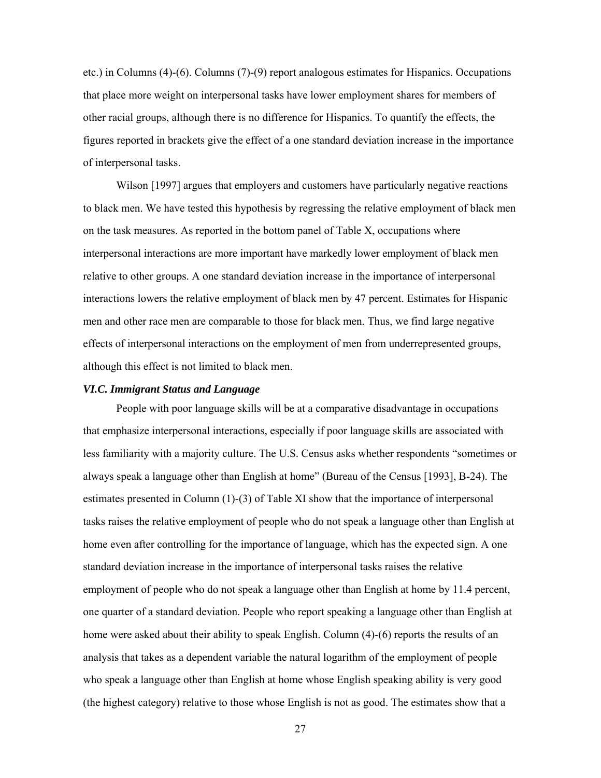etc.) in Columns (4)-(6). Columns (7)-(9) report analogous estimates for Hispanics. Occupations that place more weight on interpersonal tasks have lower employment shares for members of other racial groups, although there is no difference for Hispanics. To quantify the effects, the figures reported in brackets give the effect of a one standard deviation increase in the importance of interpersonal tasks.

Wilson [1997] argues that employers and customers have particularly negative reactions to black men. We have tested this hypothesis by regressing the relative employment of black men on the task measures. As reported in the bottom panel of Table X, occupations where interpersonal interactions are more important have markedly lower employment of black men relative to other groups. A one standard deviation increase in the importance of interpersonal interactions lowers the relative employment of black men by 47 percent. Estimates for Hispanic men and other race men are comparable to those for black men. Thus, we find large negative effects of interpersonal interactions on the employment of men from underrepresented groups, although this effect is not limited to black men.

# *VI.C. Immigrant Status and Language*

People with poor language skills will be at a comparative disadvantage in occupations that emphasize interpersonal interactions, especially if poor language skills are associated with less familiarity with a majority culture. The U.S. Census asks whether respondents "sometimes or always speak a language other than English at home" (Bureau of the Census [1993], B-24). The estimates presented in Column (1)-(3) of Table XI show that the importance of interpersonal tasks raises the relative employment of people who do not speak a language other than English at home even after controlling for the importance of language, which has the expected sign. A one standard deviation increase in the importance of interpersonal tasks raises the relative employment of people who do not speak a language other than English at home by 11.4 percent, one quarter of a standard deviation. People who report speaking a language other than English at home were asked about their ability to speak English. Column (4)-(6) reports the results of an analysis that takes as a dependent variable the natural logarithm of the employment of people who speak a language other than English at home whose English speaking ability is very good (the highest category) relative to those whose English is not as good. The estimates show that a

27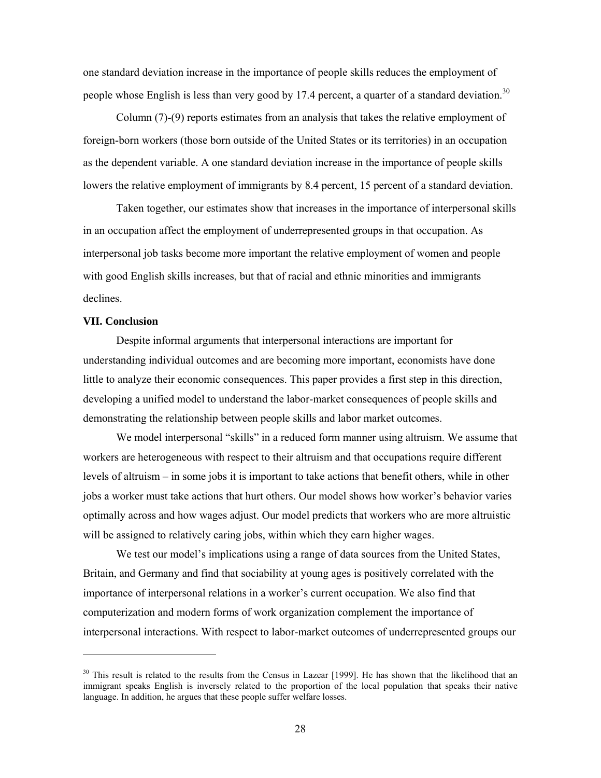one standard deviation increase in the importance of people skills reduces the employment of people whose English is less than very good by 17.4 percent, a quarter of a standard deviation.<sup>30</sup>

Column (7)-(9) reports estimates from an analysis that takes the relative employment of foreign-born workers (those born outside of the United States or its territories) in an occupation as the dependent variable. A one standard deviation increase in the importance of people skills lowers the relative employment of immigrants by 8.4 percent, 15 percent of a standard deviation.

Taken together, our estimates show that increases in the importance of interpersonal skills in an occupation affect the employment of underrepresented groups in that occupation. As interpersonal job tasks become more important the relative employment of women and people with good English skills increases, but that of racial and ethnic minorities and immigrants declines.

# **VII. Conclusion**

Despite informal arguments that interpersonal interactions are important for understanding individual outcomes and are becoming more important, economists have done little to analyze their economic consequences. This paper provides a first step in this direction, developing a unified model to understand the labor-market consequences of people skills and demonstrating the relationship between people skills and labor market outcomes.

We model interpersonal "skills" in a reduced form manner using altruism. We assume that workers are heterogeneous with respect to their altruism and that occupations require different levels of altruism – in some jobs it is important to take actions that benefit others, while in other jobs a worker must take actions that hurt others. Our model shows how worker's behavior varies optimally across and how wages adjust. Our model predicts that workers who are more altruistic will be assigned to relatively caring jobs, within which they earn higher wages.

We test our model's implications using a range of data sources from the United States, Britain, and Germany and find that sociability at young ages is positively correlated with the importance of interpersonal relations in a worker's current occupation. We also find that computerization and modern forms of work organization complement the importance of interpersonal interactions. With respect to labor-market outcomes of underrepresented groups our

 $30$  This result is related to the results from the Census in Lazear [1999]. He has shown that the likelihood that an immigrant speaks English is inversely related to the proportion of the local population that speaks their native language. In addition, he argues that these people suffer welfare losses.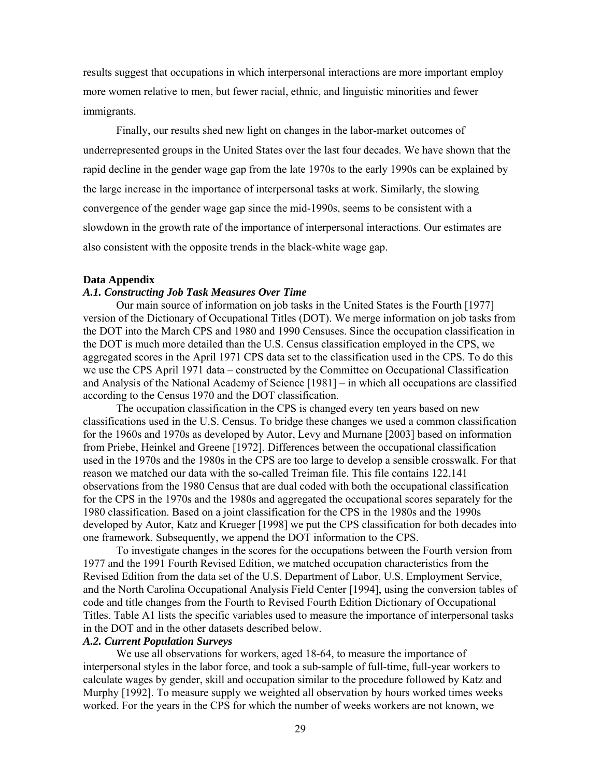results suggest that occupations in which interpersonal interactions are more important employ more women relative to men, but fewer racial, ethnic, and linguistic minorities and fewer immigrants.

Finally, our results shed new light on changes in the labor-market outcomes of underrepresented groups in the United States over the last four decades. We have shown that the rapid decline in the gender wage gap from the late 1970s to the early 1990s can be explained by the large increase in the importance of interpersonal tasks at work. Similarly, the slowing convergence of the gender wage gap since the mid-1990s, seems to be consistent with a slowdown in the growth rate of the importance of interpersonal interactions. Our estimates are also consistent with the opposite trends in the black-white wage gap.

#### **Data Appendix**

# *A.1. Constructing Job Task Measures Over Time*

Our main source of information on job tasks in the United States is the Fourth [1977] version of the Dictionary of Occupational Titles (DOT). We merge information on job tasks from the DOT into the March CPS and 1980 and 1990 Censuses. Since the occupation classification in the DOT is much more detailed than the U.S. Census classification employed in the CPS, we aggregated scores in the April 1971 CPS data set to the classification used in the CPS. To do this we use the CPS April 1971 data – constructed by the Committee on Occupational Classification and Analysis of the National Academy of Science [1981] – in which all occupations are classified according to the Census 1970 and the DOT classification.

The occupation classification in the CPS is changed every ten years based on new classifications used in the U.S. Census. To bridge these changes we used a common classification for the 1960s and 1970s as developed by Autor, Levy and Murnane [2003] based on information from Priebe, Heinkel and Greene [1972]. Differences between the occupational classification used in the 1970s and the 1980s in the CPS are too large to develop a sensible crosswalk. For that reason we matched our data with the so-called Treiman file. This file contains 122,141 observations from the 1980 Census that are dual coded with both the occupational classification for the CPS in the 1970s and the 1980s and aggregated the occupational scores separately for the 1980 classification. Based on a joint classification for the CPS in the 1980s and the 1990s developed by Autor, Katz and Krueger [1998] we put the CPS classification for both decades into one framework. Subsequently, we append the DOT information to the CPS.

To investigate changes in the scores for the occupations between the Fourth version from 1977 and the 1991 Fourth Revised Edition, we matched occupation characteristics from the Revised Edition from the data set of the U.S. Department of Labor, U.S. Employment Service, and the North Carolina Occupational Analysis Field Center [1994], using the conversion tables of code and title changes from the Fourth to Revised Fourth Edition Dictionary of Occupational Titles. Table A1 lists the specific variables used to measure the importance of interpersonal tasks in the DOT and in the other datasets described below.

#### *A.2. Current Population Surveys*

We use all observations for workers, aged 18-64, to measure the importance of interpersonal styles in the labor force, and took a sub-sample of full-time, full-year workers to calculate wages by gender, skill and occupation similar to the procedure followed by Katz and Murphy [1992]. To measure supply we weighted all observation by hours worked times weeks worked. For the years in the CPS for which the number of weeks workers are not known, we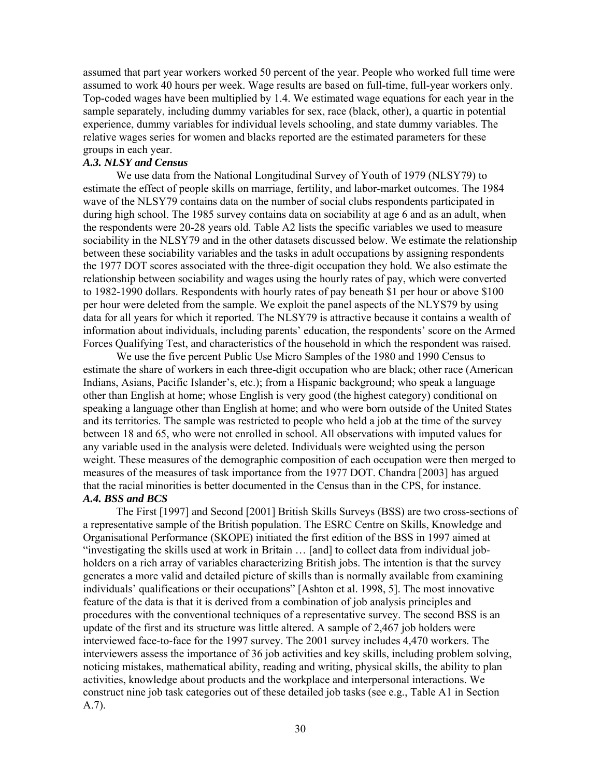assumed that part year workers worked 50 percent of the year. People who worked full time were assumed to work 40 hours per week. Wage results are based on full-time, full-year workers only. Top-coded wages have been multiplied by 1.4. We estimated wage equations for each year in the sample separately, including dummy variables for sex, race (black, other), a quartic in potential experience, dummy variables for individual levels schooling, and state dummy variables. The relative wages series for women and blacks reported are the estimated parameters for these groups in each year.

# *A.3. NLSY and Census*

We use data from the National Longitudinal Survey of Youth of 1979 (NLSY79) to estimate the effect of people skills on marriage, fertility, and labor-market outcomes. The 1984 wave of the NLSY79 contains data on the number of social clubs respondents participated in during high school. The 1985 survey contains data on sociability at age 6 and as an adult, when the respondents were 20-28 years old. Table A2 lists the specific variables we used to measure sociability in the NLSY79 and in the other datasets discussed below. We estimate the relationship between these sociability variables and the tasks in adult occupations by assigning respondents the 1977 DOT scores associated with the three-digit occupation they hold. We also estimate the relationship between sociability and wages using the hourly rates of pay, which were converted to 1982-1990 dollars. Respondents with hourly rates of pay beneath \$1 per hour or above \$100 per hour were deleted from the sample. We exploit the panel aspects of the NLYS79 by using data for all years for which it reported. The NLSY79 is attractive because it contains a wealth of information about individuals, including parents' education, the respondents' score on the Armed Forces Qualifying Test, and characteristics of the household in which the respondent was raised.

We use the five percent Public Use Micro Samples of the 1980 and 1990 Census to estimate the share of workers in each three-digit occupation who are black; other race (American Indians, Asians, Pacific Islander's, etc.); from a Hispanic background; who speak a language other than English at home; whose English is very good (the highest category) conditional on speaking a language other than English at home; and who were born outside of the United States and its territories. The sample was restricted to people who held a job at the time of the survey between 18 and 65, who were not enrolled in school. All observations with imputed values for any variable used in the analysis were deleted. Individuals were weighted using the person weight. These measures of the demographic composition of each occupation were then merged to measures of the measures of task importance from the 1977 DOT. Chandra [2003] has argued that the racial minorities is better documented in the Census than in the CPS, for instance. *A.4. BSS and BCS* 

 The First [1997] and Second [2001] British Skills Surveys (BSS) are two cross-sections of a representative sample of the British population. The ESRC Centre on Skills, Knowledge and Organisational Performance (SKOPE) initiated the first edition of the BSS in 1997 aimed at "investigating the skills used at work in Britain … [and] to collect data from individual jobholders on a rich array of variables characterizing British jobs. The intention is that the survey generates a more valid and detailed picture of skills than is normally available from examining individuals' qualifications or their occupations" [Ashton et al. 1998, 5]. The most innovative feature of the data is that it is derived from a combination of job analysis principles and procedures with the conventional techniques of a representative survey. The second BSS is an update of the first and its structure was little altered. A sample of 2,467 job holders were interviewed face-to-face for the 1997 survey. The 2001 survey includes 4,470 workers. The interviewers assess the importance of 36 job activities and key skills, including problem solving, noticing mistakes, mathematical ability, reading and writing, physical skills, the ability to plan activities, knowledge about products and the workplace and interpersonal interactions. We construct nine job task categories out of these detailed job tasks (see e.g., Table A1 in Section A.7).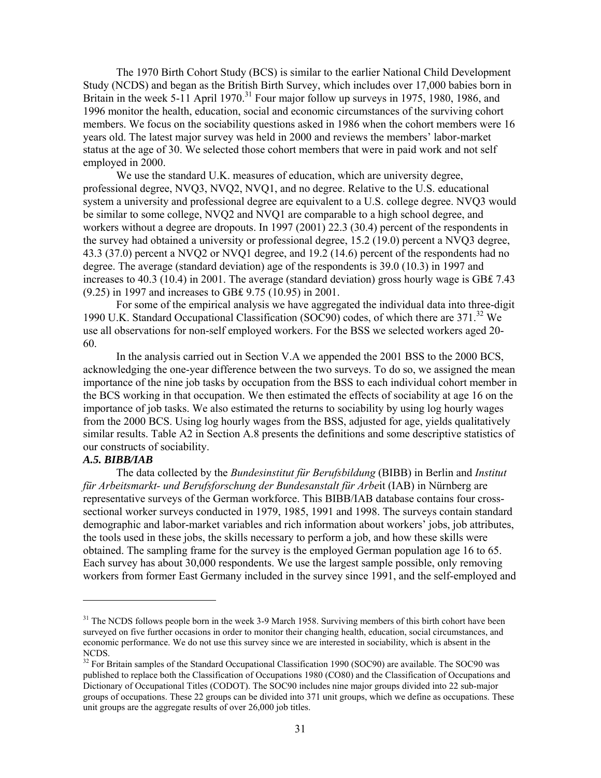The 1970 Birth Cohort Study (BCS) is similar to the earlier National Child Development Study (NCDS) and began as the British Birth Survey, which includes over 17,000 babies born in Britain in the week 5-11 April 1970.<sup>31</sup> Four major follow up surveys in 1975, 1980, 1986, and 1996 monitor the health, education, social and economic circumstances of the surviving cohort members. We focus on the sociability questions asked in 1986 when the cohort members were 16 years old. The latest major survey was held in 2000 and reviews the members' labor-market status at the age of 30. We selected those cohort members that were in paid work and not self employed in 2000.

We use the standard U.K. measures of education, which are university degree, professional degree, NVQ3, NVQ2, NVQ1, and no degree. Relative to the U.S. educational system a university and professional degree are equivalent to a U.S. college degree. NVQ3 would be similar to some college, NVQ2 and NVQ1 are comparable to a high school degree, and workers without a degree are dropouts. In 1997 (2001) 22.3 (30.4) percent of the respondents in the survey had obtained a university or professional degree, 15.2 (19.0) percent a NVQ3 degree, 43.3 (37.0) percent a NVQ2 or NVQ1 degree, and 19.2 (14.6) percent of the respondents had no degree. The average (standard deviation) age of the respondents is 39.0 (10.3) in 1997 and increases to 40.3 (10.4) in 2001. The average (standard deviation) gross hourly wage is GB₤ 7.43 (9.25) in 1997 and increases to GB₤ 9.75 (10.95) in 2001.

For some of the empirical analysis we have aggregated the individual data into three-digit 1990 U.K. Standard Occupational Classification (SOC90) codes, of which there are  $371.^{32}$  We use all observations for non-self employed workers. For the BSS we selected workers aged 20- 60.

In the analysis carried out in Section V.A we appended the 2001 BSS to the 2000 BCS, acknowledging the one-year difference between the two surveys. To do so, we assigned the mean importance of the nine job tasks by occupation from the BSS to each individual cohort member in the BCS working in that occupation. We then estimated the effects of sociability at age 16 on the importance of job tasks. We also estimated the returns to sociability by using log hourly wages from the 2000 BCS. Using log hourly wages from the BSS, adjusted for age, yields qualitatively similar results. Table A2 in Section A.8 presents the definitions and some descriptive statistics of our constructs of sociability.

# *A.5. BIBB/IAB*

 $\overline{a}$ 

The data collected by the *Bundesinstitut für Berufsbildung* (BIBB) in Berlin and *Institut für Arbeitsmarkt- und Berufsforschung der Bundesanstalt für Arbe*it (IAB) in Nürnberg are representative surveys of the German workforce. This BIBB/IAB database contains four crosssectional worker surveys conducted in 1979, 1985, 1991 and 1998. The surveys contain standard demographic and labor-market variables and rich information about workers' jobs, job attributes, the tools used in these jobs, the skills necessary to perform a job, and how these skills were obtained. The sampling frame for the survey is the employed German population age 16 to 65. Each survey has about 30,000 respondents. We use the largest sample possible, only removing workers from former East Germany included in the survey since 1991, and the self-employed and

<sup>&</sup>lt;sup>31</sup> The NCDS follows people born in the week 3-9 March 1958. Surviving members of this birth cohort have been surveyed on five further occasions in order to monitor their changing health, education, social circumstances, and economic performance. We do not use this survey since we are interested in sociability, which is absent in the NCDS.

<sup>&</sup>lt;sup>32</sup> For Britain samples of the Standard Occupational Classification 1990 (SOC90) are available. The SOC90 was published to replace both the Classification of Occupations 1980 (CO80) and the Classification of Occupations and Dictionary of Occupational Titles (CODOT). The SOC90 includes nine major groups divided into 22 sub-major groups of occupations. These 22 groups can be divided into 371 unit groups, which we define as occupations. These unit groups are the aggregate results of over 26,000 job titles.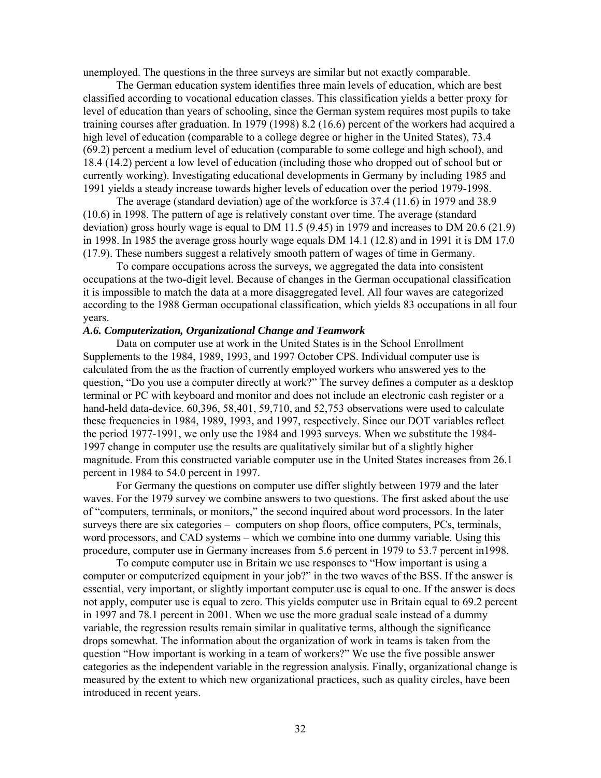unemployed. The questions in the three surveys are similar but not exactly comparable.

The German education system identifies three main levels of education, which are best classified according to vocational education classes. This classification yields a better proxy for level of education than years of schooling, since the German system requires most pupils to take training courses after graduation. In 1979 (1998) 8.2 (16.6) percent of the workers had acquired a high level of education (comparable to a college degree or higher in the United States), 73.4 (69.2) percent a medium level of education (comparable to some college and high school), and 18.4 (14.2) percent a low level of education (including those who dropped out of school but or currently working). Investigating educational developments in Germany by including 1985 and 1991 yields a steady increase towards higher levels of education over the period 1979-1998.

The average (standard deviation) age of the workforce is 37.4 (11.6) in 1979 and 38.9 (10.6) in 1998. The pattern of age is relatively constant over time. The average (standard deviation) gross hourly wage is equal to DM 11.5 (9.45) in 1979 and increases to DM 20.6 (21.9) in 1998. In 1985 the average gross hourly wage equals DM 14.1 (12.8) and in 1991 it is DM 17.0 (17.9). These numbers suggest a relatively smooth pattern of wages of time in Germany.

To compare occupations across the surveys, we aggregated the data into consistent occupations at the two-digit level. Because of changes in the German occupational classification it is impossible to match the data at a more disaggregated level. All four waves are categorized according to the 1988 German occupational classification, which yields 83 occupations in all four years.

# *A.6. Computerization, Organizational Change and Teamwork*

 Data on computer use at work in the United States is in the School Enrollment Supplements to the 1984, 1989, 1993, and 1997 October CPS. Individual computer use is calculated from the as the fraction of currently employed workers who answered yes to the question, "Do you use a computer directly at work?" The survey defines a computer as a desktop terminal or PC with keyboard and monitor and does not include an electronic cash register or a hand-held data-device. 60,396, 58,401, 59,710, and 52,753 observations were used to calculate these frequencies in 1984, 1989, 1993, and 1997, respectively. Since our DOT variables reflect the period 1977-1991, we only use the 1984 and 1993 surveys. When we substitute the 1984- 1997 change in computer use the results are qualitatively similar but of a slightly higher magnitude. From this constructed variable computer use in the United States increases from 26.1 percent in 1984 to 54.0 percent in 1997.

 For Germany the questions on computer use differ slightly between 1979 and the later waves. For the 1979 survey we combine answers to two questions. The first asked about the use of "computers, terminals, or monitors," the second inquired about word processors. In the later surveys there are six categories – computers on shop floors, office computers, PCs, terminals, word processors, and CAD systems – which we combine into one dummy variable. Using this procedure, computer use in Germany increases from 5.6 percent in 1979 to 53.7 percent in1998.

 To compute computer use in Britain we use responses to "How important is using a computer or computerized equipment in your job?" in the two waves of the BSS. If the answer is essential, very important, or slightly important computer use is equal to one. If the answer is does not apply, computer use is equal to zero. This yields computer use in Britain equal to 69.2 percent in 1997 and 78.1 percent in 2001. When we use the more gradual scale instead of a dummy variable, the regression results remain similar in qualitative terms, although the significance drops somewhat. The information about the organization of work in teams is taken from the question "How important is working in a team of workers?" We use the five possible answer categories as the independent variable in the regression analysis. Finally, organizational change is measured by the extent to which new organizational practices, such as quality circles, have been introduced in recent years.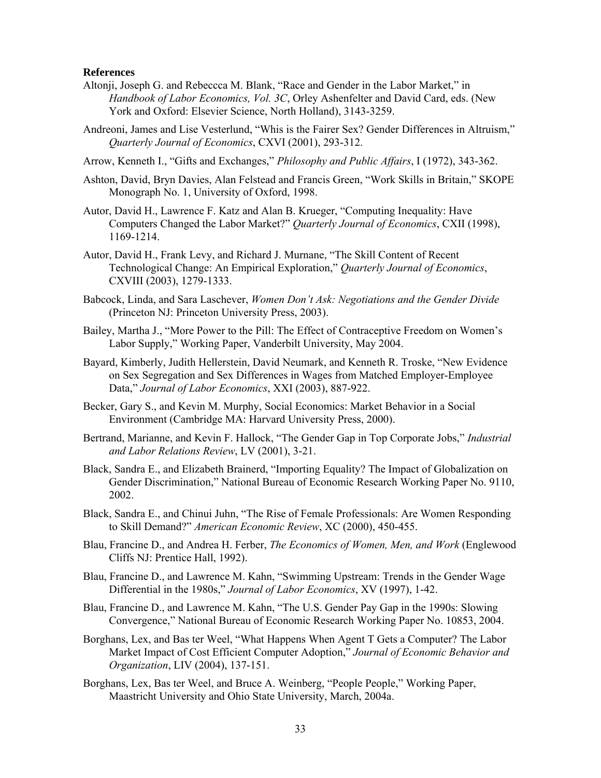# **References**

- Altonji, Joseph G. and Rebeccca M. Blank, "Race and Gender in the Labor Market," in *Handbook of Labor Economics, Vol. 3C*, Orley Ashenfelter and David Card, eds. (New York and Oxford: Elsevier Science, North Holland), 3143-3259.
- Andreoni, James and Lise Vesterlund, "Whis is the Fairer Sex? Gender Differences in Altruism," *Quarterly Journal of Economics*, CXVI (2001), 293-312.
- Arrow, Kenneth I., "Gifts and Exchanges," *Philosophy and Public Affairs*, I (1972), 343-362.
- Ashton, David, Bryn Davies, Alan Felstead and Francis Green, "Work Skills in Britain," SKOPE Monograph No. 1, University of Oxford, 1998.
- Autor, David H., Lawrence F. Katz and Alan B. Krueger, "Computing Inequality: Have Computers Changed the Labor Market?" *Quarterly Journal of Economics*, CXII (1998), 1169-1214.
- Autor, David H., Frank Levy, and Richard J. Murnane, "The Skill Content of Recent Technological Change: An Empirical Exploration," *Quarterly Journal of Economics*, CXVIII (2003), 1279-1333.
- Babcock, Linda, and Sara Laschever, *Women Don't Ask: Negotiations and the Gender Divide* (Princeton NJ: Princeton University Press, 2003).
- Bailey, Martha J., "More Power to the Pill: The Effect of Contraceptive Freedom on Women's Labor Supply," Working Paper, Vanderbilt University, May 2004.
- Bayard, Kimberly, Judith Hellerstein, David Neumark, and Kenneth R. Troske, "New Evidence on Sex Segregation and Sex Differences in Wages from Matched Employer-Employee Data," *Journal of Labor Economics*, XXI (2003), 887-922.
- Becker, Gary S., and Kevin M. Murphy, Social Economics: Market Behavior in a Social Environment (Cambridge MA: Harvard University Press, 2000).
- Bertrand, Marianne, and Kevin F. Hallock, "The Gender Gap in Top Corporate Jobs," *Industrial and Labor Relations Review*, LV (2001), 3-21.
- Black, Sandra E., and Elizabeth Brainerd, "Importing Equality? The Impact of Globalization on Gender Discrimination," National Bureau of Economic Research Working Paper No. 9110, 2002.
- Black, Sandra E., and Chinui Juhn, "The Rise of Female Professionals: Are Women Responding to Skill Demand?" *American Economic Review*, XC (2000), 450-455.
- Blau, Francine D., and Andrea H. Ferber, *The Economics of Women, Men, and Work* (Englewood Cliffs NJ: Prentice Hall, 1992).
- Blau, Francine D., and Lawrence M. Kahn, "Swimming Upstream: Trends in the Gender Wage Differential in the 1980s," *Journal of Labor Economics*, XV (1997), 1-42.
- Blau, Francine D., and Lawrence M. Kahn, "The U.S. Gender Pay Gap in the 1990s: Slowing Convergence," National Bureau of Economic Research Working Paper No. 10853, 2004.
- Borghans, Lex, and Bas ter Weel, "What Happens When Agent T Gets a Computer? The Labor Market Impact of Cost Efficient Computer Adoption," *Journal of Economic Behavior and Organization*, LIV (2004), 137-151.
- Borghans, Lex, Bas ter Weel, and Bruce A. Weinberg, "People People," Working Paper, Maastricht University and Ohio State University, March, 2004a.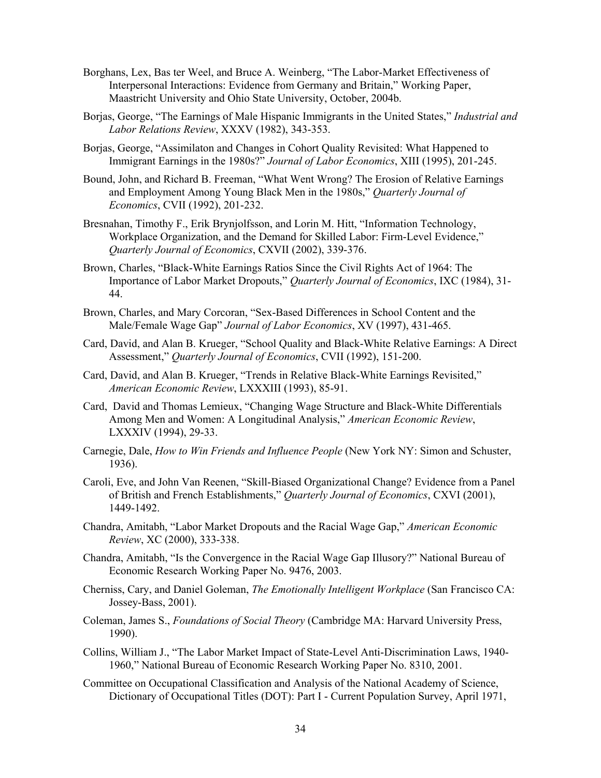- Borghans, Lex, Bas ter Weel, and Bruce A. Weinberg, "The Labor-Market Effectiveness of Interpersonal Interactions: Evidence from Germany and Britain," Working Paper, Maastricht University and Ohio State University, October, 2004b.
- Borjas, George, "The Earnings of Male Hispanic Immigrants in the United States," *Industrial and Labor Relations Review*, XXXV (1982), 343-353.
- Borjas, George, "Assimilaton and Changes in Cohort Quality Revisited: What Happened to Immigrant Earnings in the 1980s?" *Journal of Labor Economics*, XIII (1995), 201-245.
- Bound, John, and Richard B. Freeman, "What Went Wrong? The Erosion of Relative Earnings and Employment Among Young Black Men in the 1980s," *Quarterly Journal of Economics*, CVII (1992), 201-232.
- Bresnahan, Timothy F., Erik Brynjolfsson, and Lorin M. Hitt, "Information Technology, Workplace Organization, and the Demand for Skilled Labor: Firm-Level Evidence," *Quarterly Journal of Economics*, CXVII (2002), 339-376.
- Brown, Charles, "Black-White Earnings Ratios Since the Civil Rights Act of 1964: The Importance of Labor Market Dropouts," *Quarterly Journal of Economics*, IXC (1984), 31- 44.
- Brown, Charles, and Mary Corcoran, "Sex-Based Differences in School Content and the Male/Female Wage Gap" *Journal of Labor Economics*, XV (1997), 431-465.
- Card, David, and Alan B. Krueger, "School Quality and Black-White Relative Earnings: A Direct Assessment," *Quarterly Journal of Economics*, CVII (1992), 151-200.
- Card, David, and Alan B. Krueger, "Trends in Relative Black-White Earnings Revisited," *American Economic Review*, LXXXIII (1993), 85-91.
- Card, David and Thomas Lemieux, "Changing Wage Structure and Black-White Differentials Among Men and Women: A Longitudinal Analysis," *American Economic Review*, LXXXIV (1994), 29-33.
- Carnegie, Dale, *How to Win Friends and Influence People* (New York NY: Simon and Schuster, 1936).
- Caroli, Eve, and John Van Reenen, "Skill-Biased Organizational Change? Evidence from a Panel of British and French Establishments," *Quarterly Journal of Economics*, CXVI (2001), 1449-1492.
- Chandra, Amitabh, "Labor Market Dropouts and the Racial Wage Gap," *American Economic Review*, XC (2000), 333-338.
- Chandra, Amitabh, "Is the Convergence in the Racial Wage Gap Illusory?" National Bureau of Economic Research Working Paper No. 9476, 2003.
- Cherniss, Cary, and Daniel Goleman, *The Emotionally Intelligent Workplace* (San Francisco CA: Jossey-Bass, 2001).
- Coleman, James S., *Foundations of Social Theory* (Cambridge MA: Harvard University Press, 1990).
- Collins, William J., "The Labor Market Impact of State-Level Anti-Discrimination Laws, 1940- 1960," National Bureau of Economic Research Working Paper No. 8310, 2001.
- Committee on Occupational Classification and Analysis of the National Academy of Science, Dictionary of Occupational Titles (DOT): Part I - Current Population Survey, April 1971,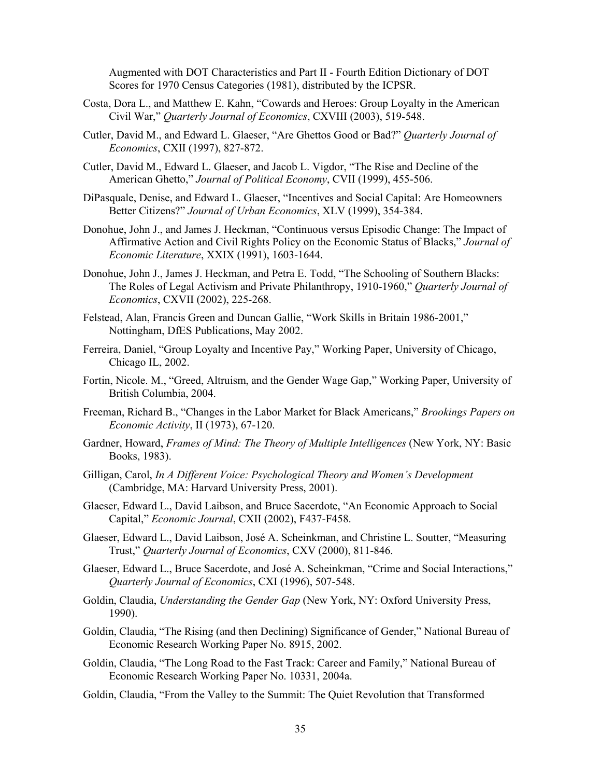Augmented with DOT Characteristics and Part II - Fourth Edition Dictionary of DOT Scores for 1970 Census Categories (1981), distributed by the ICPSR.

- Costa, Dora L., and Matthew E. Kahn, "Cowards and Heroes: Group Loyalty in the American Civil War," *Quarterly Journal of Economics*, CXVIII (2003), 519-548.
- Cutler, David M., and Edward L. Glaeser, "Are Ghettos Good or Bad?" *Quarterly Journal of Economics*, CXII (1997), 827-872.
- Cutler, David M., Edward L. Glaeser, and Jacob L. Vigdor, "The Rise and Decline of the American Ghetto," *Journal of Political Economy*, CVII (1999), 455-506.
- DiPasquale, Denise, and Edward L. Glaeser, "Incentives and Social Capital: Are Homeowners Better Citizens?" *Journal of Urban Economics*, XLV (1999), 354-384.
- Donohue, John J., and James J. Heckman, "Continuous versus Episodic Change: The Impact of Affirmative Action and Civil Rights Policy on the Economic Status of Blacks," *Journal of Economic Literature*, XXIX (1991), 1603-1644.
- Donohue, John J., James J. Heckman, and Petra E. Todd, "The Schooling of Southern Blacks: The Roles of Legal Activism and Private Philanthropy, 1910-1960," *Quarterly Journal of Economics*, CXVII (2002), 225-268.
- Felstead, Alan, Francis Green and Duncan Gallie, "Work Skills in Britain 1986-2001," Nottingham, DfES Publications, May 2002.
- Ferreira, Daniel, "Group Loyalty and Incentive Pay," Working Paper, University of Chicago, Chicago IL, 2002.
- Fortin, Nicole. M., "Greed, Altruism, and the Gender Wage Gap," Working Paper, University of British Columbia, 2004.
- Freeman, Richard B., "Changes in the Labor Market for Black Americans," *Brookings Papers on Economic Activity*, II (1973), 67-120.
- Gardner, Howard, *Frames of Mind: The Theory of Multiple Intelligences* (New York, NY: Basic Books, 1983).
- Gilligan, Carol, *In A Different Voice: Psychological Theory and Women's Development* (Cambridge, MA: Harvard University Press, 2001).
- Glaeser, Edward L., David Laibson, and Bruce Sacerdote, "An Economic Approach to Social Capital," *Economic Journal*, CXII (2002), F437-F458.
- Glaeser, Edward L., David Laibson, José A. Scheinkman, and Christine L. Soutter, "Measuring Trust," *Quarterly Journal of Economics*, CXV (2000), 811-846.
- Glaeser, Edward L., Bruce Sacerdote, and José A. Scheinkman, "Crime and Social Interactions," *Quarterly Journal of Economics*, CXI (1996), 507-548.
- Goldin, Claudia, *Understanding the Gender Gap* (New York, NY: Oxford University Press, 1990).
- Goldin, Claudia, "The Rising (and then Declining) Significance of Gender," National Bureau of Economic Research Working Paper No. 8915, 2002.
- Goldin, Claudia, "The Long Road to the Fast Track: Career and Family," National Bureau of Economic Research Working Paper No. 10331, 2004a.
- Goldin, Claudia, "From the Valley to the Summit: The Quiet Revolution that Transformed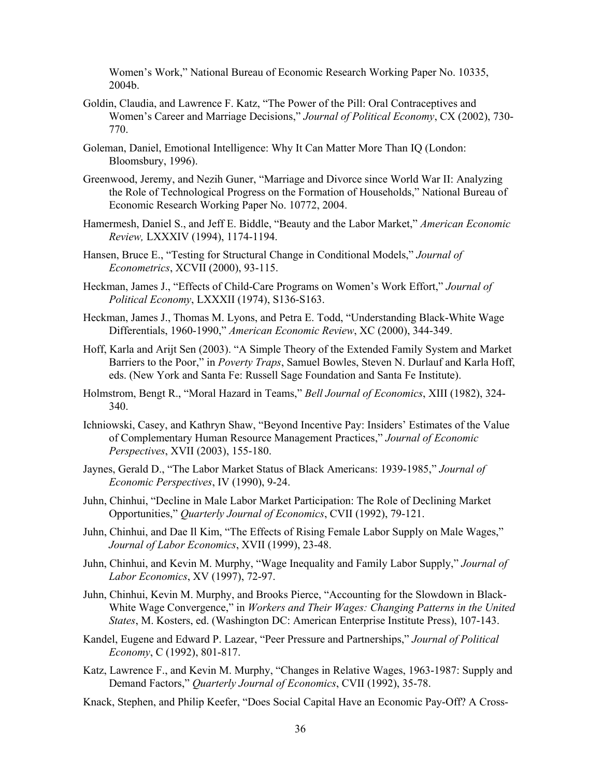Women's Work," National Bureau of Economic Research Working Paper No. 10335, 2004b.

- Goldin, Claudia, and Lawrence F. Katz, "The Power of the Pill: Oral Contraceptives and Women's Career and Marriage Decisions," *Journal of Political Economy*, CX (2002), 730- 770.
- Goleman, Daniel, Emotional Intelligence: Why It Can Matter More Than IQ (London: Bloomsbury, 1996).
- Greenwood, Jeremy, and Nezih Guner, "Marriage and Divorce since World War II: Analyzing the Role of Technological Progress on the Formation of Households," National Bureau of Economic Research Working Paper No. 10772, 2004.
- Hamermesh, Daniel S., and Jeff E. Biddle, "Beauty and the Labor Market," *American Economic Review,* LXXXIV (1994), 1174-1194.
- Hansen, Bruce E., "Testing for Structural Change in Conditional Models," *Journal of Econometrics*, XCVII (2000), 93-115.
- Heckman, James J., "Effects of Child-Care Programs on Women's Work Effort," *Journal of Political Economy*, LXXXII (1974), S136-S163.
- Heckman, James J., Thomas M. Lyons, and Petra E. Todd, "Understanding Black-White Wage Differentials, 1960-1990," *American Economic Review*, XC (2000), 344-349.
- Hoff, Karla and Arijt Sen (2003). "A Simple Theory of the Extended Family System and Market Barriers to the Poor," in *Poverty Traps*, Samuel Bowles, Steven N. Durlauf and Karla Hoff, eds. (New York and Santa Fe: Russell Sage Foundation and Santa Fe Institute).
- Holmstrom, Bengt R., "Moral Hazard in Teams," *Bell Journal of Economics*, XIII (1982), 324- 340.
- Ichniowski, Casey, and Kathryn Shaw, "Beyond Incentive Pay: Insiders' Estimates of the Value of Complementary Human Resource Management Practices," *Journal of Economic Perspectives*, XVII (2003), 155-180.
- Jaynes, Gerald D., "The Labor Market Status of Black Americans: 1939-1985," *Journal of Economic Perspectives*, IV (1990), 9-24.
- Juhn, Chinhui, "Decline in Male Labor Market Participation: The Role of Declining Market Opportunities," *Quarterly Journal of Economics*, CVII (1992), 79-121.
- Juhn, Chinhui, and Dae Il Kim, "The Effects of Rising Female Labor Supply on Male Wages," *Journal of Labor Economics*, XVII (1999), 23-48.
- Juhn, Chinhui, and Kevin M. Murphy, "Wage Inequality and Family Labor Supply," *Journal of Labor Economics*, XV (1997), 72-97.
- Juhn, Chinhui, Kevin M. Murphy, and Brooks Pierce, "Accounting for the Slowdown in Black-White Wage Convergence," in *Workers and Their Wages: Changing Patterns in the United States*, M. Kosters, ed. (Washington DC: American Enterprise Institute Press), 107-143.
- Kandel, Eugene and Edward P. Lazear, "Peer Pressure and Partnerships," *Journal of Political Economy*, C (1992), 801-817.
- Katz, Lawrence F., and Kevin M. Murphy, "Changes in Relative Wages, 1963-1987: Supply and Demand Factors," *Quarterly Journal of Economics*, CVII (1992), 35-78.
- Knack, Stephen, and Philip Keefer, "Does Social Capital Have an Economic Pay-Off? A Cross-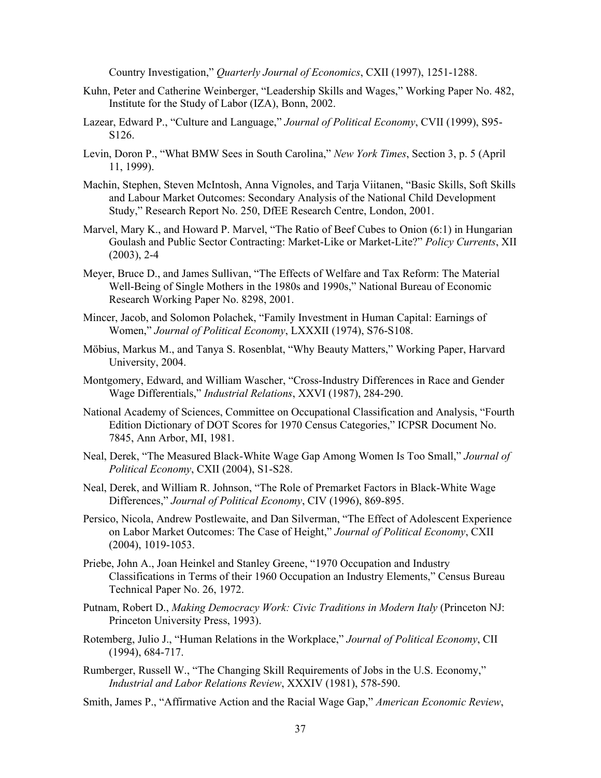Country Investigation," *Quarterly Journal of Economics*, CXII (1997), 1251-1288.

- Kuhn, Peter and Catherine Weinberger, "Leadership Skills and Wages," Working Paper No. 482, Institute for the Study of Labor (IZA), Bonn, 2002.
- Lazear, Edward P., "Culture and Language," *Journal of Political Economy*, CVII (1999), S95- S126.
- Levin, Doron P., "What BMW Sees in South Carolina," *New York Times*, Section 3, p. 5 (April 11, 1999).
- Machin, Stephen, Steven McIntosh, Anna Vignoles, and Tarja Viitanen, "Basic Skills, Soft Skills and Labour Market Outcomes: Secondary Analysis of the National Child Development Study," Research Report No. 250, DfEE Research Centre, London, 2001.
- Marvel, Mary K., and Howard P. Marvel, "The Ratio of Beef Cubes to Onion (6:1) in Hungarian Goulash and Public Sector Contracting: Market-Like or Market-Lite?" *Policy Currents*, XII (2003), 2-4
- Meyer, Bruce D., and James Sullivan, "The Effects of Welfare and Tax Reform: The Material Well-Being of Single Mothers in the 1980s and 1990s," National Bureau of Economic Research Working Paper No. 8298, 2001.
- Mincer, Jacob, and Solomon Polachek, "Family Investment in Human Capital: Earnings of Women," *Journal of Political Economy*, LXXXII (1974), S76-S108.
- Möbius, Markus M., and Tanya S. Rosenblat, "Why Beauty Matters," Working Paper, Harvard University, 2004.
- Montgomery, Edward, and William Wascher, "Cross-Industry Differences in Race and Gender Wage Differentials," *Industrial Relations*, XXVI (1987), 284-290.
- National Academy of Sciences, Committee on Occupational Classification and Analysis, "Fourth Edition Dictionary of DOT Scores for 1970 Census Categories," ICPSR Document No. 7845, Ann Arbor, MI, 1981.
- Neal, Derek, "The Measured Black-White Wage Gap Among Women Is Too Small," *Journal of Political Economy*, CXII (2004), S1-S28.
- Neal, Derek, and William R. Johnson, "The Role of Premarket Factors in Black-White Wage Differences," *Journal of Political Economy*, CIV (1996), 869-895.
- Persico, Nicola, Andrew Postlewaite, and Dan Silverman, "The Effect of Adolescent Experience on Labor Market Outcomes: The Case of Height," *Journal of Political Economy*, CXII (2004), 1019-1053.
- Priebe, John A., Joan Heinkel and Stanley Greene, "1970 Occupation and Industry Classifications in Terms of their 1960 Occupation an Industry Elements," Census Bureau Technical Paper No. 26, 1972.
- Putnam, Robert D., *Making Democracy Work: Civic Traditions in Modern Italy* (Princeton NJ: Princeton University Press, 1993).
- Rotemberg, Julio J., "Human Relations in the Workplace," *Journal of Political Economy*, CII (1994), 684-717.
- Rumberger, Russell W., "The Changing Skill Requirements of Jobs in the U.S. Economy," *Industrial and Labor Relations Review*, XXXIV (1981), 578-590.
- Smith, James P., "Affirmative Action and the Racial Wage Gap," *American Economic Review*,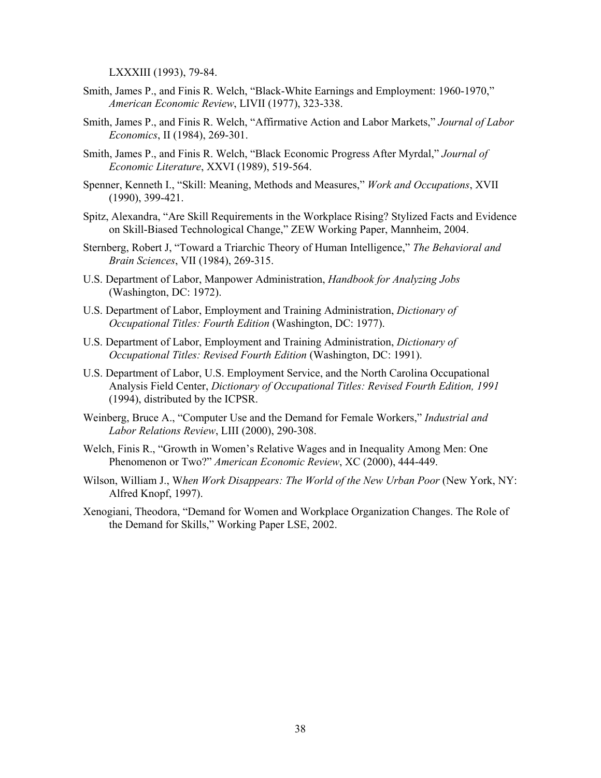LXXXIII (1993), 79-84.

- Smith, James P., and Finis R. Welch, "Black-White Earnings and Employment: 1960-1970," *American Economic Review*, LIVII (1977), 323-338.
- Smith, James P., and Finis R. Welch, "Affirmative Action and Labor Markets," *Journal of Labor Economics*, II (1984), 269-301.
- Smith, James P., and Finis R. Welch, "Black Economic Progress After Myrdal," *Journal of Economic Literature*, XXVI (1989), 519-564.
- Spenner, Kenneth I., "Skill: Meaning, Methods and Measures," *Work and Occupations*, XVII (1990), 399-421.
- Spitz, Alexandra, "Are Skill Requirements in the Workplace Rising? Stylized Facts and Evidence on Skill-Biased Technological Change," ZEW Working Paper, Mannheim, 2004.
- Sternberg, Robert J, "Toward a Triarchic Theory of Human Intelligence," *The Behavioral and Brain Sciences*, VII (1984), 269-315.
- U.S. Department of Labor, Manpower Administration, *Handbook for Analyzing Jobs* (Washington, DC: 1972).
- U.S. Department of Labor, Employment and Training Administration, *Dictionary of Occupational Titles: Fourth Edition* (Washington, DC: 1977).
- U.S. Department of Labor, Employment and Training Administration, *Dictionary of Occupational Titles: Revised Fourth Edition* (Washington, DC: 1991).
- U.S. Department of Labor, U.S. Employment Service, and the North Carolina Occupational Analysis Field Center, *Dictionary of Occupational Titles: Revised Fourth Edition, 1991* (1994), distributed by the ICPSR.
- Weinberg, Bruce A., "Computer Use and the Demand for Female Workers," *Industrial and Labor Relations Review*, LIII (2000), 290-308.
- Welch, Finis R., "Growth in Women's Relative Wages and in Inequality Among Men: One Phenomenon or Two?" *American Economic Review*, XC (2000), 444-449.
- Wilson, William J., W*hen Work Disappears: The World of the New Urban Poor* (New York, NY: Alfred Knopf, 1997).
- Xenogiani, Theodora, "Demand for Women and Workplace Organization Changes. The Role of the Demand for Skills," Working Paper LSE, 2002.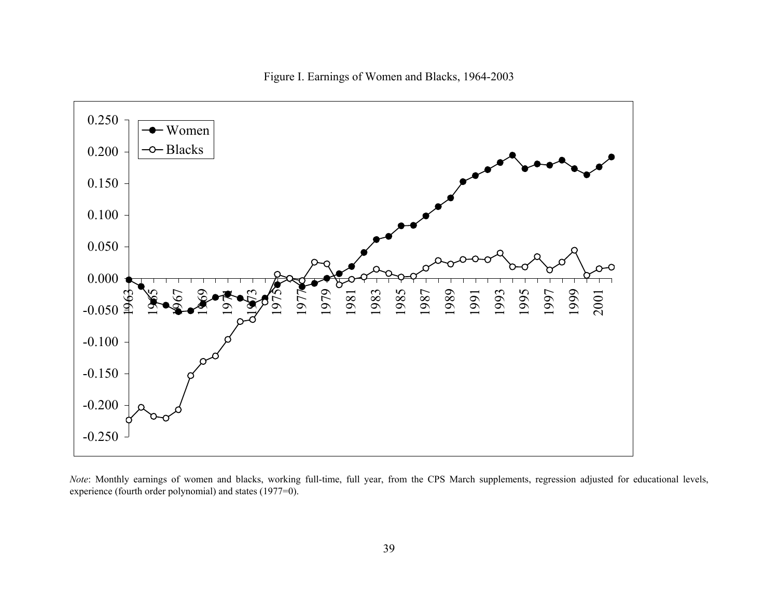

Figure I. Earnings of Women and Blacks, 1964-2003

*Note*: Monthly earnings of women and blacks, working full-time, full year, from the CPS March supplements, regression adjusted for educational levels, experience (fourth order polynomial) and states (1977=0).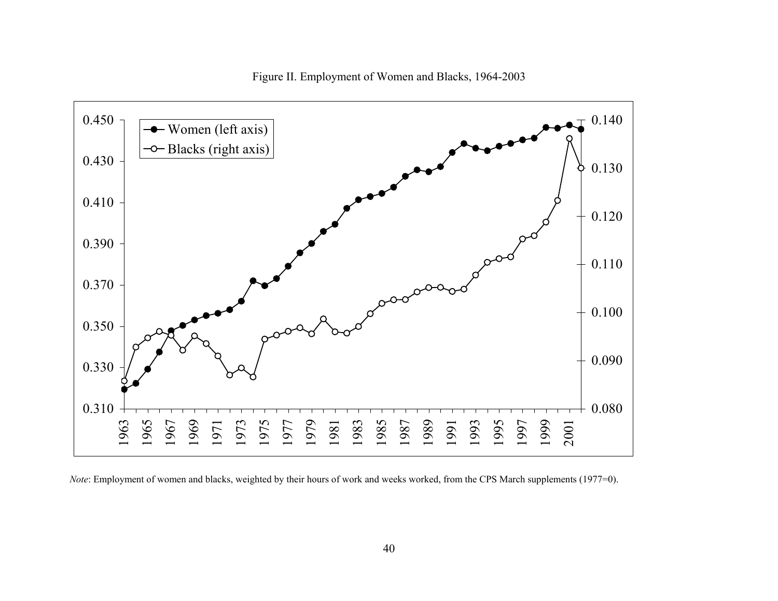

Figure II. Employment of Women and Blacks, 1964-2003

*Note*: Employment of women and blacks, weighted by their hours of work and weeks worked, from the CPS March supplements (1977=0).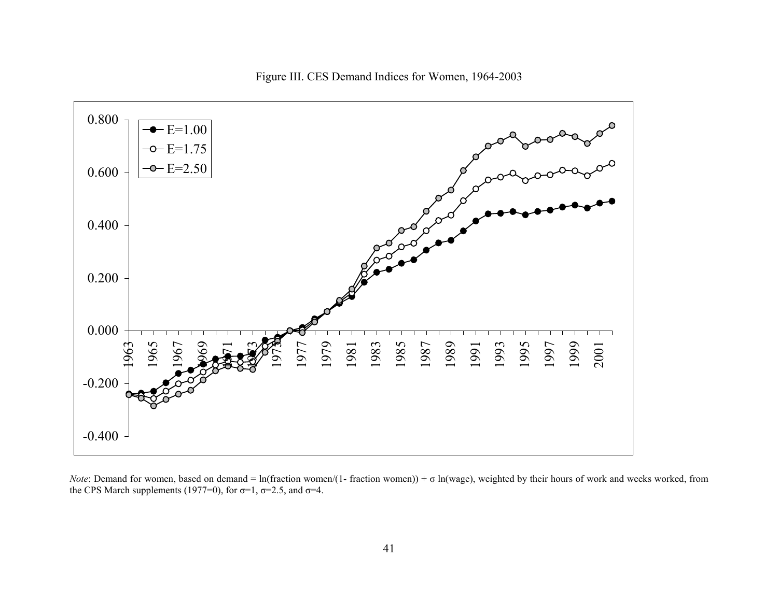



*Note*: Demand for women, based on demand = ln(fraction women/(1- fraction women)) +  $\sigma$  ln(wage), weighted by their hours of work and weeks worked, from the CPS March supplements (1977=0), for  $\sigma$ =1,  $\sigma$ =2.5, and  $\sigma$ =4.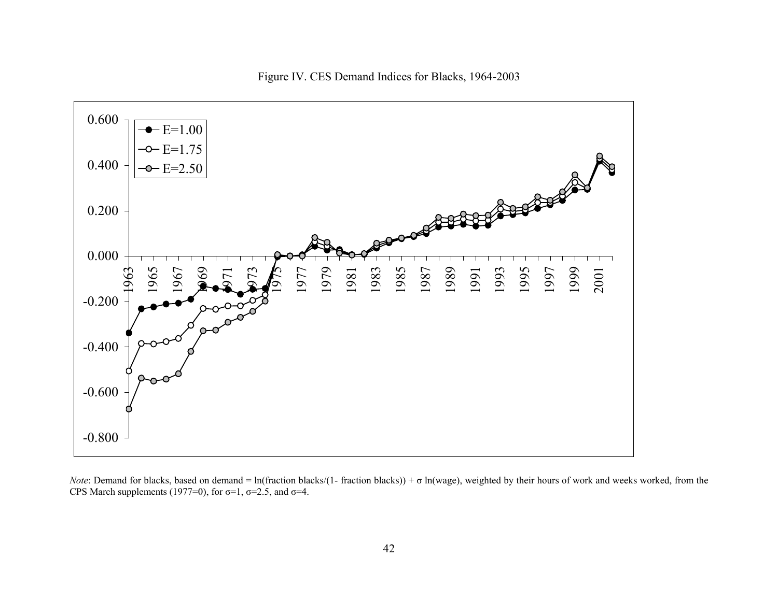

Figure IV. CES Demand Indices for Blacks, 1964-2003

*Note*: Demand for blacks, based on demand = ln(fraction blacks/(1- fraction blacks)) + σ ln(wage), weighted by their hours of work and weeks worked, from the CPS March supplements (1977=0), for  $\sigma$ =1,  $\sigma$ =2.5, and  $\sigma$ =4.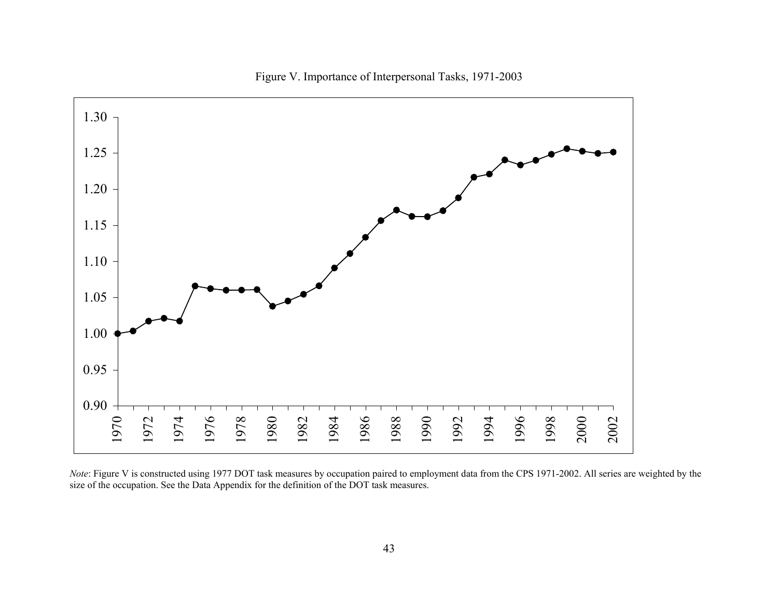

Figure V. Importance of Interpersonal Tasks, 1971-2003

*Note*: Figure V is constructed using 1977 DOT task measures by occupation paired to employment data from the CPS 1971-2002. All series are weighted by the size of the occupation. See the Data Appendix for the definition of the DOT task measures.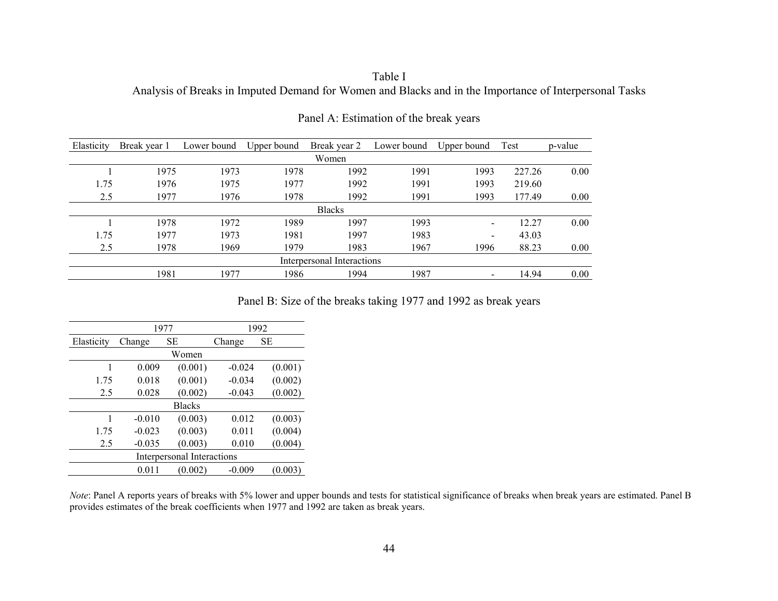# Table I Analysis of Breaks in Imputed Demand for Women and Blacks and in the Importance of Interpersonal Tasks

| Elasticity                 | Break year 1 | Lower bound | Upper bound | Break year 2  | Lower bound | Upper bound              | Test   | p-value |  |  |  |
|----------------------------|--------------|-------------|-------------|---------------|-------------|--------------------------|--------|---------|--|--|--|
|                            | Women        |             |             |               |             |                          |        |         |  |  |  |
|                            | 1975         | 1973        | 1978        | 1992          | 1991        | 1993                     | 227.26 | 0.00    |  |  |  |
| 1.75                       | 1976         | 1975        | 1977        | 1992          | 1991        | 1993                     | 219.60 |         |  |  |  |
| 2.5                        | 1977         | 1976        | 1978        | 1992          | 1991        | 1993                     | 177.49 | 0.00    |  |  |  |
|                            |              |             |             | <b>Blacks</b> |             |                          |        |         |  |  |  |
|                            | 1978         | 1972        | 1989        | 1997          | 1993        | $\blacksquare$           | 12.27  | 0.00    |  |  |  |
| 1.75                       | 1977         | 1973        | 1981        | 1997          | 1983        | $\overline{\phantom{a}}$ | 43.03  |         |  |  |  |
| 2.5                        | 1978         | 1969        | 1979        | 1983          | 1967        | 1996                     | 88.23  | 0.00    |  |  |  |
| Interpersonal Interactions |              |             |             |               |             |                          |        |         |  |  |  |
|                            | 1981         | 1977        | 1986        | 1994          | 1987        | $\overline{\phantom{a}}$ | 14.94  | 0.00    |  |  |  |

Panel A: Estimation of the break years

Panel B: Size of the breaks taking 1977 and 1992 as break years

|            |                            | 1977          | 1992     |         |  |  |  |  |  |  |  |
|------------|----------------------------|---------------|----------|---------|--|--|--|--|--|--|--|
| Elasticity | Change                     | SЕ            | Change   | SЕ      |  |  |  |  |  |  |  |
| Women      |                            |               |          |         |  |  |  |  |  |  |  |
|            | 0.009                      | (0.001)       | $-0.024$ | (0.001) |  |  |  |  |  |  |  |
| 1.75       | 0.018                      | (0.001)       | $-0.034$ | (0.002) |  |  |  |  |  |  |  |
| 2.5        | 0.028                      | (0.002)       | $-0.043$ | (0.002) |  |  |  |  |  |  |  |
|            |                            | <b>Blacks</b> |          |         |  |  |  |  |  |  |  |
|            | $-0.010$                   | (0.003)       | 0.012    | (0.003) |  |  |  |  |  |  |  |
| 1.75       | $-0.023$                   | (0.003)       | 0.011    | (0.004) |  |  |  |  |  |  |  |
| 2.5        | $-0.035$                   | (0.003)       | 0.010    | (0.004) |  |  |  |  |  |  |  |
|            | Interpersonal Interactions |               |          |         |  |  |  |  |  |  |  |
|            | 0.011                      | (0.002)       | $-0.009$ | 0.003   |  |  |  |  |  |  |  |

*Note*: Panel A reports years of breaks with 5% lower and upper bounds and tests for statistical significance of breaks when break years are estimated. Panel B provides estimates of the break coefficients when 1977 and 1992 are taken as break years.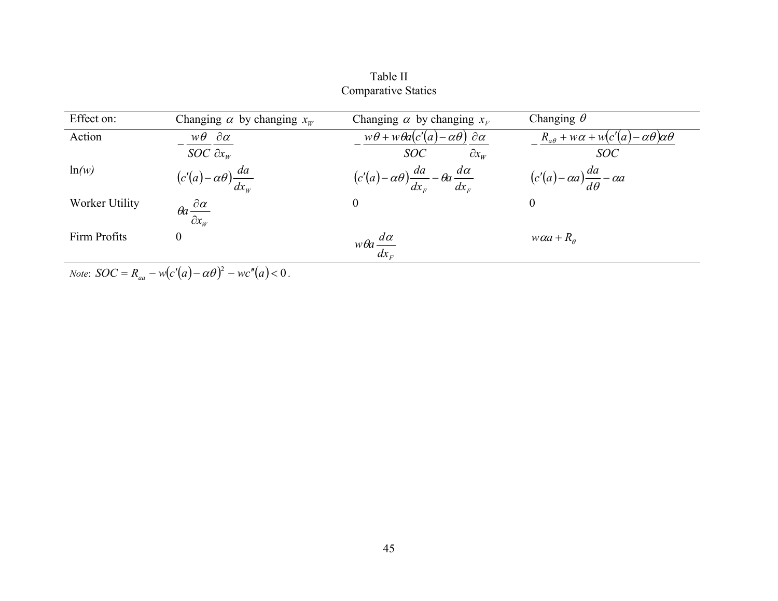| Effect on:     | Changing $\alpha$ by changing $x_w$                                      | Changing $\alpha$ by changing $x_F$                                | Changing $\theta$                                             |
|----------------|--------------------------------------------------------------------------|--------------------------------------------------------------------|---------------------------------------------------------------|
| Action         | $w\theta \partial \alpha$                                                | $w\theta + w\theta a(c'(a) - \alpha\theta) \partial \alpha$        | $R_{a\theta} + w\alpha + w(c'(a) - \alpha\theta)\alpha\theta$ |
|                | SOC $\partial x_{W}$                                                     | $\partial x_{w}$<br>SOC                                            | <b>SOC</b>                                                    |
| ln(w)          | $(c'(a)-\alpha\theta)\frac{da}{dx_{_W}}$                                 | $(c'(a)-\alpha\theta)\frac{da}{dx_E}-\theta a\frac{d\alpha}{dx_E}$ | $(c'(a)-\alpha a)\frac{da}{d\theta}-\alpha a$                 |
| Worker Utility | $\theta a \frac{\partial \alpha}{\partial x_{_W}}$                       | $\overline{0}$                                                     | $\boldsymbol{0}$                                              |
| Firm Profits   | $\mathbf{0}$                                                             | $w\theta a \frac{d\alpha}{dx_F}$                                   | $w\alpha + R_{\theta}$                                        |
|                | <i>Note:</i> $SOC = R_{aa} - w(c'(a) - \alpha \theta)^2 - wc''(a) < 0$ . |                                                                    |                                                               |

Table II Comparative Statics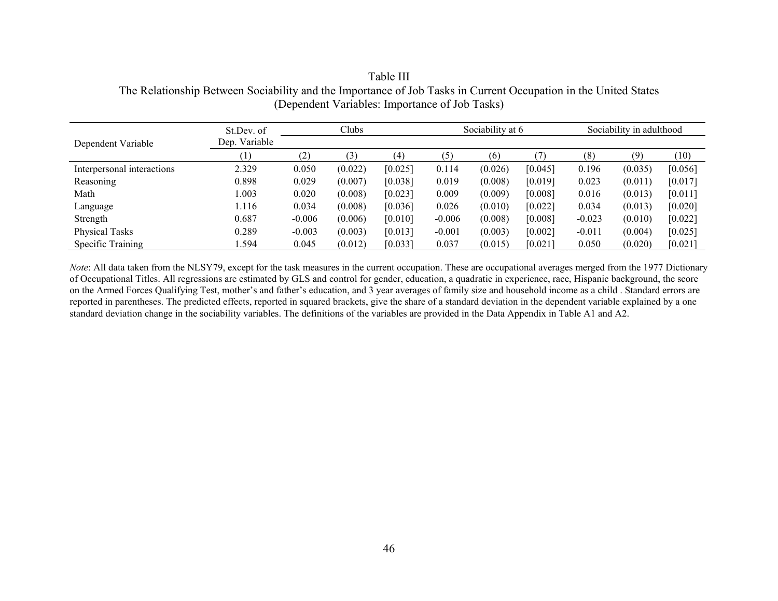|                            | St.Dev. of       |          | Clubs   |         | Sociability at 6 |         |         | Sociability in adulthood |         |         |
|----------------------------|------------------|----------|---------|---------|------------------|---------|---------|--------------------------|---------|---------|
| Dependent Variable         | Dep. Variable    |          |         |         |                  |         |         |                          |         |         |
|                            | $\left(1\right)$ | (2)      | 3)      | (4)     | (5)              | (6)     |         | (8)                      | (9      | (10)    |
| Interpersonal interactions | 2.329            | 0.050    | (0.022) | [0.025] | 0.114            | (0.026) | [0.045] | 0.196                    | (0.035) | [0.056] |
| Reasoning                  | 0.898            | 0.029    | (0.007) | [0.038] | 0.019            | (0.008) | [0.019] | 0.023                    | (0.011) | [0.017] |
| Math                       | 1.003            | 0.020    | (0.008) | [0.023] | 0.009            | (0.009) | [0.008] | 0.016                    | (0.013) | [0.011] |
| Language                   | .116             | 0.034    | (0.008) | [0.036] | 0.026            | (0.010) | [0.022] | 0.034                    | (0.013) | [0.020] |
| Strength                   | 0.687            | $-0.006$ | (0.006) | [0.010] | $-0.006$         | (0.008) | [0.008] | $-0.023$                 | (0.010) | [0.022] |
| <b>Physical Tasks</b>      | 0.289            | $-0.003$ | (0.003) | [0.013] | $-0.001$         | (0.003) | [0.002] | $-0.011$                 | (0.004) | [0.025] |
| Specific Training          | .594             | 0.045    | (0.012) | [0.033] | 0.037            | (0.015) | [0.021] | 0.050                    | (0.020) | [0.021] |

Table III The Relationship Between Sociability and the Importance of Job Tasks in Current Occupation in the United States (Dependent Variables: Importance of Job Tasks)

*Note*: All data taken from the NLSY79, except for the task measures in the current occupation. These are occupational averages merged from the 1977 Dictionary of Occupational Titles. All regressions are estimated by GLS and control for gender, education, a quadratic in experience, race, Hispanic background, the score on the Armed Forces Qualifying Test, mother's and father's education, and 3 year averages of family size and household income as a child . Standard errors are reported in parentheses. The predicted effects, reported in squared brackets, give the share of a standard deviation in the dependent variable explained by a one standard deviation change in the sociability variables. The definitions of the variables are provided in the Data Appendix in Table A1 and A2.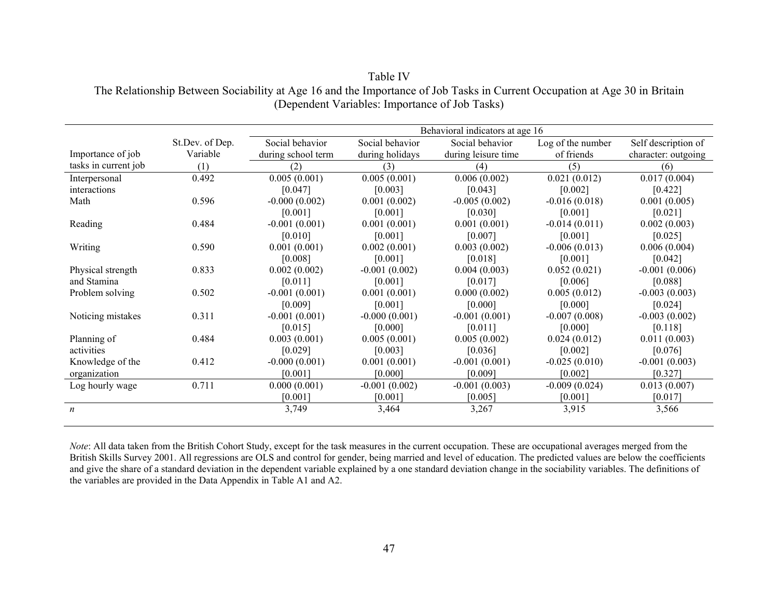|                      |                 |                    |                 | Behavioral indicators at age 16 |                   |                     |
|----------------------|-----------------|--------------------|-----------------|---------------------------------|-------------------|---------------------|
|                      | St.Dev. of Dep. | Social behavior    | Social behavior | Social behavior                 | Log of the number | Self description of |
| Importance of job    | Variable        | during school term | during holidays | during leisure time             | of friends        | character: outgoing |
| tasks in current job | (1)             | (2)                | (3)             | (4)                             | (5)               | (6)                 |
| Interpersonal        | 0.492           | 0.005(0.001)       | 0.005(0.001)    | 0.006(0.002)                    | 0.021(0.012)      | 0.017(0.004)        |
| interactions         |                 | [0.047]            | [0.003]         | [0.043]                         | [0.002]           | [0.422]             |
| Math                 | 0.596           | $-0.000(0.002)$    | 0.001(0.002)    | $-0.005(0.002)$                 | $-0.016(0.018)$   | 0.001(0.005)        |
|                      |                 | [0.001]            | [0.001]         | [0.030]                         | [0.001]           | [0.021]             |
| Reading              | 0.484           | $-0.001(0.001)$    | 0.001(0.001)    | 0.001(0.001)                    | $-0.014(0.011)$   | 0.002(0.003)        |
|                      |                 | [0.010]            | [0.001]         | [0.007]                         | [0.001]           | [0.025]             |
| Writing              | 0.590           | 0.001(0.001)       | 0.002(0.001)    | 0.003(0.002)                    | $-0.006(0.013)$   | 0.006(0.004)        |
|                      |                 | [0.008]            | [0.001]         | [0.018]                         | [0.001]           | [0.042]             |
| Physical strength    | 0.833           | 0.002(0.002)       | $-0.001(0.002)$ | 0.004(0.003)                    | 0.052(0.021)      | $-0.001(0.006)$     |
| and Stamina          |                 | [0.011]            | [0.001]         | [0.017]                         | [0.006]           | [0.088]             |
| Problem solving      | 0.502           | $-0.001(0.001)$    | 0.001(0.001)    | 0.000(0.002)                    | 0.005(0.012)      | $-0.003(0.003)$     |
|                      |                 | [0.009]            | [0.001]         | [0.000]                         | [0.000]           | [0.024]             |
| Noticing mistakes    | 0.311           | $-0.001(0.001)$    | $-0.000(0.001)$ | $-0.001(0.001)$                 | $-0.007(0.008)$   | $-0.003(0.002)$     |
|                      |                 | [0.015]            | [0.000]         | [0.011]                         | [0.000]           | [0.118]             |
| Planning of          | 0.484           | 0.003(0.001)       | 0.005(0.001)    | 0.005(0.002)                    | 0.024(0.012)      | 0.011(0.003)        |
| activities           |                 | [0.029]            | [0.003]         | [0.036]                         | [0.002]           | [0.076]             |
| Knowledge of the     | 0.412           | $-0.000(0.001)$    | 0.001(0.001)    | $-0.001(0.001)$                 | $-0.025(0.010)$   | $-0.001(0.003)$     |
| organization         |                 | [0.001]            | [0.000]         | [0.009]                         | [0.002]           | [0.327]             |
| Log hourly wage      | 0.711           | 0.000(0.001)       | $-0.001(0.002)$ | $-0.001(0.003)$                 | $-0.009(0.024)$   | 0.013(0.007)        |
|                      |                 | [0.001]            | [0.001]         | [0.005]                         | [0.001]           | [0.017]             |
| $\boldsymbol{n}$     |                 | 3,749              | 3,464           | 3,267                           | 3,915             | 3,566               |

Table IV The Relationship Between Sociability at Age 16 and the Importance of Job Tasks in Current Occupation at Age 30 in Britain (Dependent Variables: Importance of Job Tasks)

*Note*: All data taken from the British Cohort Study, except for the task measures in the current occupation. These are occupational averages merged from the British Skills Survey 2001. All regressions are OLS and control for gender, being married and level of education. The predicted values are below the coefficients and give the share of a standard deviation in the dependent variable explained by a one standard deviation change in the sociability variables. The definitions of the variables are provided in the Data Appendix in Table A1 and A2.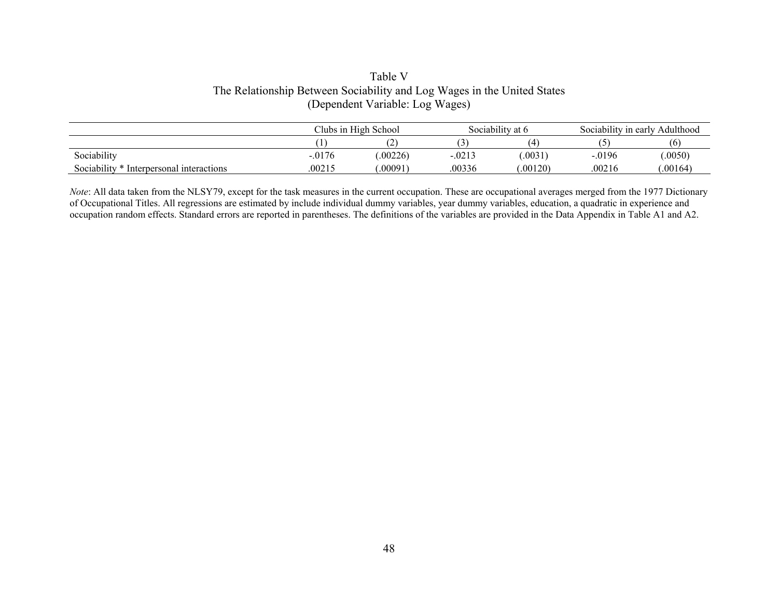# Table V The Relationship Between Sociability and Log Wages in the United States (Dependent Variable: Log Wages)

|                                          |           | Clubs in High School |                      | Sociability at 6 | Sociability in early Adulthood |          |  |
|------------------------------------------|-----------|----------------------|----------------------|------------------|--------------------------------|----------|--|
|                                          |           |                      |                      | Ί                |                                | (6       |  |
| Sociability                              | $-0.0176$ | .00226               | $-.021$ <sup>-</sup> | .0031            | $-0.0196$                      | .0050)   |  |
| Sociability * Interpersonal interactions | .00215    | 00091                | 00336                | .00120)          | .00216                         | 0.00164) |  |

*Note*: All data taken from the NLSY79, except for the task measures in the current occupation. These are occupational averages merged from the 1977 Dictionary of Occupational Titles. All regressions are estimated by include individual dummy variables, year dummy variables, education, a quadratic in experience and occupation random effects. Standard errors are reported in parentheses. The definitions of the variables are provided in the Data Appendix in Table A1 and A2.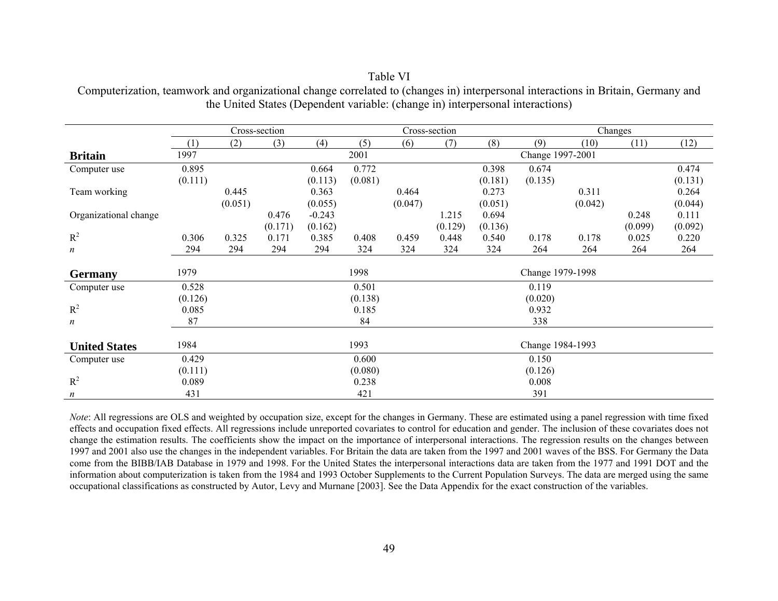|                       |         |         | Cross-section |          |         | Cross-section |         |         | Changes          |         |         |         |
|-----------------------|---------|---------|---------------|----------|---------|---------------|---------|---------|------------------|---------|---------|---------|
|                       | (1)     | (2)     | (3)           | (4)      | (5)     | (6)           | (7)     | (8)     | (9)              | (10)    | (11)    | (12)    |
| <b>Britain</b>        | 1997    |         |               |          | 2001    |               |         |         | Change 1997-2001 |         |         |         |
| Computer use          | 0.895   |         |               | 0.664    | 0.772   |               |         | 0.398   | 0.674            |         |         | 0.474   |
|                       | (0.111) |         |               | (0.113)  | (0.081) |               |         | (0.181) | (0.135)          |         |         | (0.131) |
| Team working          |         | 0.445   |               | 0.363    |         | 0.464         |         | 0.273   |                  | 0.311   |         | 0.264   |
|                       |         | (0.051) |               | (0.055)  |         | (0.047)       |         | (0.051) |                  | (0.042) |         | (0.044) |
| Organizational change |         |         | 0.476         | $-0.243$ |         |               | 1.215   | 0.694   |                  |         | 0.248   | 0.111   |
|                       |         |         | (0.171)       | (0.162)  |         |               | (0.129) | (0.136) |                  |         | (0.099) | (0.092) |
| $R^2$                 | 0.306   | 0.325   | 0.171         | 0.385    | 0.408   | 0.459         | 0.448   | 0.540   | 0.178            | 0.178   | 0.025   | 0.220   |
| $\boldsymbol{n}$      | 294     | 294     | 294           | 294      | 324     | 324           | 324     | 324     | 264              | 264     | 264     | 264     |
|                       |         |         |               |          |         |               |         |         |                  |         |         |         |
| <b>Germany</b>        | 1979    |         |               |          | 1998    |               |         |         | Change 1979-1998 |         |         |         |
| Computer use          | 0.528   |         |               |          | 0.501   |               |         |         | 0.119            |         |         |         |
|                       | (0.126) |         |               |          | (0.138) |               |         |         | (0.020)          |         |         |         |
| $R^2$                 | 0.085   |         |               |          | 0.185   |               |         |         | 0.932            |         |         |         |
| $\boldsymbol{n}$      | 87      |         |               |          | 84      |               |         |         | 338              |         |         |         |
|                       |         |         |               |          |         |               |         |         |                  |         |         |         |
| <b>United States</b>  | 1984    |         |               |          | 1993    |               |         |         | Change 1984-1993 |         |         |         |
| Computer use          | 0.429   |         |               |          | 0.600   |               |         |         | 0.150            |         |         |         |
|                       | (0.111) |         |               |          | (0.080) |               |         |         | (0.126)          |         |         |         |
| $R^2$                 | 0.089   |         |               |          | 0.238   |               |         |         | 0.008            |         |         |         |
| $\boldsymbol{n}$      | 431     |         |               |          | 421     |               |         |         | 391              |         |         |         |

Table VI Computerization, teamwork and organizational change correlated to (changes in) interpersonal interactions in Britain, Germany and the United States (Dependent variable: (change in) interpersonal interactions)

*Note*: All regressions are OLS and weighted by occupation size, except for the changes in Germany. These are estimated using a panel regression with time fixed effects and occupation fixed effects. All regressions include unreported covariates to control for education and gender. The inclusion of these covariates does not change the estimation results. The coefficients show the impact on the importance of interpersonal interactions. The regression results on the changes between 1997 and 2001 also use the changes in the independent variables. For Britain the data are taken from the 1997 and 2001 waves of the BSS. For Germany the Data come from the BIBB/IAB Database in 1979 and 1998. For the United States the interpersonal interactions data are taken from the 1977 and 1991 DOT and the information about computerization is taken from the 1984 and 1993 October Supplements to the Current Population Surveys. The data are merged using the same occupational classifications as constructed by Autor, Levy and Murnane [2003]. See the Data Appendix for the exact construction of the variables.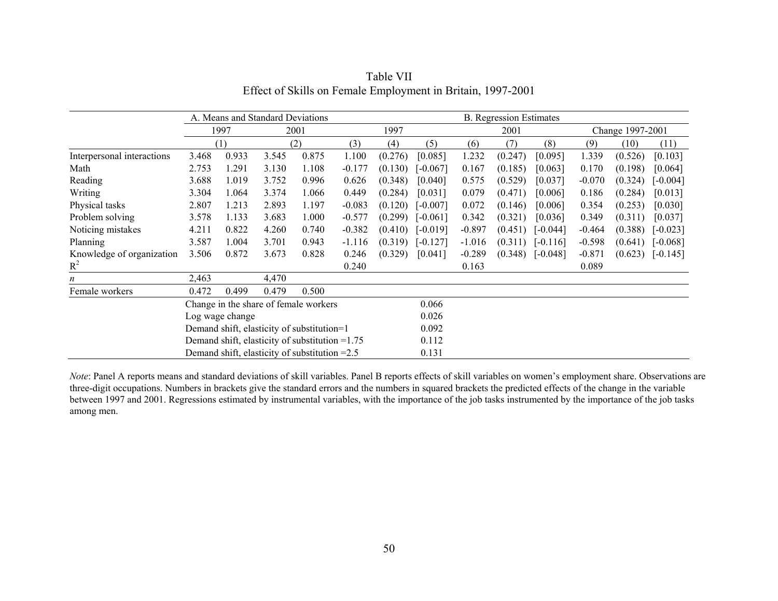|                            |                                                  |       | A. Means and Standard Deviations |                                                 |          |         |            |          | <b>B.</b> Regression Estimates |            |          |                  |            |
|----------------------------|--------------------------------------------------|-------|----------------------------------|-------------------------------------------------|----------|---------|------------|----------|--------------------------------|------------|----------|------------------|------------|
|                            |                                                  | 1997  |                                  | 2001                                            |          | 1997    |            |          | 2001                           |            |          | Change 1997-2001 |            |
|                            |                                                  | (1)   |                                  | (2)                                             | (3)      | (4)     | (5)        | (6)      | (7)                            | (8)        | (9)      | (10)             | (11)       |
| Interpersonal interactions | 3.468                                            | 0.933 | 3.545                            | 0.875                                           | 1.100    | (0.276) | [0.085]    | 1.232    | (0.247)                        | [0.095]    | 1.339    | (0.526)          | [0.103]    |
| Math                       | 2.753                                            | 1.291 | 3.130                            | 1.108                                           | $-0.177$ | (0.130) | $[-0.067]$ | 0.167    | (0.185)                        | [0.063]    | 0.170    | (0.198)          | [0.064]    |
| Reading                    | 3.688                                            | 1.019 | 3.752                            | 0.996                                           | 0.626    | (0.348) | [0.040]    | 0.575    | (0.529)                        | [0.037]    | $-0.070$ | (0.324)          | $[-0.004]$ |
| Writing                    | 3.304                                            | 1.064 | 3.374                            | 1.066                                           | 0.449    | (0.284) | [0.031]    | 0.079    | (0.471)                        | [0.006]    | 0.186    | (0.284)          | [0.013]    |
| Physical tasks             | 2.807                                            | 1.213 | 2.893                            | 1.197                                           | $-0.083$ | (0.120) | $[-0.007]$ | 0.072    | (0.146)                        | [0.006]    | 0.354    | (0.253)          | [0.030]    |
| Problem solving            | 3.578                                            | 1.133 | 3.683                            | 1.000                                           | $-0.577$ | (0.299) | $[-0.061]$ | 0.342    | (0.321)                        | [0.036]    | 0.349    | (0.311)          | [0.037]    |
| Noticing mistakes          | 4.211                                            | 0.822 | 4.260                            | 0.740                                           | $-0.382$ | (0.410) | $[-0.019]$ | $-0.897$ | (0.451)                        | $[-0.044]$ | $-0.464$ | (0.388)          | $[-0.023]$ |
| Planning                   | 3.587                                            | 1.004 | 3.701                            | 0.943                                           | $-1.116$ | (0.319) | $[-0.127]$ | $-1.016$ | (0.311)                        | $[-0.116]$ | $-0.598$ | (0.641)          | $[-0.068]$ |
| Knowledge of organization  | 3.506                                            | 0.872 | 3.673                            | 0.828                                           | 0.246    | (0.329) | [0.041]    | $-0.289$ | (0.348)                        | $[-0.048]$ | $-0.871$ | (0.623)          | $[-0.145]$ |
| $R^2$                      |                                                  |       |                                  |                                                 | 0.240    |         |            | 0.163    |                                |            | 0.089    |                  |            |
| $\boldsymbol{n}$           | 2,463                                            |       | 4,470                            |                                                 |          |         |            |          |                                |            |          |                  |            |
| Female workers             | 0.472                                            | 0.499 | 0.479                            | 0.500                                           |          |         |            |          |                                |            |          |                  |            |
|                            |                                                  |       |                                  | Change in the share of female workers           |          |         | 0.066      |          |                                |            |          |                  |            |
|                            | Log wage change                                  |       |                                  |                                                 |          |         | 0.026      |          |                                |            |          |                  |            |
|                            | Demand shift, elasticity of substitution=1       |       |                                  |                                                 |          |         | 0.092      |          |                                |            |          |                  |            |
|                            | Demand shift, elasticity of substitution $=1.75$ |       |                                  |                                                 |          |         | 0.112      |          |                                |            |          |                  |            |
|                            |                                                  |       |                                  | Demand shift, elasticity of substitution $=2.5$ |          |         | 0.131      |          |                                |            |          |                  |            |

Table VII Effect of Skills on Female Employment in Britain, 1997-2001

*Note*: Panel A reports means and standard deviations of skill variables. Panel B reports effects of skill variables on women's employment share. Observations are three-digit occupations. Numbers in brackets give the standard errors and the numbers in squared brackets the predicted effects of the change in the variable between 1997 and 2001. Regressions estimated by instrumental variables, with the importance of the job tasks instrumented by the importance of the job tasks among men.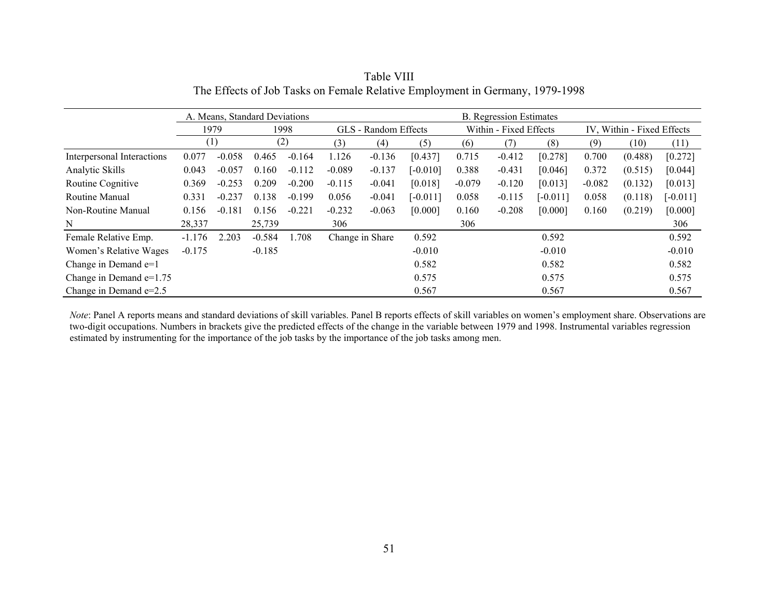|                            |          | A. Means, Standard Deviations |          |          |          |                      |            |          | <b>B.</b> Regression Estimates |            |                            |         |            |
|----------------------------|----------|-------------------------------|----------|----------|----------|----------------------|------------|----------|--------------------------------|------------|----------------------------|---------|------------|
|                            |          | 1979                          |          | 1998     |          | GLS - Random Effects |            |          | Within - Fixed Effects         |            | IV, Within - Fixed Effects |         |            |
|                            | (1)      |                               |          | (2)      | (3)      | (4)                  | (5)        | (6)      | (7)                            | (8)        | (9)                        | (10)    | (11)       |
| Interpersonal Interactions | 0.077    | $-0.058$                      | 0.465    | $-0.164$ | 1.126    | $-0.136$             | [0.437]    | 0.715    | $-0.412$                       | [0.278]    | 0.700                      | (0.488) | [0.272]    |
| Analytic Skills            | 0.043    | $-0.057$                      | 0.160    | $-0.112$ | $-0.089$ | $-0.137$             | $[-0.010]$ | 0.388    | $-0.431$                       | [0.046]    | 0.372                      | (0.515) | [0.044]    |
| Routine Cognitive          | 0.369    | $-0.253$                      | 0.209    | $-0.200$ | $-0.115$ | $-0.041$             | [0.018]    | $-0.079$ | $-0.120$                       | [0.013]    | $-0.082$                   | (0.132) | [0.013]    |
| Routine Manual             | 0.331    | $-0.237$                      | 0.138    | $-0.199$ | 0.056    | $-0.041$             | $[-0.011]$ | 0.058    | $-0.115$                       | $[-0.011]$ | 0.058                      | (0.118) | $[-0.011]$ |
| Non-Routine Manual         | 0.156    | $-0.181$                      | 0.156    | $-0.221$ | $-0.232$ | $-0.063$             | [0.000]    | 0.160    | $-0.208$                       | [0.000]    | 0.160                      | (0.219) | [0.000]    |
| N                          | 28,337   |                               | 25,739   |          | 306      |                      |            | 306      |                                |            |                            |         | 306        |
| Female Relative Emp.       | $-1.176$ | 2.203                         | $-0.584$ | 1.708    |          | Change in Share      | 0.592      |          |                                | 0.592      |                            |         | 0.592      |
| Women's Relative Wages     | $-0.175$ |                               | $-0.185$ |          |          |                      | $-0.010$   |          |                                | $-0.010$   |                            |         | $-0.010$   |
| Change in Demand $e=1$     |          |                               |          |          |          |                      | 0.582      |          |                                | 0.582      |                            |         | 0.582      |
| Change in Demand $e=1.75$  |          |                               |          |          |          |                      | 0.575      |          |                                | 0.575      |                            |         | 0.575      |
| Change in Demand $e=2.5$   |          |                               |          |          |          |                      | 0.567      |          |                                | 0.567      |                            |         | 0.567      |

Table VIII The Effects of Job Tasks on Female Relative Employment in Germany, 1979-1998

*Note*: Panel A reports means and standard deviations of skill variables. Panel B reports effects of skill variables on women's employment share. Observations are two-digit occupations. Numbers in brackets give the predicted effects of the change in the variable between 1979 and 1998. Instrumental variables regression estimated by instrumenting for the importance of the job tasks by the importance of the job tasks among men.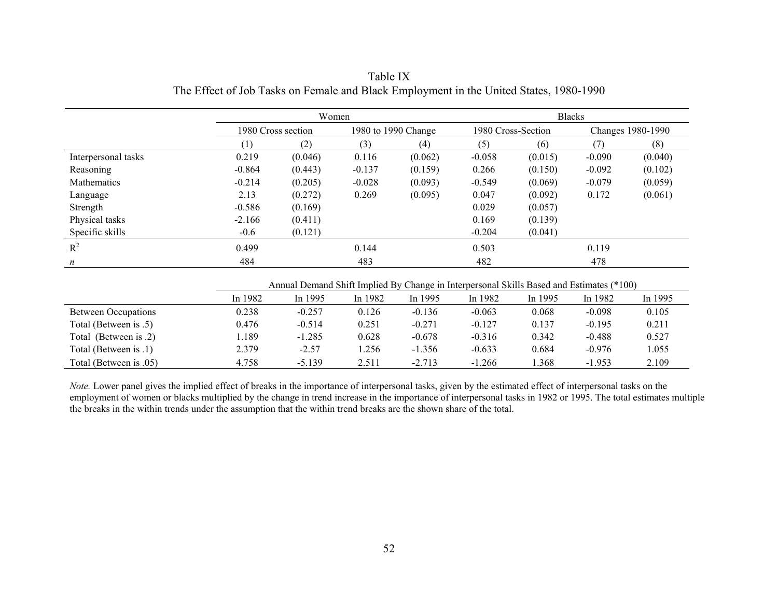|                     |                    | Women   |          |                     | <b>Blacks</b> |                    |                   |         |  |  |
|---------------------|--------------------|---------|----------|---------------------|---------------|--------------------|-------------------|---------|--|--|
|                     | 1980 Cross section |         |          | 1980 to 1990 Change |               | 1980 Cross-Section | Changes 1980-1990 |         |  |  |
|                     |                    | (2)     | (3)      | (4)                 | (5)           | (6)                | (7)               | (8)     |  |  |
| Interpersonal tasks | 0.219              | (0.046) | 0.116    | (0.062)             | $-0.058$      | (0.015)            | $-0.090$          | (0.040) |  |  |
| Reasoning           | $-0.864$           | (0.443) | $-0.137$ | (0.159)             | 0.266         | (0.150)            | $-0.092$          | (0.102) |  |  |
| Mathematics         | $-0.214$           | (0.205) | $-0.028$ | (0.093)             | $-0.549$      | (0.069)            | $-0.079$          | (0.059) |  |  |
| Language            | 2.13               | (0.272) | 0.269    | (0.095)             | 0.047         | (0.092)            | 0.172             | (0.061) |  |  |
| Strength            | $-0.586$           | (0.169) |          |                     | 0.029         | (0.057)            |                   |         |  |  |
| Physical tasks      | $-2.166$           | (0.411) |          |                     | 0.169         | (0.139)            |                   |         |  |  |
| Specific skills     | $-0.6$             | (0.121) |          |                     | $-0.204$      | (0.041)            |                   |         |  |  |
| $R^2$               | 0.499              |         | 0.144    |                     | 0.503         |                    | 0.119             |         |  |  |
| $\boldsymbol{n}$    | 484                |         | 483      |                     | 482           |                    | 478               |         |  |  |

Table IX The Effect of Job Tasks on Female and Black Employment in the United States, 1980-1990

Annual Demand Shift Implied By Change in Interpersonal Skills Based and Estimates (\*100)

|                            | In 1982 | In 1995  | In 1982 | In 1995  | In 1982  | In 1995 | In 1982  | In 1995 |
|----------------------------|---------|----------|---------|----------|----------|---------|----------|---------|
| <b>Between Occupations</b> | 0.238   | $-0.257$ | 0.126   | $-0.136$ | $-0.063$ | 0.068   | $-0.098$ | 0.105   |
| Total (Between is .5)      | 0.476   | $-0.514$ | 0.251   | $-0.271$ | $-0.127$ | 0.137   | $-0.195$ | 0.211   |
| Total (Between is .2)      | .189    | $-1.285$ | 0.628   | $-0.678$ | $-0.316$ | 0.342   | $-0.488$ | 0.527   |
| Total (Between is .1)      | 2.379   | $-2.57$  | .256    | $-1.356$ | $-0.633$ | 0.684   | $-0.976$ | .055    |
| Total (Between is .05)     | 4.758   | $-5.139$ | 2.511   | $-2.713$ | $-1.266$ | .368    | $-1.953$ | 2.109   |

*Note.* Lower panel gives the implied effect of breaks in the importance of interpersonal tasks, given by the estimated effect of interpersonal tasks on the employment of women or blacks multiplied by the change in trend increase in the importance of interpersonal tasks in 1982 or 1995. The total estimates multiple the breaks in the within trends under the assumption that the within trend breaks are the shown share of the total.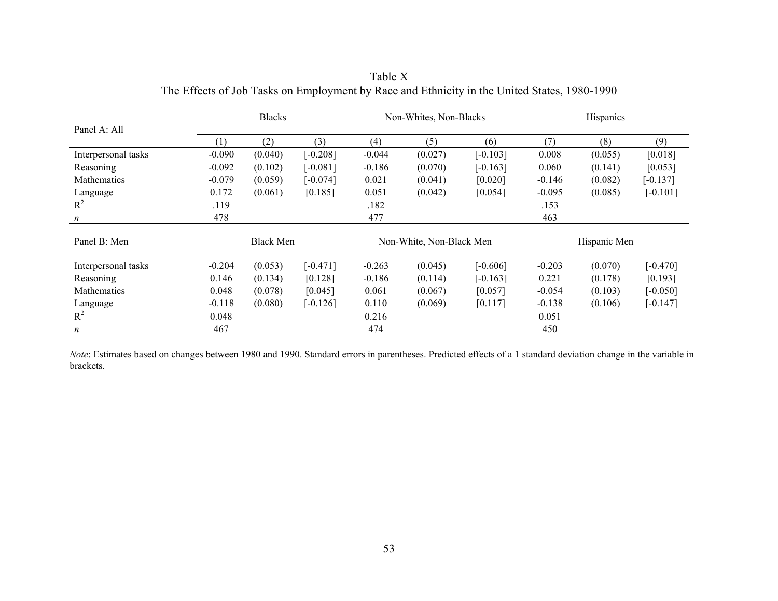|                     |          | <b>Blacks</b>    |            |          | Non-Whites, Non-Blacks   |            | Hispanics |              |            |
|---------------------|----------|------------------|------------|----------|--------------------------|------------|-----------|--------------|------------|
| Panel A: All        |          |                  |            |          |                          |            |           |              |            |
|                     | (1)      | (2)              | (3)        | (4)      | (5)                      | (6)        | (7)       | (8)          | (9)        |
| Interpersonal tasks | $-0.090$ | (0.040)          | $[-0.208]$ | $-0.044$ | (0.027)                  | $[-0.103]$ | 0.008     | (0.055)      | [0.018]    |
| Reasoning           | $-0.092$ | (0.102)          | $[-0.081]$ | $-0.186$ | (0.070)                  | $[-0.163]$ | 0.060     | (0.141)      | [0.053]    |
| <b>Mathematics</b>  | $-0.079$ | (0.059)          | $[-0.074]$ | 0.021    | (0.041)                  | [0.020]    | $-0.146$  | (0.082)      | $[-0.137]$ |
| Language            | 0.172    | (0.061)          | [0.185]    | 0.051    | (0.042)                  | [0.054]    | $-0.095$  | (0.085)      | $[-0.101]$ |
| $R^2$               | .119     |                  |            | .182     |                          |            | .153      |              |            |
| $\boldsymbol{n}$    | 478      |                  |            | 477      |                          |            | 463       |              |            |
| Panel B: Men        |          | <b>Black Men</b> |            |          | Non-White, Non-Black Men |            |           | Hispanic Men |            |
|                     |          |                  |            |          |                          |            |           |              |            |
| Interpersonal tasks | $-0.204$ | (0.053)          | $[-0.471]$ | $-0.263$ | (0.045)                  | $[-0.606]$ | $-0.203$  | (0.070)      | $[-0.470]$ |
| Reasoning           | 0.146    | (0.134)          | [0.128]    | $-0.186$ | (0.114)                  | $[-0.163]$ | 0.221     | (0.178)      | [0.193]    |
| Mathematics         | 0.048    | (0.078)          | [0.045]    | 0.061    | (0.067)                  | [0.057]    | $-0.054$  | (0.103)      | $[-0.050]$ |
| Language            | $-0.118$ | (0.080)          | $-0.126$   | 0.110    | (0.069)                  | [0.117]    | $-0.138$  | (0.106)      | $[-0.147]$ |
| $R^2$               | 0.048    |                  |            | 0.216    |                          |            | 0.051     |              |            |
| n                   | 467      |                  |            | 474      |                          |            | 450       |              |            |

Table X The Effects of Job Tasks on Employment by Race and Ethnicity in the United States, 1980-1990

*Note*: Estimates based on changes between 1980 and 1990. Standard errors in parentheses. Predicted effects of a 1 standard deviation change in the variable in brackets.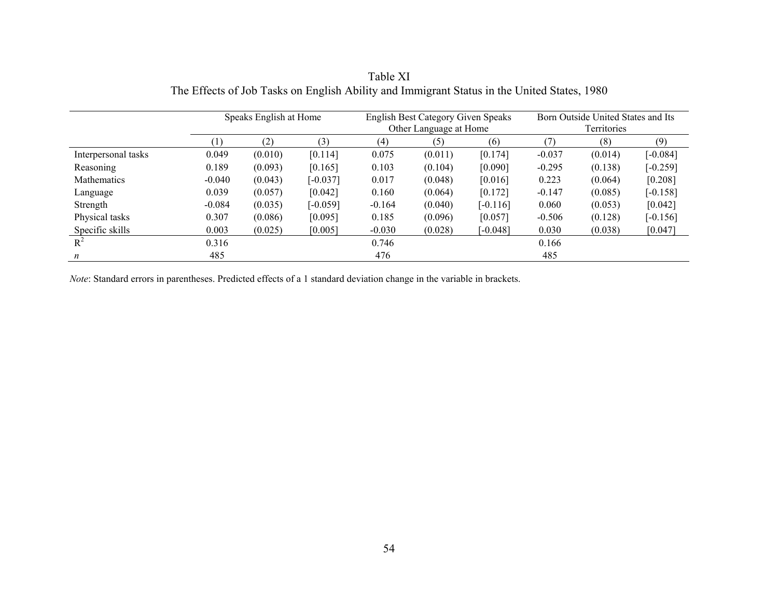|                     | Speaks English at Home |         | <b>English Best Category Given Speaks</b><br>Other Language at Home |          |         | Born Outside United States and Its<br><b>Territories</b> |          |         |            |
|---------------------|------------------------|---------|---------------------------------------------------------------------|----------|---------|----------------------------------------------------------|----------|---------|------------|
|                     | [ ]                    | (2)     | (3)                                                                 | (4)      | (5)     | (6)                                                      | 7)       | (8)     | (9)        |
| Interpersonal tasks | 0.049                  | (0.010) | [0.114]                                                             | 0.075    | (0.011) | [0.174]                                                  | $-0.037$ | (0.014) | $[-0.084]$ |
| Reasoning           | 0.189                  | (0.093) | [0.165]                                                             | 0.103    | (0.104) | [0.090]                                                  | $-0.295$ | (0.138) | $[-0.259]$ |
| <b>Mathematics</b>  | $-0.040$               | (0.043) | $[-0.037]$                                                          | 0.017    | (0.048) | [0.016]                                                  | 0.223    | (0.064) | [0.208]    |
| Language            | 0.039                  | (0.057) | [0.042]                                                             | 0.160    | (0.064) | [0.172]                                                  | $-0.147$ | (0.085) | $[-0.158]$ |
| Strength            | $-0.084$               | (0.035) | $[-0.059]$                                                          | $-0.164$ | (0.040) | $[-0.116]$                                               | 0.060    | (0.053) | [0.042]    |
| Physical tasks      | 0.307                  | (0.086) | [0.095]                                                             | 0.185    | (0.096) | [0.057]                                                  | $-0.506$ | (0.128) | $[-0.156]$ |
| Specific skills     | 0.003                  | (0.025) | [0.005]                                                             | $-0.030$ | (0.028) | [-0.048]                                                 | 0.030    | (0.038) | [0.047]    |
| $R^2$               | 0.316                  |         |                                                                     | 0.746    |         |                                                          | 0.166    |         |            |
| $\boldsymbol{n}$    | 485                    |         |                                                                     | 476      |         |                                                          | 485      |         |            |

Table XI The Effects of Job Tasks on English Ability and Immigrant Status in the United States, 1980

*Note*: Standard errors in parentheses. Predicted effects of a 1 standard deviation change in the variable in brackets.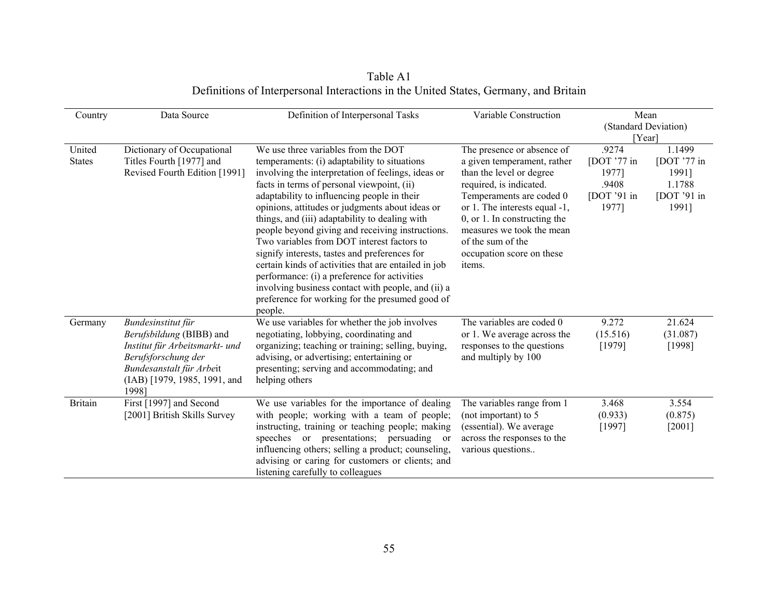| Country                 | Data Source                                                                                                                                                                  | Definition of Interpersonal Tasks                                                                                                                                                                                                                                                                                                                                                                                                                                                                                                                                                                                                                                                                                          | Variable Construction                                                                                                                                                                                                                                                                                     | Mean<br>(Standard Deviation)<br>[Year]                           |                                                                      |
|-------------------------|------------------------------------------------------------------------------------------------------------------------------------------------------------------------------|----------------------------------------------------------------------------------------------------------------------------------------------------------------------------------------------------------------------------------------------------------------------------------------------------------------------------------------------------------------------------------------------------------------------------------------------------------------------------------------------------------------------------------------------------------------------------------------------------------------------------------------------------------------------------------------------------------------------------|-----------------------------------------------------------------------------------------------------------------------------------------------------------------------------------------------------------------------------------------------------------------------------------------------------------|------------------------------------------------------------------|----------------------------------------------------------------------|
| United<br><b>States</b> | Dictionary of Occupational<br>Titles Fourth [1977] and<br>Revised Fourth Edition [1991]                                                                                      | We use three variables from the DOT<br>temperaments: (i) adaptability to situations<br>involving the interpretation of feelings, ideas or<br>facts in terms of personal viewpoint, (ii)<br>adaptability to influencing people in their<br>opinions, attitudes or judgments about ideas or<br>things, and (iii) adaptability to dealing with<br>people beyond giving and receiving instructions.<br>Two variables from DOT interest factors to<br>signify interests, tastes and preferences for<br>certain kinds of activities that are entailed in job<br>performance: (i) a preference for activities<br>involving business contact with people, and (ii) a<br>preference for working for the presumed good of<br>people. | The presence or absence of<br>a given temperament, rather<br>than the level or degree<br>required, is indicated.<br>Temperaments are coded 0<br>or 1. The interests equal -1,<br>$0$ , or 1. In constructing the<br>measures we took the mean<br>of the sum of the<br>occupation score on these<br>items. | .9274<br>[DOT $'77$ in<br>1977]<br>.9408<br>[DOT '91 in<br>1977] | 1.1499<br>[DOT $'77$ in<br>1991]<br>1.1788<br>[DOT $'91$ in<br>1991] |
| Germany                 | Bundesinstitut für<br>Berufsbildung (BIBB) and<br>Institut für Arbeitsmarkt- und<br>Berufsforschung der<br>Bundesanstalt für Arbeit<br>(IAB) [1979, 1985, 1991, and<br>19981 | We use variables for whether the job involves<br>negotiating, lobbying, coordinating and<br>organizing; teaching or training; selling, buying,<br>advising, or advertising; entertaining or<br>presenting; serving and accommodating; and<br>helping others                                                                                                                                                                                                                                                                                                                                                                                                                                                                | The variables are coded 0<br>or 1. We average across the<br>responses to the questions<br>and multiply by 100                                                                                                                                                                                             | 9.272<br>(15.516)<br>[1979]                                      | 21.624<br>(31.087)<br>[1998]                                         |
| <b>Britain</b>          | First [1997] and Second<br>[2001] British Skills Survey                                                                                                                      | We use variables for the importance of dealing<br>with people; working with a team of people;<br>instructing, training or teaching people; making<br>speeches or presentations; persuading or<br>influencing others; selling a product; counseling,<br>advising or caring for customers or clients; and<br>listening carefully to colleagues                                                                                                                                                                                                                                                                                                                                                                               | The variables range from 1<br>(not important) to 5<br>(essential). We average<br>across the responses to the<br>various questions                                                                                                                                                                         | 3.468<br>(0.933)<br>[1997]                                       | 3.554<br>(0.875)<br>[2001]                                           |

Table A1<br>Definitions of Interpersonal Interactions in the United States, Germany, and Britain